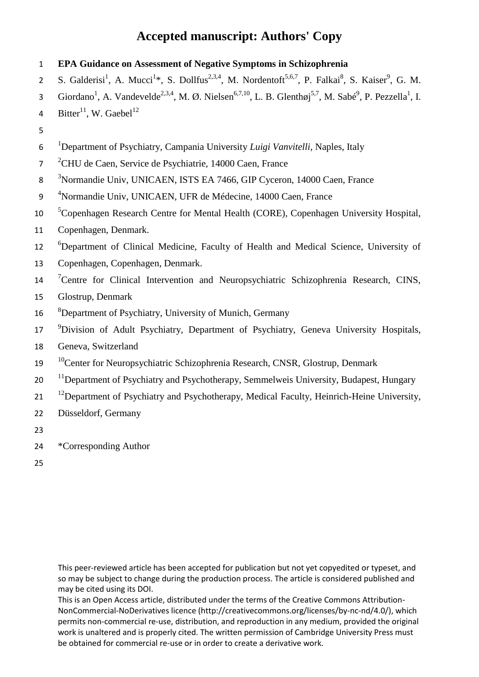1 **EPA Guidance on Assessment of Negative Symptoms in Schizophrenia** 2 S. Galderisi<sup>1</sup>, A. Mucci<sup>1\*</sup>, S. Dollfus<sup>2,3,4</sup>, M. Nordentoft<sup>5,6,7</sup>, P. Falkai<sup>8</sup>, S. Kaiser<sup>9</sup>, G. M. 3 Giordano<sup>1</sup>, A. Vandevelde<sup>2,3,4</sup>, M. Ø. Nielsen<sup>6,7,10</sup>, L. B. Glenthøj<sup>5,7</sup>, M. Sabé<sup>9</sup>, P. Pezzella<sup>1</sup>, I. 4 Bitter<sup>11</sup>, W. Gaebel<sup>12</sup> 5 1 6 Department of Psychiatry, Campania University *Luigi Vanvitelli*, Naples, Italy <sup>2</sup>CHU de Caen, Service de Psychiatrie, 14000 Caen, France <sup>3</sup>Normandie Univ, UNICAEN, ISTS EA 7466, GIP Cyceron, 14000 Caen, France 9 <sup>4</sup>Normandie Univ, UNICAEN, UFR de Médecine, 14000 Caen, France <sup>5</sup> Copenhagen Research Centre for Mental Health (CORE), Copenhagen University Hospital, 11 Copenhagen, Denmark. <sup>6</sup>Department of Clinical Medicine, Faculty of Health and Medical Science, University of 13 Copenhagen, Copenhagen, Denmark. <sup>7</sup> Centre for Clinical Intervention and Neuropsychiatric Schizophrenia Research, CINS, 15 Glostrup, Denmark 16 <sup>8</sup>Department of Psychiatry, University of Munich, Germany <sup>9</sup> Division of Adult Psychiatry, Department of Psychiatry, Geneva University Hospitals, 18 Geneva, Switzerland <sup>10</sup> Center for Neuropsychiatric Schizophrenia Research, CNSR, Glostrup, Denmark  $11$  20  $\text{11}$  Department of Psychiatry and Psychotherapy, Semmelweis University, Budapest, Hungary  $121$  <sup>12</sup> Department of Psychiatry and Psychotherapy, Medical Faculty, Heinrich-Heine University, 22 Düsseldorf, Germany 23 24 \*Corresponding Author 25

This peer-reviewed article has been accepted for publication but not yet copyedited or typeset, and so may be subject to change during the production process. The article is considered published and may be cited using its DOI.

This is an Open Access article, distributed under the terms of the Creative Commons Attribution-NonCommercial-NoDerivatives licence (http://creativecommons.org/licenses/by-nc-nd/4.0/), which permits non-commercial re-use, distribution, and reproduction in any medium, provided the original work is unaltered and is properly cited. The written permission of Cambridge University Press must be obtained for commercial re-use or in order to create a derivative work.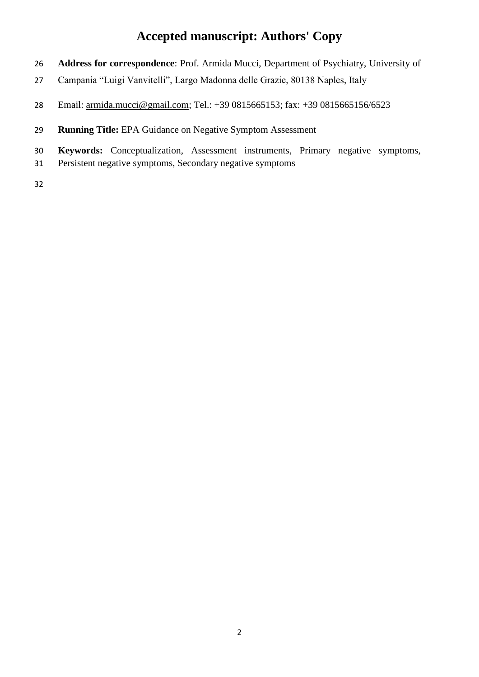- **Address for correspondence**: Prof. Armida Mucci, Department of Psychiatry, University of
- Campania "Luigi Vanvitelli", Largo Madonna delle Grazie, 80138 Naples, Italy
- Email: [armida.mucci@gmail.com;](about:blank) Tel.: +39 0815665153; fax: +39 0815665156/6523
- **Running Title:** EPA Guidance on Negative Symptom Assessment
- **Keywords:** Conceptualization, Assessment instruments, Primary negative symptoms,
- Persistent negative symptoms, Secondary negative symptoms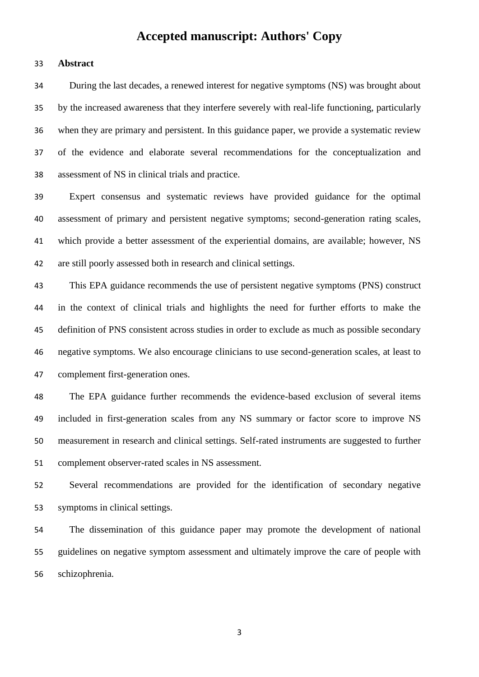#### **Abstract**

 During the last decades, a renewed interest for negative symptoms (NS) was brought about by the increased awareness that they interfere severely with real-life functioning, particularly when they are primary and persistent. In this guidance paper, we provide a systematic review of the evidence and elaborate several recommendations for the conceptualization and assessment of NS in clinical trials and practice.

 Expert consensus and systematic reviews have provided guidance for the optimal assessment of primary and persistent negative symptoms; second-generation rating scales, which provide a better assessment of the experiential domains, are available; however, NS are still poorly assessed both in research and clinical settings.

 This EPA guidance recommends the use of persistent negative symptoms (PNS) construct in the context of clinical trials and highlights the need for further efforts to make the definition of PNS consistent across studies in order to exclude as much as possible secondary negative symptoms. We also encourage clinicians to use second-generation scales, at least to complement first-generation ones.

 The EPA guidance further recommends the evidence-based exclusion of several items included in first-generation scales from any NS summary or factor score to improve NS measurement in research and clinical settings. Self-rated instruments are suggested to further complement observer-rated scales in NS assessment.

 Several recommendations are provided for the identification of secondary negative symptoms in clinical settings.

 The dissemination of this guidance paper may promote the development of national guidelines on negative symptom assessment and ultimately improve the care of people with schizophrenia.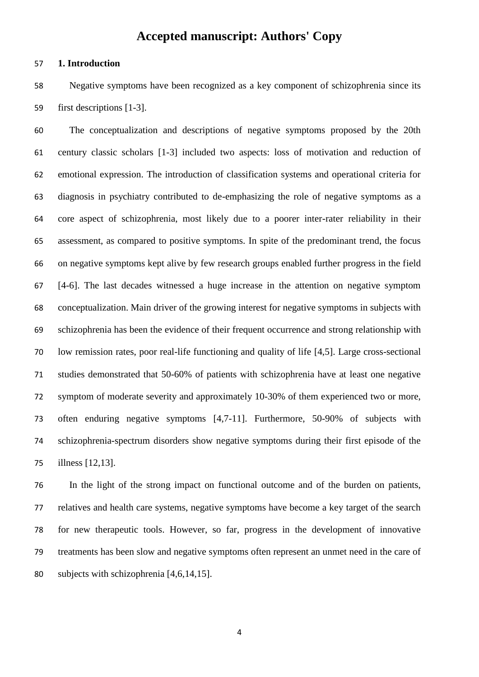#### **1. Introduction**

 Negative symptoms have been recognized as a key component of schizophrenia since its first descriptions [1-3].

 The conceptualization and descriptions of negative symptoms proposed by the 20th century classic scholars [1-3] included two aspects: loss of motivation and reduction of emotional expression. The introduction of classification systems and operational criteria for diagnosis in psychiatry contributed to de-emphasizing the role of negative symptoms as a core aspect of schizophrenia, most likely due to a poorer inter-rater reliability in their assessment, as compared to positive symptoms. In spite of the predominant trend, the focus on negative symptoms kept alive by few research groups enabled further progress in the field [4-6]. The last decades witnessed a huge increase in the attention on negative symptom conceptualization. Main driver of the growing interest for negative symptoms in subjects with schizophrenia has been the evidence of their frequent occurrence and strong relationship with low remission rates, poor real-life functioning and quality of life [4,5]. Large cross-sectional studies demonstrated that 50-60% of patients with schizophrenia have at least one negative symptom of moderate severity and approximately 10-30% of them experienced two or more, often enduring negative symptoms [4,7-11]. Furthermore, 50-90% of subjects with schizophrenia-spectrum disorders show negative symptoms during their first episode of the illness [12,13].

 In the light of the strong impact on functional outcome and of the burden on patients, relatives and health care systems, negative symptoms have become a key target of the search for new therapeutic tools. However, so far, progress in the development of innovative treatments has been slow and negative symptoms often represent an unmet need in the care of subjects with schizophrenia [4,6,14,15].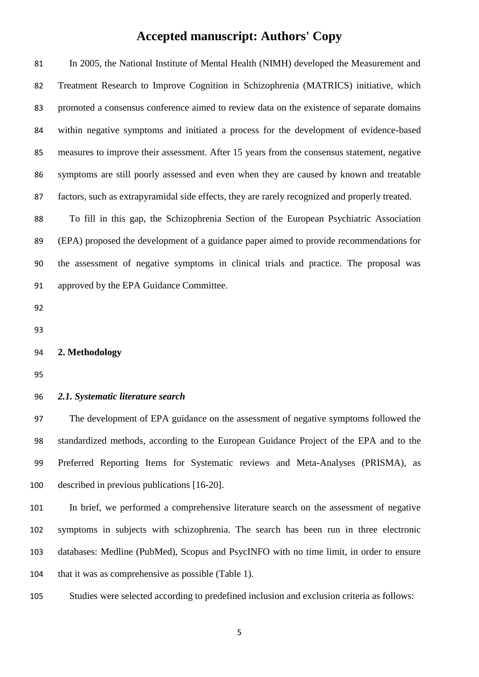| 81  | In 2005, the National Institute of Mental Health (NIMH) developed the Measurement and          |
|-----|------------------------------------------------------------------------------------------------|
| 82  | Treatment Research to Improve Cognition in Schizophrenia (MATRICS) initiative, which           |
| 83  | promoted a consensus conference aimed to review data on the existence of separate domains      |
| 84  | within negative symptoms and initiated a process for the development of evidence-based         |
| 85  | measures to improve their assessment. After 15 years from the consensus statement, negative    |
| 86  | symptoms are still poorly assessed and even when they are caused by known and treatable        |
| 87  | factors, such as extrapyramidal side effects, they are rarely recognized and properly treated. |
| 88  | To fill in this gap, the Schizophrenia Section of the European Psychiatric Association         |
| 89  | (EPA) proposed the development of a guidance paper aimed to provide recommendations for        |
| 90  | the assessment of negative symptoms in clinical trials and practice. The proposal was          |
| 91  | approved by the EPA Guidance Committee.                                                        |
| 92  |                                                                                                |
| 93  |                                                                                                |
| 94  | 2. Methodology                                                                                 |
| 95  |                                                                                                |
| 96  | 2.1. Systematic literature search                                                              |
| 97  | The development of EPA guidance on the assessment of negative symptoms followed the            |
| 98  | standardized methods, according to the European Guidance Project of the EPA and to the         |
| 99  | Preferred Reporting Items for Systematic reviews and Meta-Analyses (PRISMA), as                |
| 100 | described in previous publications [16-20].                                                    |

 In brief, we performed a comprehensive literature search on the assessment of negative symptoms in subjects with schizophrenia. The search has been run in three electronic databases: Medline (PubMed), Scopus and PsycINFO with no time limit, in order to ensure 104 that it was as comprehensive as possible (Table 1).

Studies were selected according to predefined inclusion and exclusion criteria as follows: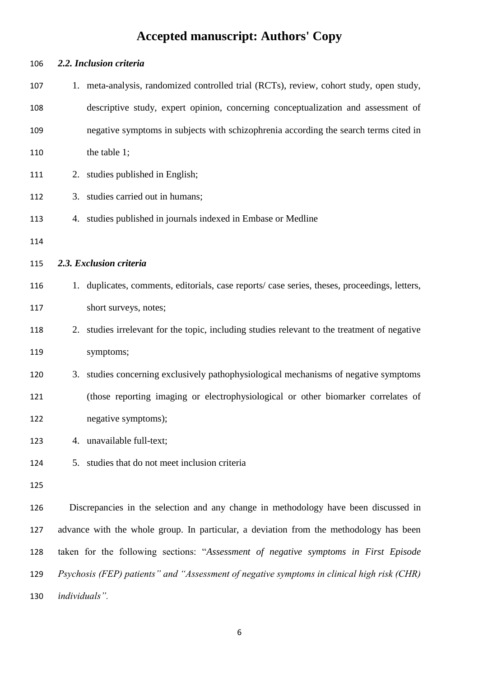| 106 | 2.2. Inclusion criteria                                                                      |  |
|-----|----------------------------------------------------------------------------------------------|--|
| 107 | 1. meta-analysis, randomized controlled trial (RCTs), review, cohort study, open study,      |  |
| 108 | descriptive study, expert opinion, concerning conceptualization and assessment of            |  |
| 109 | negative symptoms in subjects with schizophrenia according the search terms cited in         |  |
| 110 | the table 1;                                                                                 |  |
| 111 | 2. studies published in English;                                                             |  |
| 112 | 3. studies carried out in humans;                                                            |  |
| 113 | 4. studies published in journals indexed in Embase or Medline                                |  |
| 114 |                                                                                              |  |
| 115 | 2.3. Exclusion criteria                                                                      |  |
| 116 | 1. duplicates, comments, editorials, case reports/case series, theses, proceedings, letters, |  |
| 117 | short surveys, notes;                                                                        |  |
| 118 | 2. studies irrelevant for the topic, including studies relevant to the treatment of negative |  |
| 119 | symptoms;                                                                                    |  |
| 120 | 3. studies concerning exclusively pathophysiological mechanisms of negative symptoms         |  |
| 121 | (those reporting imaging or electrophysiological or other biomarker correlates of            |  |
| 122 | negative symptoms);                                                                          |  |
| 123 | 4. unavailable full-text;                                                                    |  |
| 124 | studies that do not meet inclusion criteria<br>5.                                            |  |
| 125 |                                                                                              |  |
| 126 | Discrepancies in the selection and any change in methodology have been discussed in          |  |
| 127 | advance with the whole group. In particular, a deviation from the methodology has been       |  |
| 128 | taken for the following sections: "Assessment of negative symptoms in First Episode          |  |
| 129 | Psychosis (FEP) patients" and "Assessment of negative symptoms in clinical high risk (CHR)   |  |
| 130 | individuals".                                                                                |  |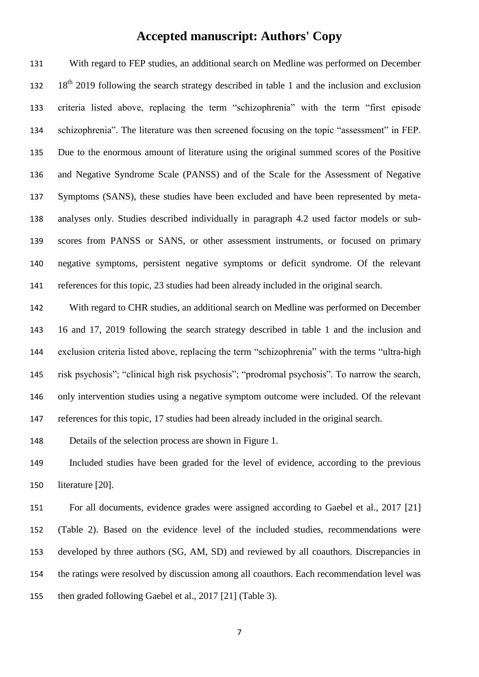With regard to FEP studies, an additional search on Medline was performed on December 132 18<sup>th</sup> 2019 following the search strategy described in table 1 and the inclusion and exclusion criteria listed above, replacing the term "schizophrenia" with the term "first episode schizophrenia". The literature was then screened focusing on the topic "assessment" in FEP. Due to the enormous amount of literature using the original summed scores of the Positive and Negative Syndrome Scale (PANSS) and of the Scale for the Assessment of Negative Symptoms (SANS), these studies have been excluded and have been represented by meta- analyses only. Studies described individually in paragraph 4.2 used factor models or sub- scores from PANSS or SANS, or other assessment instruments, or focused on primary negative symptoms, persistent negative symptoms or deficit syndrome. Of the relevant references for this topic, 23 studies had been already included in the original search.

 With regard to CHR studies, an additional search on Medline was performed on December 16 and 17, 2019 following the search strategy described in table 1 and the inclusion and exclusion criteria listed above, replacing the term "schizophrenia" with the terms "ultra-high risk psychosis"; "clinical high risk psychosis"; "prodromal psychosis". To narrow the search, only intervention studies using a negative symptom outcome were included. Of the relevant references for this topic, 17 studies had been already included in the original search.

Details of the selection process are shown in Figure 1.

 Included studies have been graded for the level of evidence, according to the previous literature [20].

 For all documents, evidence grades were assigned according to Gaebel et al., 2017 [21] (Table 2). Based on the evidence level of the included studies, recommendations were developed by three authors (SG, AM, SD) and reviewed by all coauthors. Discrepancies in the ratings were resolved by discussion among all coauthors. Each recommendation level was then graded following Gaebel et al., 2017 [21] (Table 3).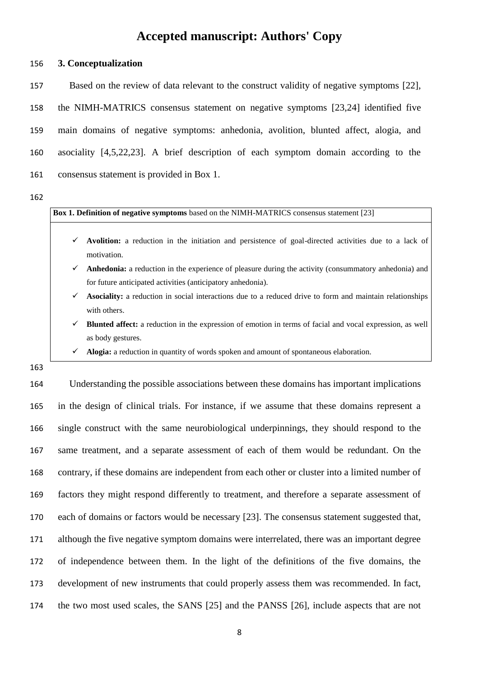**3. Conceptualization**

 Based on the review of data relevant to the construct validity of negative symptoms [22], the NIMH-MATRICS consensus statement on negative symptoms [23,24] identified five main domains of negative symptoms: anhedonia, avolition, blunted affect, alogia, and asociality [4,5,22,23]. A brief description of each symptom domain according to the consensus statement is provided in Box 1.

**Box 1. Definition of negative symptoms** based on the NIMH-MATRICS consensus statement [23]

- $\checkmark$  **Avolition:** a reduction in the initiation and persistence of goal-directed activities due to a lack of motivation.
- **Anhedonia:** a reduction in the experience of pleasure during the activity (consummatory anhedonia) and for future anticipated activities (anticipatory anhedonia).
- $\checkmark$  **Asociality:** a reduction in social interactions due to a reduced drive to form and maintain relationships with others.
- **Blunted affect:** a reduction in the expression of emotion in terms of facial and vocal expression, as well as body gestures.
- **Alogia:** a reduction in quantity of words spoken and amount of spontaneous elaboration.
- 

 Understanding the possible associations between these domains has important implications in the design of clinical trials. For instance, if we assume that these domains represent a single construct with the same neurobiological underpinnings, they should respond to the same treatment, and a separate assessment of each of them would be redundant. On the contrary, if these domains are independent from each other or cluster into a limited number of factors they might respond differently to treatment, and therefore a separate assessment of each of domains or factors would be necessary [23]. The consensus statement suggested that, although the five negative symptom domains were interrelated, there was an important degree of independence between them. In the light of the definitions of the five domains, the development of new instruments that could properly assess them was recommended. In fact, the two most used scales, the SANS [25] and the PANSS [26], include aspects that are not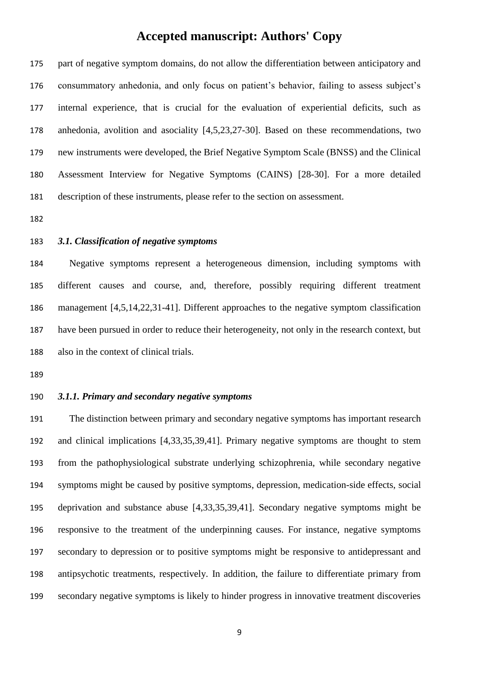part of negative symptom domains, do not allow the differentiation between anticipatory and consummatory anhedonia, and only focus on patient's behavior, failing to assess subject's internal experience, that is crucial for the evaluation of experiential deficits, such as anhedonia, avolition and asociality [4,5,23,27-30]. Based on these recommendations, two new instruments were developed, the Brief Negative Symptom Scale (BNSS) and the Clinical Assessment Interview for Negative Symptoms (CAINS) [28-30]. For a more detailed description of these instruments, please refer to the section on assessment.

#### *3.1. Classification of negative symptoms*

 Negative symptoms represent a heterogeneous dimension, including symptoms with different causes and course, and, therefore, possibly requiring different treatment management [4,5,14,22,31-41]. Different approaches to the negative symptom classification have been pursued in order to reduce their heterogeneity, not only in the research context, but also in the context of clinical trials.

#### *3.1.1. Primary and secondary negative symptoms*

 The distinction between primary and secondary negative symptoms has important research and clinical implications [4,33,35,39,41]. Primary negative symptoms are thought to stem from the pathophysiological substrate underlying schizophrenia, while secondary negative symptoms might be caused by positive symptoms, depression, medication-side effects, social deprivation and substance abuse [4,33,35,39,41]. Secondary negative symptoms might be responsive to the treatment of the underpinning causes. For instance, negative symptoms secondary to depression or to positive symptoms might be responsive to antidepressant and antipsychotic treatments, respectively. In addition, the failure to differentiate primary from secondary negative symptoms is likely to hinder progress in innovative treatment discoveries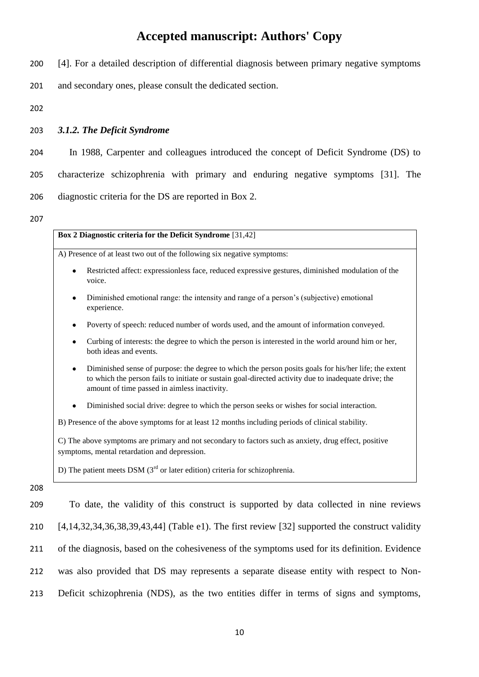200 [4]. For a detailed description of differential diagnosis between primary negative symptoms

201 and secondary ones, please consult the dedicated section.

202

#### 203 *3.1.2. The Deficit Syndrome*

204 In 1988, Carpenter and colleagues introduced the concept of Deficit Syndrome (DS) to

205 characterize schizophrenia with primary and enduring negative symptoms [31]. The 206 diagnostic criteria for the DS are reported in Box 2.

207

208

**Box 2 Diagnostic criteria for the Deficit Syndrome** [31,42] A) Presence of at least two out of the following six negative symptoms: Restricted affect: expressionless face, reduced expressive gestures, diminished modulation of the  $\bullet$ voice. Diminished emotional range: the intensity and range of a person's (subjective) emotional experience. Poverty of speech: reduced number of words used, and the amount of information conveyed. Curbing of interests: the degree to which the person is interested in the world around him or her,  $\bullet$ both ideas and events. Diminished sense of purpose: the degree to which the person posits goals for his/her life; the extent to which the person fails to initiate or sustain goal-directed activity due to inadequate drive; the amount of time passed in aimless inactivity. Diminished social drive: degree to which the person seeks or wishes for social interaction. B) Presence of the above symptoms for at least 12 months including periods of clinical stability. C) The above symptoms are primary and not secondary to factors such as anxiety, drug effect, positive symptoms, mental retardation and depression. D) The patient meets DSM ( $3<sup>rd</sup>$  or later edition) criteria for schizophrenia.

 To date, the validity of this construct is supported by data collected in nine reviews [4,14,32,34,36,38,39,43,44] (Table e1). The first review [32] supported the construct validity of the diagnosis, based on the cohesiveness of the symptoms used for its definition. Evidence was also provided that DS may represents a separate disease entity with respect to Non-Deficit schizophrenia (NDS), as the two entities differ in terms of signs and symptoms,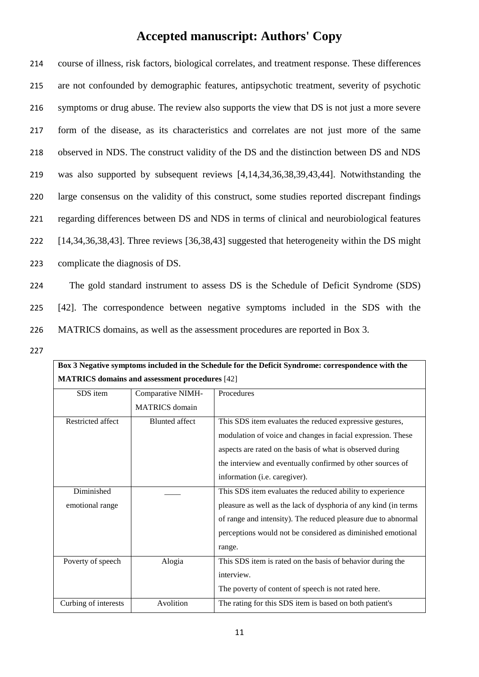course of illness, risk factors, biological correlates, and treatment response. These differences are not confounded by demographic features, antipsychotic treatment, severity of psychotic symptoms or drug abuse. The review also supports the view that DS is not just a more severe form of the disease, as its characteristics and correlates are not just more of the same observed in NDS. The construct validity of the DS and the distinction between DS and NDS was also supported by subsequent reviews [4,14,34,36,38,39,43,44]. Notwithstanding the large consensus on the validity of this construct, some studies reported discrepant findings regarding differences between DS and NDS in terms of clinical and neurobiological features [14,34,36,38,43]. Three reviews [36,38,43] suggested that heterogeneity within the DS might complicate the diagnosis of DS.

224 The gold standard instrument to assess DS is the Schedule of Deficit Syndrome (SDS) 225 [42]. The correspondence between negative symptoms included in the SDS with the 226 MATRICS domains, as well as the assessment procedures are reported in Box 3.

227

| Box 3 Negative symptoms included in the Schedule for the Deficit Syndrome: correspondence with the |                                                       |                                                                 |  |
|----------------------------------------------------------------------------------------------------|-------------------------------------------------------|-----------------------------------------------------------------|--|
|                                                                                                    | <b>MATRICS</b> domains and assessment procedures [42] |                                                                 |  |
| SDS item                                                                                           | Comparative NIMH-                                     | Procedures                                                      |  |
|                                                                                                    | <b>MATRICS</b> domain                                 |                                                                 |  |
| Restricted affect                                                                                  | <b>Blunted</b> affect                                 | This SDS item evaluates the reduced expressive gestures,        |  |
|                                                                                                    |                                                       | modulation of voice and changes in facial expression. These     |  |
|                                                                                                    |                                                       | aspects are rated on the basis of what is observed during       |  |
|                                                                                                    |                                                       | the interview and eventually confirmed by other sources of      |  |
|                                                                                                    |                                                       | information (i.e. caregiver).                                   |  |
| Diminished                                                                                         |                                                       | This SDS item evaluates the reduced ability to experience       |  |
| emotional range                                                                                    |                                                       | pleasure as well as the lack of dysphoria of any kind (in terms |  |
|                                                                                                    |                                                       | of range and intensity). The reduced pleasure due to abnormal   |  |
|                                                                                                    |                                                       | perceptions would not be considered as diminished emotional     |  |
|                                                                                                    |                                                       | range.                                                          |  |
| Poverty of speech                                                                                  | Alogia                                                | This SDS item is rated on the basis of behavior during the      |  |
|                                                                                                    |                                                       | interview.                                                      |  |
|                                                                                                    |                                                       | The poverty of content of speech is not rated here.             |  |
| Curbing of interests                                                                               | Avolition                                             | The rating for this SDS item is based on both patient's         |  |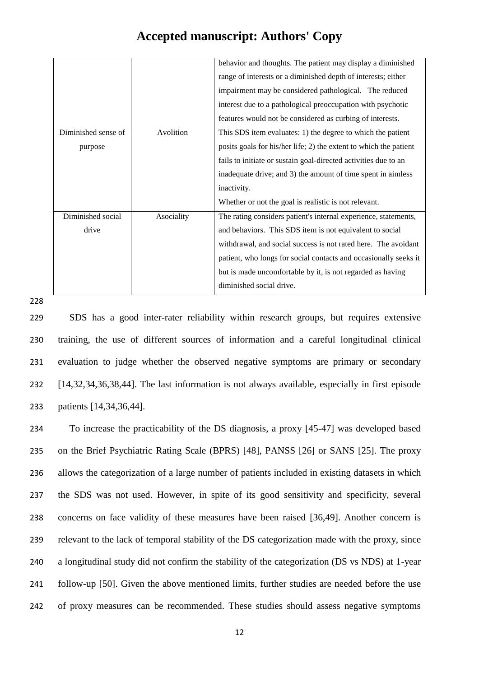|                                |            | behavior and thoughts. The patient may display a diminished<br>range of interests or a diminished depth of interests; either<br>impairment may be considered pathological. The reduced<br>interest due to a pathological preoccupation with psychotic<br>features would not be considered as curbing of interests.                                          |
|--------------------------------|------------|-------------------------------------------------------------------------------------------------------------------------------------------------------------------------------------------------------------------------------------------------------------------------------------------------------------------------------------------------------------|
| Diminished sense of<br>purpose | Avolition  | This SDS item evaluates: 1) the degree to which the patient<br>posits goals for his/her life; 2) the extent to which the patient<br>fails to initiate or sustain goal-directed activities due to an<br>inadequate drive; and 3) the amount of time spent in aimless<br>inactivity.<br>Whether or not the goal is realistic is not relevant.                 |
| Diminished social<br>drive     | Asociality | The rating considers patient's internal experience, statements,<br>and behaviors. This SDS item is not equivalent to social<br>withdrawal, and social success is not rated here. The avoidant<br>patient, who longs for social contacts and occasionally seeks it<br>but is made uncomfortable by it, is not regarded as having<br>diminished social drive. |

228

 SDS has a good inter-rater reliability within research groups, but requires extensive training, the use of different sources of information and a careful longitudinal clinical evaluation to judge whether the observed negative symptoms are primary or secondary [14,32,34,36,38,44]. The last information is not always available, especially in first episode patients [14,34,36,44].

 To increase the practicability of the DS diagnosis, a proxy [45-47] was developed based on the Brief Psychiatric Rating Scale (BPRS) [48], PANSS [26] or SANS [25]. The proxy allows the categorization of a large number of patients included in existing datasets in which the SDS was not used. However, in spite of its good sensitivity and specificity, several concerns on face validity of these measures have been raised [36,49]. Another concern is relevant to the lack of temporal stability of the DS categorization made with the proxy, since a longitudinal study did not confirm the stability of the categorization (DS vs NDS) at 1-year follow-up [50]. Given the above mentioned limits, further studies are needed before the use of proxy measures can be recommended. These studies should assess negative symptoms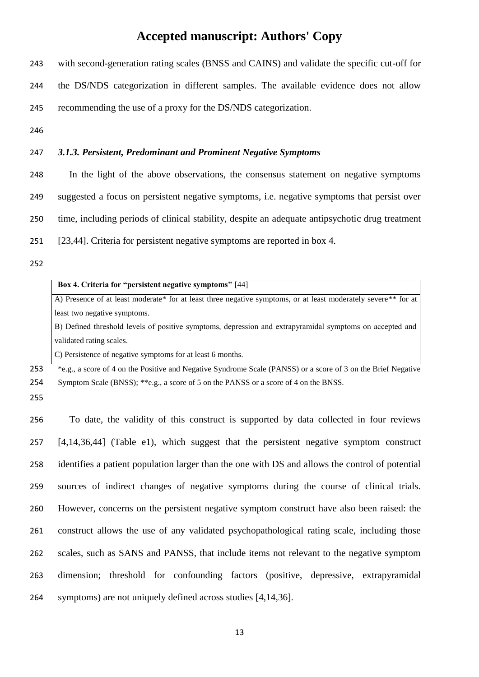with second-generation rating scales (BNSS and CAINS) and validate the specific cut-off for the DS/NDS categorization in different samples. The available evidence does not allow recommending the use of a proxy for the DS/NDS categorization.

### *3.1.3. Persistent, Predominant and Prominent Negative Symptoms*

- In the light of the above observations, the consensus statement on negative symptoms suggested a focus on persistent negative symptoms, i.e. negative symptoms that persist over time, including periods of clinical stability, despite an adequate antipsychotic drug treatment [23,44]. Criteria for persistent negative symptoms are reported in box 4.
- 

#### **Box 4. Criteria for "persistent negative symptoms"** [44]

A) Presence of at least moderate\* for at least three negative symptoms, or at least moderately severe\*\* for at least two negative symptoms.

B) Defined threshold levels of positive symptoms, depression and extrapyramidal symptoms on accepted and validated rating scales.

C) Persistence of negative symptoms for at least 6 months.

<sup>\*</sup>e.g., a score of 4 on the Positive and Negative Syndrome Scale (PANSS) or a score of 3 on the Brief Negative Symptom Scale (BNSS); \*\*e.g., a score of 5 on the PANSS or a score of 4 on the BNSS.

 To date, the validity of this construct is supported by data collected in four reviews [4,14,36,44] (Table e1), which suggest that the persistent negative symptom construct identifies a patient population larger than the one with DS and allows the control of potential sources of indirect changes of negative symptoms during the course of clinical trials. However, concerns on the persistent negative symptom construct have also been raised: the construct allows the use of any validated psychopathological rating scale, including those scales, such as SANS and PANSS, that include items not relevant to the negative symptom dimension; threshold for confounding factors (positive, depressive, extrapyramidal symptoms) are not uniquely defined across studies [4,14,36].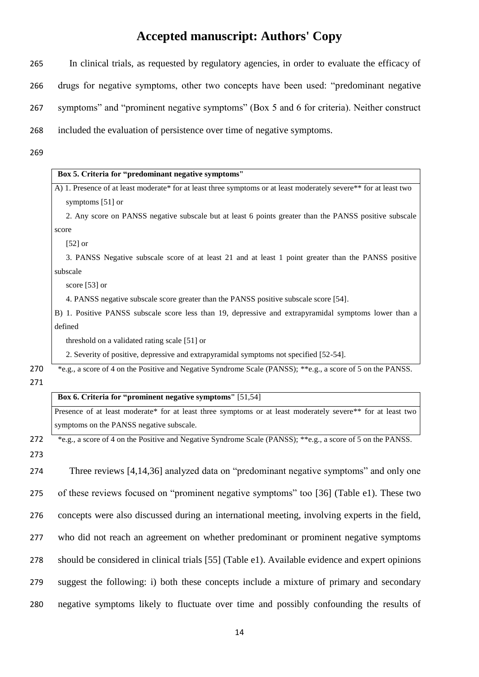- 265 In clinical trials, as requested by regulatory agencies, in order to evaluate the efficacy of 266 drugs for negative symptoms, other two concepts have been used: "predominant negative 267 symptoms" and "prominent negative symptoms" (Box 5 and 6 for criteria). Neither construct 268 included the evaluation of persistence over time of negative symptoms.
- 269

| Box 5. Criteria for "predominant negative symptoms"                                                               |  |
|-------------------------------------------------------------------------------------------------------------------|--|
| A) 1. Presence of at least moderate* for at least three symptoms or at least moderately severe** for at least two |  |
| symptoms [51] or                                                                                                  |  |
| 2. Any score on PANSS negative subscale but at least 6 points greater than the PANSS positive subscale            |  |
| score                                                                                                             |  |
| $[52]$ or                                                                                                         |  |
| 3. PANSS Negative subscale score of at least 21 and at least 1 point greater than the PANSS positive              |  |
| subscale                                                                                                          |  |
| score [53] or                                                                                                     |  |
| 4. PANSS negative subscale score greater than the PANSS positive subscale score [54].                             |  |
| B) 1. Positive PANSS subscale score less than 19, depressive and extrapyramidal symptoms lower than a<br>defined  |  |
| threshold on a validated rating scale [51] or                                                                     |  |
| 2. Severity of positive, depressive and extrapyramidal symptoms not specified [52-54].                            |  |
| *e.g., a score of 4 on the Positive and Negative Syndrome Scale (PANSS); **e.g., a score of 5 on the PANSS.       |  |
| Box 6. Criteria for "prominent negative symptoms" [51,54]                                                         |  |
| Presence of at least moderate* for at least three symptoms or at least moderately severe** for at least two       |  |
| symptoms on the PANSS negative subscale.                                                                          |  |
| *e.g., a score of 4 on the Positive and Negative Syndrome Scale (PANSS); **e.g., a score of 5 on the PANSS.       |  |
| Three reviews [4,14,36] analyzed data on "predominant negative symptoms" and only one                             |  |
| of these reviews focused on "prominent negative symptoms" too [36] (Table e1). These two                          |  |
| concepts were also discussed during an international meeting, involving experts in the field,                     |  |
| who did not reach an agreement on whether predominant or prominent negative symptoms                              |  |
| should be considered in clinical trials [55] (Table e1). Available evidence and expert opinions                   |  |
| suggest the following: i) both these concepts include a mixture of primary and secondary                          |  |
| negative symptoms likely to fluctuate over time and possibly confounding the results of                           |  |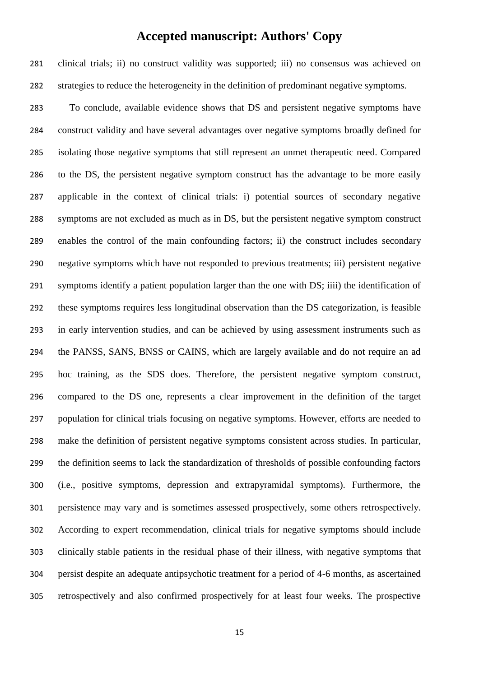clinical trials; ii) no construct validity was supported; iii) no consensus was achieved on strategies to reduce the heterogeneity in the definition of predominant negative symptoms.

 To conclude, available evidence shows that DS and persistent negative symptoms have construct validity and have several advantages over negative symptoms broadly defined for isolating those negative symptoms that still represent an unmet therapeutic need. Compared to the DS, the persistent negative symptom construct has the advantage to be more easily applicable in the context of clinical trials: i) potential sources of secondary negative symptoms are not excluded as much as in DS, but the persistent negative symptom construct enables the control of the main confounding factors; ii) the construct includes secondary negative symptoms which have not responded to previous treatments; iii) persistent negative symptoms identify a patient population larger than the one with DS; iiii) the identification of these symptoms requires less longitudinal observation than the DS categorization, is feasible in early intervention studies, and can be achieved by using assessment instruments such as the PANSS, SANS, BNSS or CAINS, which are largely available and do not require an ad hoc training, as the SDS does. Therefore, the persistent negative symptom construct, compared to the DS one, represents a clear improvement in the definition of the target population for clinical trials focusing on negative symptoms. However, efforts are needed to make the definition of persistent negative symptoms consistent across studies. In particular, the definition seems to lack the standardization of thresholds of possible confounding factors (i.e., positive symptoms, depression and extrapyramidal symptoms). Furthermore, the persistence may vary and is sometimes assessed prospectively, some others retrospectively. According to expert recommendation, clinical trials for negative symptoms should include clinically stable patients in the residual phase of their illness, with negative symptoms that persist despite an adequate antipsychotic treatment for a period of 4-6 months, as ascertained retrospectively and also confirmed prospectively for at least four weeks. The prospective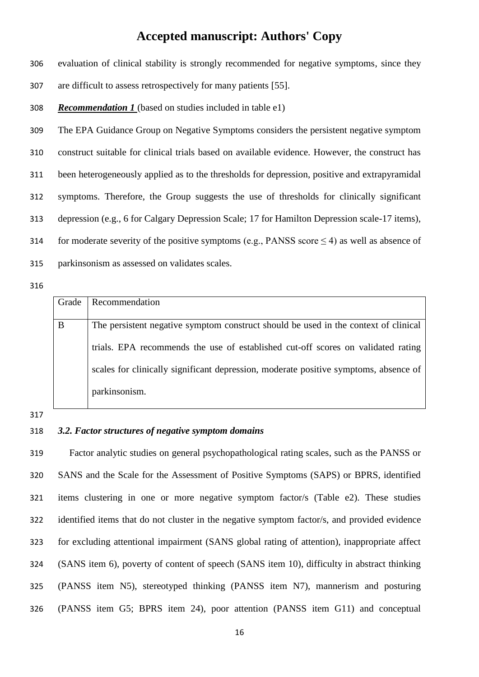evaluation of clinical stability is strongly recommended for negative symptoms, since they

- are difficult to assess retrospectively for many patients [55].
- *Recommendation 1* (based on studies included in table e1)

 The EPA Guidance Group on Negative Symptoms considers the persistent negative symptom construct suitable for clinical trials based on available evidence. However, the construct has been heterogeneously applied as to the thresholds for depression, positive and extrapyramidal symptoms. Therefore, the Group suggests the use of thresholds for clinically significant depression (e.g., 6 for Calgary Depression Scale; 17 for Hamilton Depression scale-17 items), 314 for moderate severity of the positive symptoms (e.g., PANSS score  $\leq$  4) as well as absence of parkinsonism as assessed on validates scales.

#### 

| Grade | Recommendation                                                                       |
|-------|--------------------------------------------------------------------------------------|
|       |                                                                                      |
| B     | The persistent negative symptom construct should be used in the context of clinical  |
|       |                                                                                      |
|       | trials. EPA recommends the use of established cut-off scores on validated rating     |
|       |                                                                                      |
|       | scales for clinically significant depression, moderate positive symptoms, absence of |
|       |                                                                                      |
|       | parkinsonism.                                                                        |
|       |                                                                                      |

#### 

#### *3.2. Factor structures of negative symptom domains*

 Factor analytic studies on general psychopathological rating scales, such as the PANSS or SANS and the Scale for the Assessment of Positive Symptoms (SAPS) or BPRS, identified items clustering in one or more negative symptom factor/s (Table e2). These studies identified items that do not cluster in the negative symptom factor/s, and provided evidence for excluding attentional impairment (SANS global rating of attention), inappropriate affect (SANS item 6), poverty of content of speech (SANS item 10), difficulty in abstract thinking (PANSS item N5), stereotyped thinking (PANSS item N7), mannerism and posturing (PANSS item G5; BPRS item 24), poor attention (PANSS item G11) and conceptual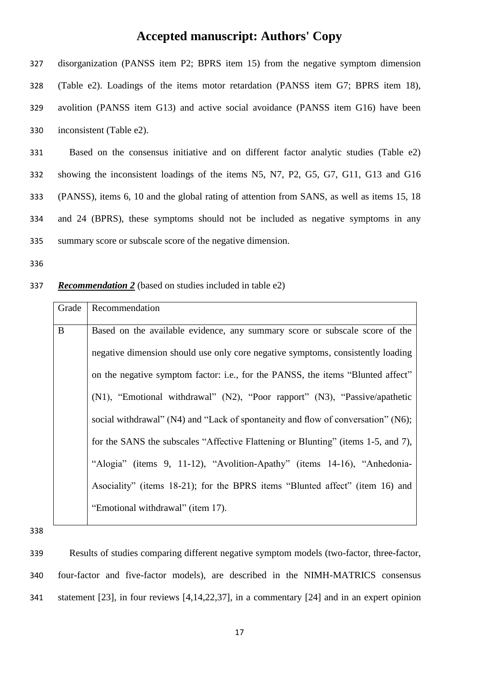327 disorganization (PANSS item P2; BPRS item 15) from the negative symptom dimension 328 (Table e2). Loadings of the items motor retardation (PANSS item G7; BPRS item 18), 329 avolition (PANSS item G13) and active social avoidance (PANSS item G16) have been 330 inconsistent (Table e2).

 Based on the consensus initiative and on different factor analytic studies (Table e2) showing the inconsistent loadings of the items N5, N7, P2, G5, G7, G11, G13 and G16 (PANSS), items 6, 10 and the global rating of attention from SANS, as well as items 15, 18 and 24 (BPRS), these symptoms should not be included as negative symptoms in any summary score or subscale score of the negative dimension.

336

#### 337 *Recommendation 2* (based on studies included in table e2)

| Grade    | Recommendation                                                                    |
|----------|-----------------------------------------------------------------------------------|
| $\bf{B}$ | Based on the available evidence, any summary score or subscale score of the       |
|          | negative dimension should use only core negative symptoms, consistently loading   |
|          | on the negative symptom factor: i.e., for the PANSS, the items "Blunted affect"   |
|          | (N1), "Emotional withdrawal" (N2), "Poor rapport" (N3), "Passive/apathetic        |
|          | social withdrawal" (N4) and "Lack of spontaneity and flow of conversation" (N6);  |
|          | for the SANS the subscales "Affective Flattening or Blunting" (items 1-5, and 7), |
|          | "Alogia" (items 9, 11-12), "Avolition-Apathy" (items 14-16), "Anhedonia-          |
|          | Asociality" (items 18-21); for the BPRS items "Blunted affect" (item 16) and      |
|          | "Emotional withdrawal" (item 17).                                                 |

338

339 Results of studies comparing different negative symptom models (two-factor, three-factor, 340 four-factor and five-factor models), are described in the NIMH-MATRICS consensus 341 statement [23], in four reviews [4,14,22,37], in a commentary [24] and in an expert opinion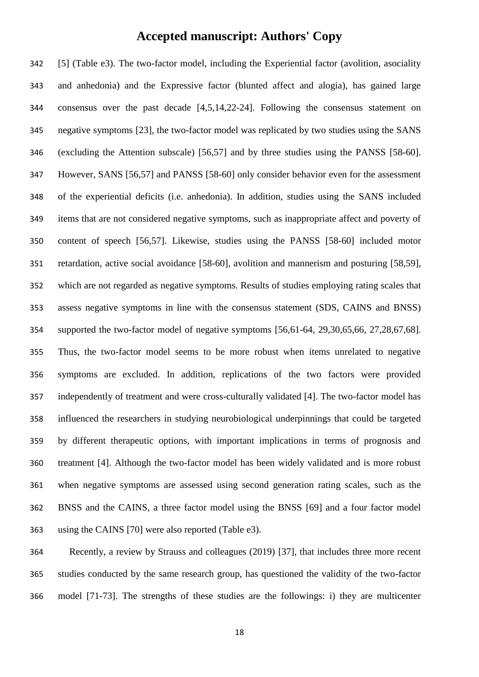[5] (Table e3). The two-factor model, including the Experiential factor (avolition, asociality and anhedonia) and the Expressive factor (blunted affect and alogia), has gained large consensus over the past decade [4,5,14,22-24]. Following the consensus statement on negative symptoms [23], the two-factor model was replicated by two studies using the SANS (excluding the Attention subscale) [56,57] and by three studies using the PANSS [58-60]. However, SANS [56,57] and PANSS [58-60] only consider behavior even for the assessment of the experiential deficits (i.e. anhedonia). In addition, studies using the SANS included items that are not considered negative symptoms, such as inappropriate affect and poverty of content of speech [56,57]. Likewise, studies using the PANSS [58-60] included motor retardation, active social avoidance [58-60], avolition and mannerism and posturing [58,59], which are not regarded as negative symptoms. Results of studies employing rating scales that assess negative symptoms in line with the consensus statement (SDS, CAINS and BNSS) supported the two-factor model of negative symptoms [56,61-64, 29,30,65,66, 27,28,67,68]. Thus, the two-factor model seems to be more robust when items unrelated to negative symptoms are excluded. In addition, replications of the two factors were provided independently of treatment and were cross-culturally validated [4]. The two-factor model has influenced the researchers in studying neurobiological underpinnings that could be targeted by different therapeutic options, with important implications in terms of prognosis and treatment [4]. Although the two-factor model has been widely validated and is more robust when negative symptoms are assessed using second generation rating scales, such as the BNSS and the CAINS, a three factor model using the BNSS [69] and a four factor model using the CAINS [70] were also reported (Table e3).

 Recently, a review by Strauss and colleagues (2019) [37], that includes three more recent studies conducted by the same research group, has questioned the validity of the two-factor model [71-73]. The strengths of these studies are the followings: i) they are multicenter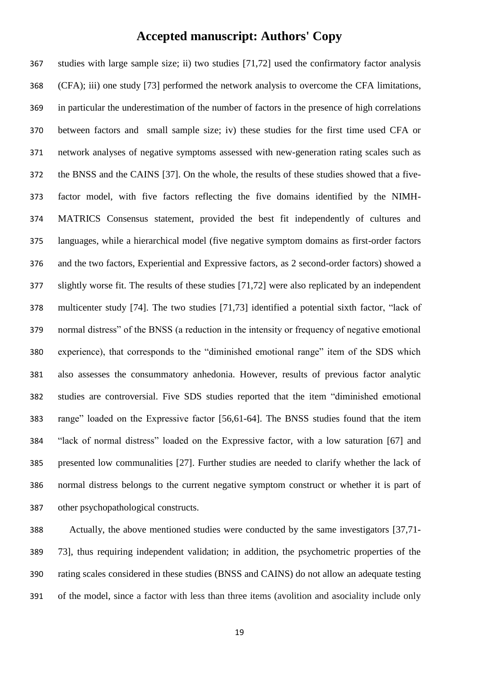studies with large sample size; ii) two studies [71,72] used the confirmatory factor analysis (CFA); iii) one study [73] performed the network analysis to overcome the CFA limitations, in particular the underestimation of the number of factors in the presence of high correlations between factors and small sample size; iv) these studies for the first time used CFA or network analyses of negative symptoms assessed with new-generation rating scales such as the BNSS and the CAINS [37]. On the whole, the results of these studies showed that a five- factor model, with five factors reflecting the five domains identified by the NIMH- MATRICS Consensus statement, provided the best fit independently of cultures and languages, while a hierarchical model (five negative symptom domains as first-order factors and the two factors, Experiential and Expressive factors, as 2 second-order factors) showed a slightly worse fit. The results of these studies [71,72] were also replicated by an independent multicenter study [74]. The two studies [71,73] identified a potential sixth factor, "lack of normal distress" of the BNSS (a reduction in the intensity or frequency of negative emotional experience), that corresponds to the "diminished emotional range" item of the SDS which also assesses the consummatory anhedonia. However, results of previous factor analytic studies are controversial. Five SDS studies reported that the item "diminished emotional range" loaded on the Expressive factor [56,61-64]. The BNSS studies found that the item "lack of normal distress" loaded on the Expressive factor, with a low saturation [67] and presented low communalities [27]. Further studies are needed to clarify whether the lack of normal distress belongs to the current negative symptom construct or whether it is part of other psychopathological constructs.

 Actually, the above mentioned studies were conducted by the same investigators [37,71- 73], thus requiring independent validation; in addition, the psychometric properties of the rating scales considered in these studies (BNSS and CAINS) do not allow an adequate testing of the model, since a factor with less than three items (avolition and asociality include only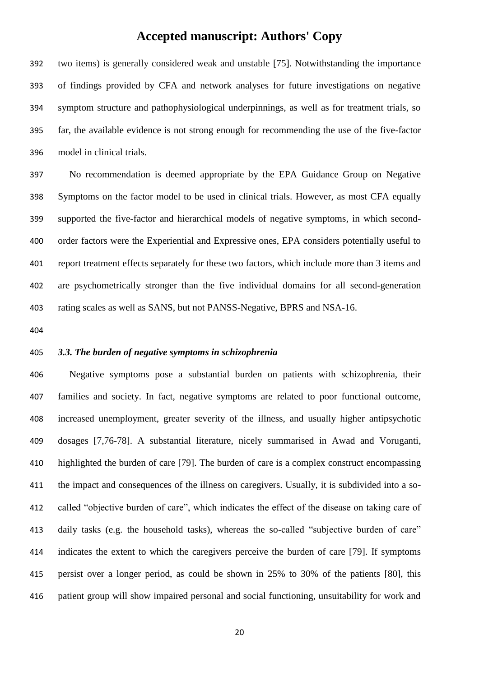two items) is generally considered weak and unstable [75]. Notwithstanding the importance of findings provided by CFA and network analyses for future investigations on negative symptom structure and pathophysiological underpinnings, as well as for treatment trials, so far, the available evidence is not strong enough for recommending the use of the five-factor model in clinical trials.

 No recommendation is deemed appropriate by the EPA Guidance Group on Negative Symptoms on the factor model to be used in clinical trials. However, as most CFA equally supported the five-factor and hierarchical models of negative symptoms, in which second- order factors were the Experiential and Expressive ones, EPA considers potentially useful to report treatment effects separately for these two factors, which include more than 3 items and are psychometrically stronger than the five individual domains for all second-generation rating scales as well as SANS, but not PANSS-Negative, BPRS and NSA-16.

#### *3.3. The burden of negative symptoms in schizophrenia*

 Negative symptoms pose a substantial burden on patients with schizophrenia, their families and society. In fact, negative symptoms are related to poor functional outcome, increased unemployment, greater severity of the illness, and usually higher antipsychotic dosages [7,76-78]. A substantial literature, nicely summarised in Awad and Voruganti, highlighted the burden of care [79]. The burden of care is a complex construct encompassing the impact and consequences of the illness on caregivers. Usually, it is subdivided into a so- called "objective burden of care", which indicates the effect of the disease on taking care of daily tasks (e.g. the household tasks), whereas the so-called "subjective burden of care" indicates the extent to which the caregivers perceive the burden of care [79]. If symptoms persist over a longer period, as could be shown in 25% to 30% of the patients [80], this patient group will show impaired personal and social functioning, unsuitability for work and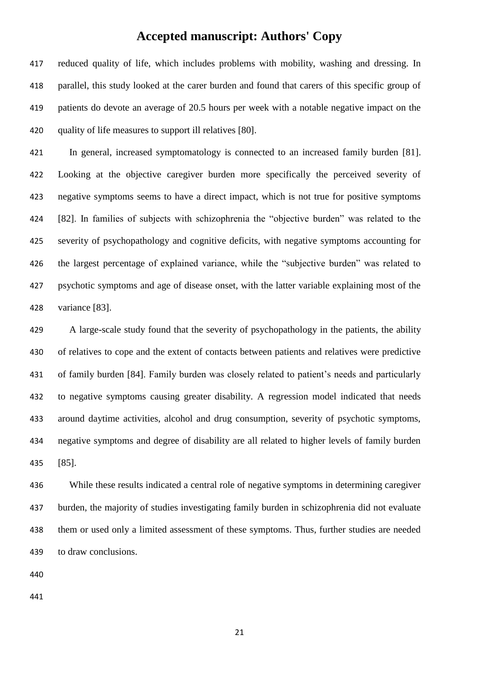reduced quality of life, which includes problems with mobility, washing and dressing. In parallel, this study looked at the carer burden and found that carers of this specific group of patients do devote an average of 20.5 hours per week with a notable negative impact on the quality of life measures to support ill relatives [80].

 In general, increased symptomatology is connected to an increased family burden [81]. Looking at the objective caregiver burden more specifically the perceived severity of negative symptoms seems to have a direct impact, which is not true for positive symptoms [82]. In families of subjects with schizophrenia the "objective burden" was related to the severity of psychopathology and cognitive deficits, with negative symptoms accounting for the largest percentage of explained variance, while the "subjective burden" was related to psychotic symptoms and age of disease onset, with the latter variable explaining most of the variance [83].

 A large-scale study found that the severity of psychopathology in the patients, the ability of relatives to cope and the extent of contacts between patients and relatives were predictive of family burden [84]. Family burden was closely related to patient's needs and particularly to negative symptoms causing greater disability. A regression model indicated that needs around daytime activities, alcohol and drug consumption, severity of psychotic symptoms, negative symptoms and degree of disability are all related to higher levels of family burden [85].

 While these results indicated a central role of negative symptoms in determining caregiver burden, the majority of studies investigating family burden in schizophrenia did not evaluate them or used only a limited assessment of these symptoms. Thus, further studies are needed to draw conclusions.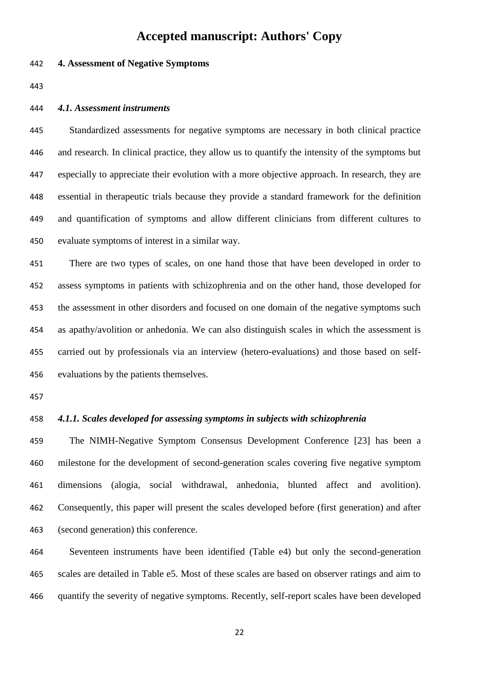### *4.1. Assessment instruments*

**4. Assessment of Negative Symptoms**

 Standardized assessments for negative symptoms are necessary in both clinical practice and research. In clinical practice, they allow us to quantify the intensity of the symptoms but especially to appreciate their evolution with a more objective approach. In research, they are essential in therapeutic trials because they provide a standard framework for the definition and quantification of symptoms and allow different clinicians from different cultures to evaluate symptoms of interest in a similar way.

 There are two types of scales, on one hand those that have been developed in order to assess symptoms in patients with schizophrenia and on the other hand, those developed for the assessment in other disorders and focused on one domain of the negative symptoms such as apathy/avolition or anhedonia. We can also distinguish scales in which the assessment is carried out by professionals via an interview (hetero-evaluations) and those based on self-evaluations by the patients themselves.

### *4.1.1. Scales developed for assessing symptoms in subjects with schizophrenia*

 The NIMH-Negative Symptom Consensus Development Conference [23] has been a milestone for the development of second-generation scales covering five negative symptom dimensions (alogia, social withdrawal, anhedonia, blunted affect and avolition). Consequently, this paper will present the scales developed before (first generation) and after (second generation) this conference.

 Seventeen instruments have been identified (Table e4) but only the second-generation scales are detailed in Table e5. Most of these scales are based on observer ratings and aim to quantify the severity of negative symptoms. Recently, self-report scales have been developed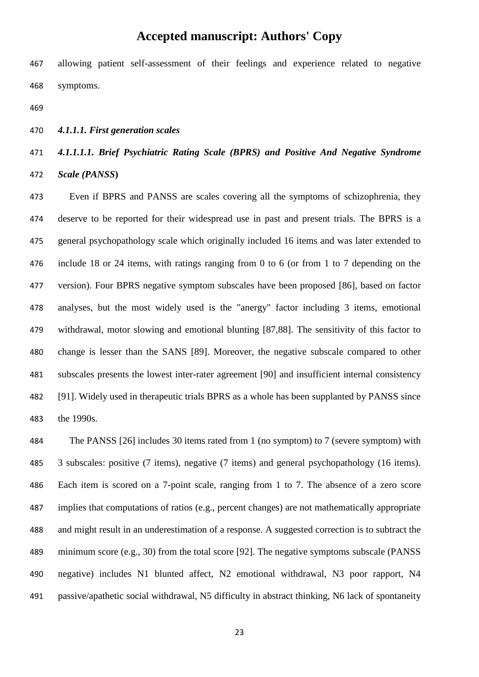allowing patient self-assessment of their feelings and experience related to negative symptoms.

*4.1.1.1. First generation scales*

### *4.1.1.1.1. Brief Psychiatric Rating Scale (BPRS) and Positive And Negative Syndrome*

*Scale (PANSS***)**

 Even if BPRS and PANSS are scales covering all the symptoms of schizophrenia, they deserve to be reported for their widespread use in past and present trials. The BPRS is a general psychopathology scale which originally included 16 items and was later extended to include 18 or 24 items, with ratings ranging from 0 to 6 (or from 1 to 7 depending on the version). Four BPRS negative symptom subscales have been proposed [86], based on factor analyses, but the most widely used is the "anergy" factor including 3 items, emotional withdrawal, motor slowing and emotional blunting [87,88]. The sensitivity of this factor to change is lesser than the SANS [89]. Moreover, the negative subscale compared to other subscales presents the lowest inter-rater agreement [90] and insufficient internal consistency [91]. Widely used in therapeutic trials BPRS as a whole has been supplanted by PANSS since the 1990s.

 The PANSS [26] includes 30 items rated from 1 (no symptom) to 7 (severe symptom) with 3 subscales: positive (7 items), negative (7 items) and general psychopathology (16 items). Each item is scored on a 7-point scale, ranging from 1 to 7. The absence of a zero score implies that computations of ratios (e.g., percent changes) are not mathematically appropriate and might result in an underestimation of a response. A suggested correction is to subtract the minimum score (e.g., 30) from the total score [92]. The negative symptoms subscale (PANSS negative) includes N1 blunted affect, N2 emotional withdrawal, N3 poor rapport, N4 passive/apathetic social withdrawal, N5 difficulty in abstract thinking, N6 lack of spontaneity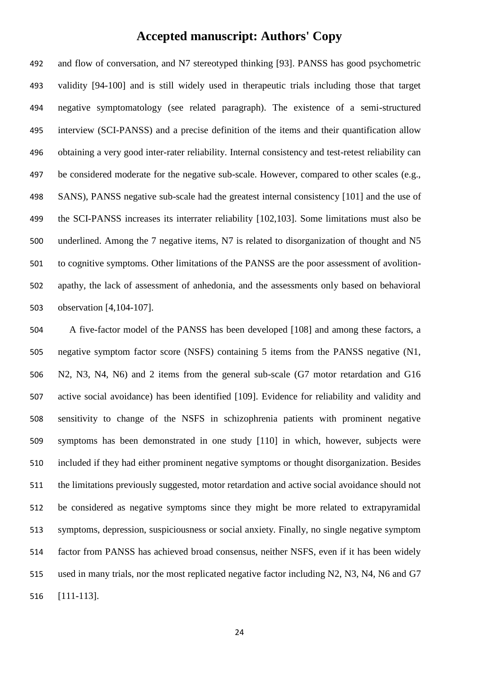and flow of conversation, and N7 stereotyped thinking [93]. PANSS has good psychometric validity [94-100] and is still widely used in therapeutic trials including those that target negative symptomatology (see related paragraph). The existence of a semi-structured interview (SCI-PANSS) and a precise definition of the items and their quantification allow obtaining a very good inter-rater reliability. Internal consistency and test-retest reliability can be considered moderate for the negative sub-scale. However, compared to other scales (e.g., SANS), PANSS negative sub-scale had the greatest internal consistency [101] and the use of the SCI-PANSS increases its interrater reliability [102,103]. Some limitations must also be underlined. Among the 7 negative items, N7 is related to disorganization of thought and N5 to cognitive symptoms. Other limitations of the PANSS are the poor assessment of avolition- apathy, the lack of assessment of anhedonia, and the assessments only based on behavioral observation [4,104-107].

 A five-factor model of the PANSS has been developed [108] and among these factors, a negative symptom factor score (NSFS) containing 5 items from the PANSS negative (N1, N2, N3, N4, N6) and 2 items from the general sub-scale (G7 motor retardation and G16 active social avoidance) has been identified [109]. Evidence for reliability and validity and sensitivity to change of the NSFS in schizophrenia patients with prominent negative symptoms has been demonstrated in one study [110] in which, however, subjects were included if they had either prominent negative symptoms or thought disorganization. Besides the limitations previously suggested, motor retardation and active social avoidance should not be considered as negative symptoms since they might be more related to extrapyramidal symptoms, depression, suspiciousness or social anxiety. Finally, no single negative symptom factor from PANSS has achieved broad consensus, neither NSFS, even if it has been widely used in many trials, nor the most replicated negative factor including N2, N3, N4, N6 and G7 [111-113].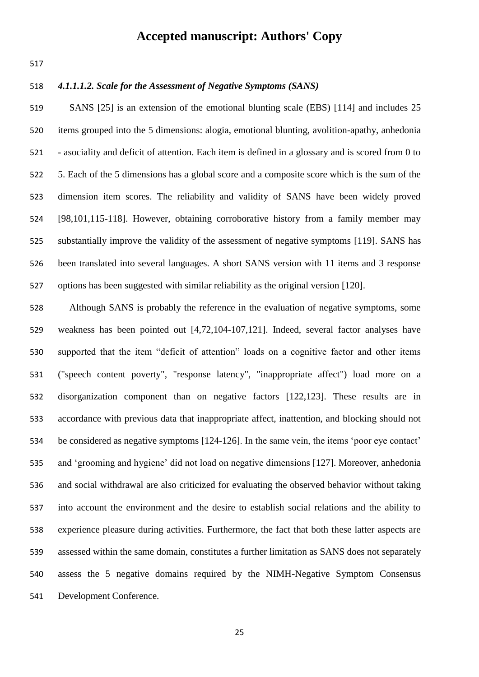### *4.1.1.1.2. Scale for the Assessment of Negative Symptoms (SANS)*

 SANS [25] is an extension of the emotional blunting scale (EBS) [114] and includes 25 items grouped into the 5 dimensions: alogia, emotional blunting, avolition-apathy, anhedonia - asociality and deficit of attention. Each item is defined in a glossary and is scored from 0 to 5. Each of the 5 dimensions has a global score and a composite score which is the sum of the dimension item scores. The reliability and validity of SANS have been widely proved [98,101,115-118]. However, obtaining corroborative history from a family member may substantially improve the validity of the assessment of negative symptoms [119]. SANS has been translated into several languages. A short SANS version with 11 items and 3 response options has been suggested with similar reliability as the original version [120].

 Although SANS is probably the reference in the evaluation of negative symptoms, some weakness has been pointed out [4,72,104-107,121]. Indeed, several factor analyses have supported that the item "deficit of attention" loads on a cognitive factor and other items ("speech content poverty", "response latency", "inappropriate affect") load more on a disorganization component than on negative factors [122,123]. These results are in accordance with previous data that inappropriate affect, inattention, and blocking should not be considered as negative symptoms [124-126]. In the same vein, the items 'poor eye contact' and 'grooming and hygiene' did not load on negative dimensions [127]. Moreover, anhedonia and social withdrawal are also criticized for evaluating the observed behavior without taking into account the environment and the desire to establish social relations and the ability to experience pleasure during activities. Furthermore, the fact that both these latter aspects are assessed within the same domain, constitutes a further limitation as SANS does not separately assess the 5 negative domains required by the NIMH-Negative Symptom Consensus Development Conference.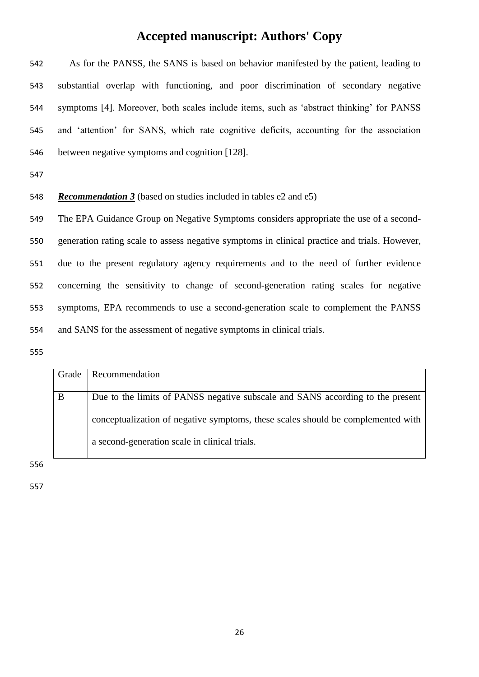As for the PANSS, the SANS is based on behavior manifested by the patient, leading to substantial overlap with functioning, and poor discrimination of secondary negative symptoms [4]. Moreover, both scales include items, such as 'abstract thinking' for PANSS and 'attention' for SANS, which rate cognitive deficits, accounting for the association between negative symptoms and cognition [128].

*Recommendation 3* (based on studies included in tables e2 and e5)

 The EPA Guidance Group on Negative Symptoms considers appropriate the use of a second- generation rating scale to assess negative symptoms in clinical practice and trials. However, due to the present regulatory agency requirements and to the need of further evidence concerning the sensitivity to change of second-generation rating scales for negative symptoms, EPA recommends to use a second-generation scale to complement the PANSS and SANS for the assessment of negative symptoms in clinical trials.

| Grade | Recommendation                                                                   |
|-------|----------------------------------------------------------------------------------|
|       |                                                                                  |
| B     | Due to the limits of PANSS negative subscale and SANS according to the present   |
|       |                                                                                  |
|       | conceptualization of negative symptoms, these scales should be complemented with |
|       |                                                                                  |
|       | a second-generation scale in clinical trials.                                    |
|       |                                                                                  |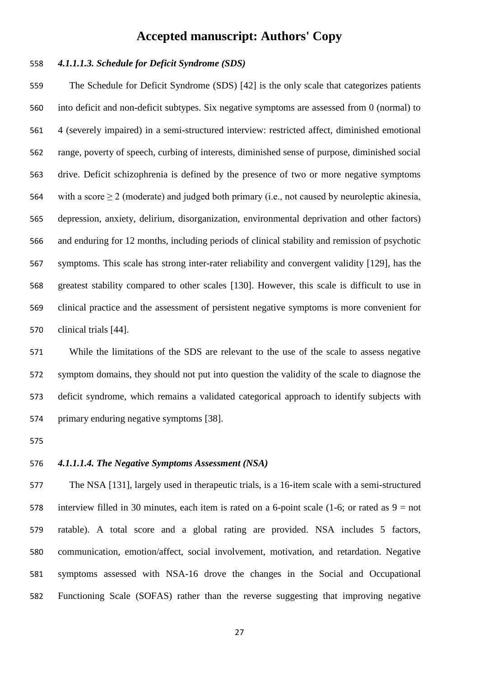### *4.1.1.1.3. Schedule for Deficit Syndrome (SDS)*

 The Schedule for Deficit Syndrome (SDS) [42] is the only scale that categorizes patients into deficit and non-deficit subtypes. Six negative symptoms are assessed from 0 (normal) to 4 (severely impaired) in a semi-structured interview: restricted affect, diminished emotional range, poverty of speech, curbing of interests, diminished sense of purpose, diminished social drive. Deficit schizophrenia is defined by the presence of two or more negative symptoms 564 with a score  $\geq 2$  (moderate) and judged both primary (i.e., not caused by neuroleptic akinesia, depression, anxiety, delirium, disorganization, environmental deprivation and other factors) and enduring for 12 months, including periods of clinical stability and remission of psychotic symptoms. This scale has strong inter-rater reliability and convergent validity [129], has the greatest stability compared to other scales [130]. However, this scale is difficult to use in clinical practice and the assessment of persistent negative symptoms is more convenient for clinical trials [44].

 While the limitations of the SDS are relevant to the use of the scale to assess negative symptom domains, they should not put into question the validity of the scale to diagnose the deficit syndrome, which remains a validated categorical approach to identify subjects with primary enduring negative symptoms [38].

### *4.1.1.1.4. The Negative Symptoms Assessment (NSA)*

 The NSA [131], largely used in therapeutic trials, is a 16-item scale with a semi-structured 578 interview filled in 30 minutes, each item is rated on a 6-point scale (1-6; or rated as  $9 = not$ ) ratable). A total score and a global rating are provided. NSA includes 5 factors, communication, emotion/affect, social involvement, motivation, and retardation. Negative symptoms assessed with NSA-16 drove the changes in the Social and Occupational Functioning Scale (SOFAS) rather than the reverse suggesting that improving negative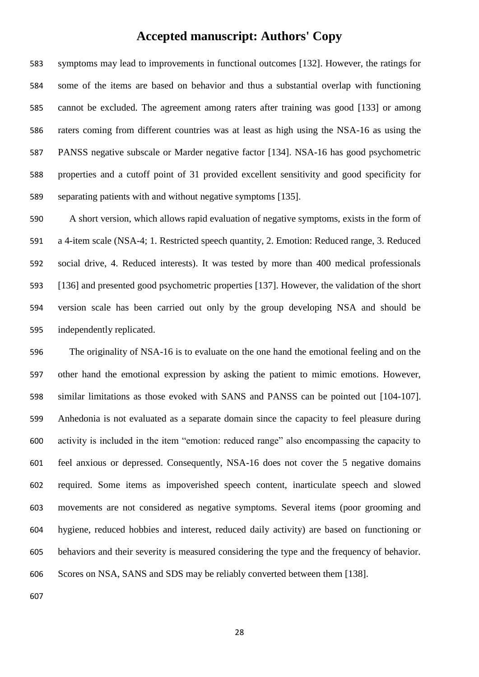symptoms may lead to improvements in functional outcomes [132]. However, the ratings for some of the items are based on behavior and thus a substantial overlap with functioning cannot be excluded. The agreement among raters after training was good [133] or among raters coming from different countries was at least as high using the NSA-16 as using the PANSS negative subscale or Marder negative factor [134]. NSA-16 has good psychometric properties and a cutoff point of 31 provided excellent sensitivity and good specificity for separating patients with and without negative symptoms [135].

 A short version, which allows rapid evaluation of negative symptoms, exists in the form of a 4-item scale (NSA-4; 1. Restricted speech quantity, 2. Emotion: Reduced range, 3. Reduced social drive, 4. Reduced interests). It was tested by more than 400 medical professionals [136] and presented good psychometric properties [137]. However, the validation of the short version scale has been carried out only by the group developing NSA and should be independently replicated.

 The originality of NSA-16 is to evaluate on the one hand the emotional feeling and on the other hand the emotional expression by asking the patient to mimic emotions. However, similar limitations as those evoked with SANS and PANSS can be pointed out [104-107]. Anhedonia is not evaluated as a separate domain since the capacity to feel pleasure during activity is included in the item "emotion: reduced range" also encompassing the capacity to feel anxious or depressed. Consequently, NSA-16 does not cover the 5 negative domains required. Some items as impoverished speech content, inarticulate speech and slowed movements are not considered as negative symptoms. Several items (poor grooming and hygiene, reduced hobbies and interest, reduced daily activity) are based on functioning or behaviors and their severity is measured considering the type and the frequency of behavior. Scores on NSA, SANS and SDS may be reliably converted between them [138].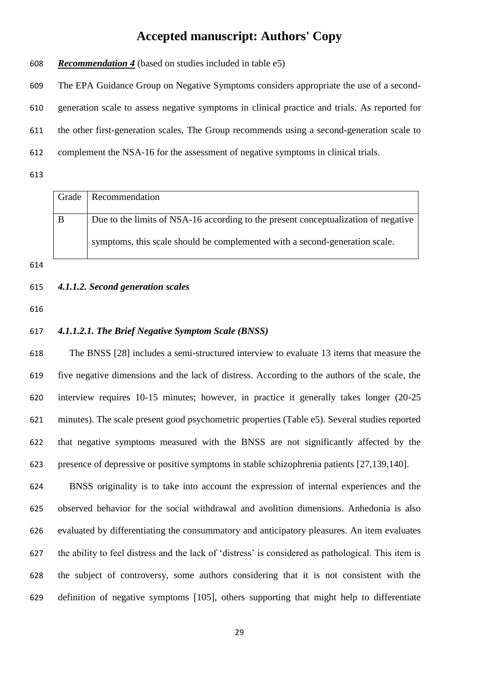*Recommendation 4* (based on studies included in table e5)

The EPA Guidance Group on Negative Symptoms considers appropriate the use of a second-

generation scale to assess negative symptoms in clinical practice and trials. As reported for

the other first-generation scales, The Group recommends using a second-generation scale to

complement the NSA-16 for the assessment of negative symptoms in clinical trials.

| Grade | Recommendation                                                                     |
|-------|------------------------------------------------------------------------------------|
| B     | Due to the limits of NSA-16 according to the present conceptualization of negative |
|       | symptoms, this scale should be complemented with a second-generation scale.        |

| 615 |  |  | 4.1.1.2. Second generation scales |  |
|-----|--|--|-----------------------------------|--|
|-----|--|--|-----------------------------------|--|

### *4.1.1.2.1. The Brief Negative Symptom Scale (BNSS)*

 The BNSS [28] includes a semi-structured interview to evaluate 13 items that measure the five negative dimensions and the lack of distress. According to the authors of the scale, the interview requires 10-15 minutes; however, in practice it generally takes longer (20-25 minutes). The scale present good psychometric properties (Table e5). Several studies reported that negative symptoms measured with the BNSS are not significantly affected by the presence of depressive or positive symptoms in stable schizophrenia patients [27,139,140].

 BNSS originality is to take into account the expression of internal experiences and the observed behavior for the social withdrawal and avolition dimensions. Anhedonia is also evaluated by differentiating the consummatory and anticipatory pleasures. An item evaluates the ability to feel distress and the lack of 'distress' is considered as pathological. This item is the subject of controversy, some authors considering that it is not consistent with the definition of negative symptoms [105], others supporting that might help to differentiate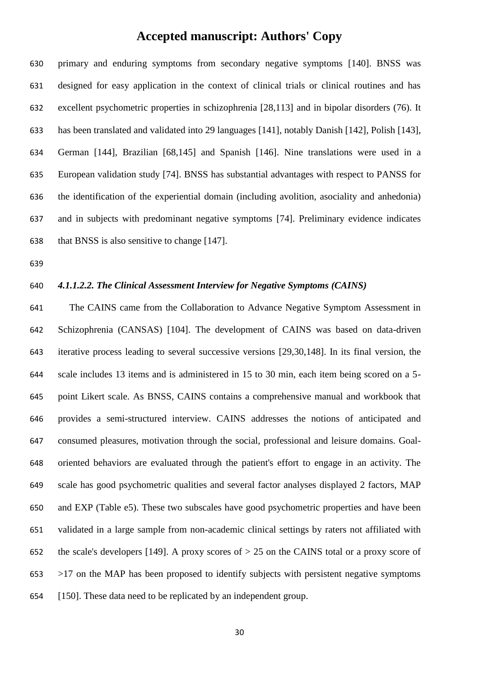primary and enduring symptoms from secondary negative symptoms [140]. BNSS was designed for easy application in the context of clinical trials or clinical routines and has excellent psychometric properties in schizophrenia [28,113] and in bipolar disorders (76). It has been translated and validated into 29 languages [141], notably Danish [142], Polish [143], German [144], Brazilian [68,145] and Spanish [146]. Nine translations were used in a European validation study [74]. BNSS has substantial advantages with respect to PANSS for the identification of the experiential domain (including avolition, asociality and anhedonia) and in subjects with predominant negative symptoms [74]. Preliminary evidence indicates that BNSS is also sensitive to change [147].

#### *4.1.1.2.2. The Clinical Assessment Interview for Negative Symptoms (CAINS)*

 The CAINS came from the Collaboration to Advance Negative Symptom Assessment in Schizophrenia (CANSAS) [104]. The development of CAINS was based on data-driven iterative process leading to several successive versions [29,30,148]. In its final version, the scale includes 13 items and is administered in 15 to 30 min, each item being scored on a 5- point Likert scale. As BNSS, CAINS contains a comprehensive manual and workbook that provides a semi-structured interview. CAINS addresses the notions of anticipated and consumed pleasures, motivation through the social, professional and leisure domains. Goal- oriented behaviors are evaluated through the patient's effort to engage in an activity. The scale has good psychometric qualities and several factor analyses displayed 2 factors, MAP and EXP (Table e5). These two subscales have good psychometric properties and have been validated in a large sample from non-academic clinical settings by raters not affiliated with 652 the scale's developers [149]. A proxy scores of  $> 25$  on the CAINS total or a proxy score of >17 on the MAP has been proposed to identify subjects with persistent negative symptoms [150]. These data need to be replicated by an independent group.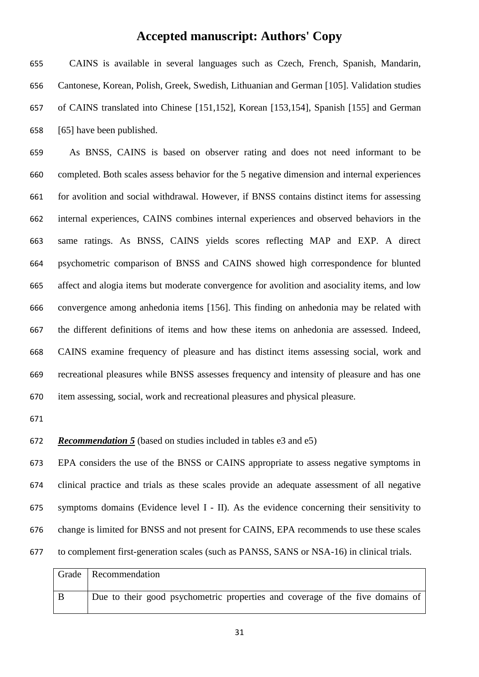CAINS is available in several languages such as Czech, French, Spanish, Mandarin, Cantonese, Korean, Polish, Greek, Swedish, Lithuanian and German [105]. Validation studies of CAINS translated into Chinese [151,152], Korean [153,154], Spanish [155] and German [65] have been published.

 As BNSS, CAINS is based on observer rating and does not need informant to be completed. Both scales assess behavior for the 5 negative dimension and internal experiences for avolition and social withdrawal. However, if BNSS contains distinct items for assessing internal experiences, CAINS combines internal experiences and observed behaviors in the same ratings. As BNSS, CAINS yields scores reflecting MAP and EXP. A direct psychometric comparison of BNSS and CAINS showed high correspondence for blunted affect and alogia items but moderate convergence for avolition and asociality items, and low convergence among anhedonia items [156]. This finding on anhedonia may be related with the different definitions of items and how these items on anhedonia are assessed. Indeed, CAINS examine frequency of pleasure and has distinct items assessing social, work and recreational pleasures while BNSS assesses frequency and intensity of pleasure and has one item assessing, social, work and recreational pleasures and physical pleasure.

#### *Recommendation 5* (based on studies included in tables e3 and e5)

 EPA considers the use of the BNSS or CAINS appropriate to assess negative symptoms in clinical practice and trials as these scales provide an adequate assessment of all negative symptoms domains (Evidence level I - II). As the evidence concerning their sensitivity to change is limited for BNSS and not present for CAINS, EPA recommends to use these scales to complement first-generation scales (such as PANSS, SANS or NSA-16) in clinical trials.

| Grade   Recommendation                                                        |
|-------------------------------------------------------------------------------|
|                                                                               |
| Due to their good psychometric properties and coverage of the five domains of |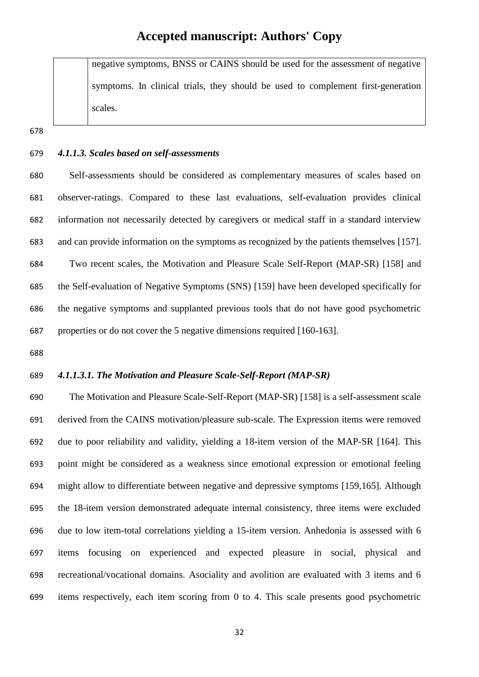negative symptoms, BNSS or CAINS should be used for the assessment of negative symptoms. In clinical trials, they should be used to complement first-generation scales.

*4.1.1.3. Scales based on self-assessments*

 Self-assessments should be considered as complementary measures of scales based on observer-ratings. Compared to these last evaluations, self-evaluation provides clinical information not necessarily detected by caregivers or medical staff in a standard interview and can provide information on the symptoms as recognized by the patients themselves [157]. Two recent scales, the Motivation and Pleasure Scale Self-Report (MAP-SR) [158] and the Self-evaluation of Negative Symptoms (SNS) [159] have been developed specifically for the negative symptoms and supplanted previous tools that do not have good psychometric properties or do not cover the 5 negative dimensions required [160-163].

### *4.1.1.3.1. The Motivation and Pleasure Scale-Self-Report (MAP-SR)*

 The Motivation and Pleasure Scale-Self-Report (MAP-SR) [158] is a self-assessment scale derived from the CAINS motivation/pleasure sub-scale. The Expression items were removed due to poor reliability and validity, yielding a 18-item version of the MAP-SR [164]. This point might be considered as a weakness since emotional expression or emotional feeling might allow to differentiate between negative and depressive symptoms [159,165]. Although the 18-item version demonstrated adequate internal consistency, three items were excluded due to low item-total correlations yielding a 15-item version. Anhedonia is assessed with 6 items focusing on experienced and expected pleasure in social, physical and recreational/vocational domains. Asociality and avolition are evaluated with 3 items and 6 items respectively, each item scoring from 0 to 4. This scale presents good psychometric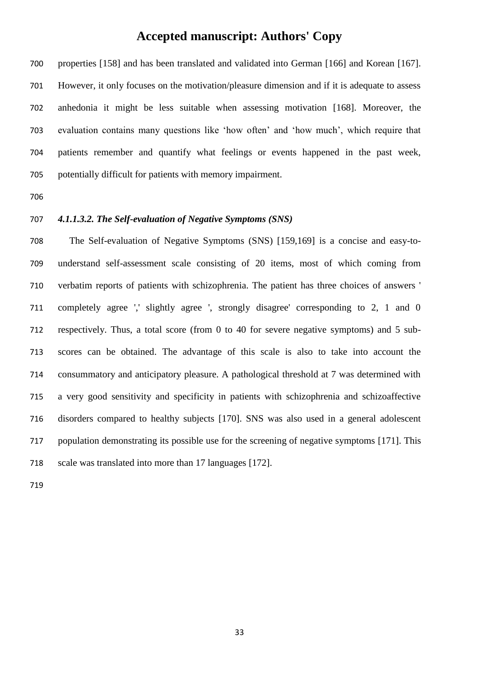properties [158] and has been translated and validated into German [166] and Korean [167]. However, it only focuses on the motivation/pleasure dimension and if it is adequate to assess anhedonia it might be less suitable when assessing motivation [168]. Moreover, the evaluation contains many questions like 'how often' and 'how much', which require that patients remember and quantify what feelings or events happened in the past week, potentially difficult for patients with memory impairment.

### *4.1.1.3.2. The Self-evaluation of Negative Symptoms (SNS)*

 The Self-evaluation of Negative Symptoms (SNS) [159,169] is a concise and easy-to- understand self-assessment scale consisting of 20 items, most of which coming from verbatim reports of patients with schizophrenia. The patient has three choices of answers ' completely agree ',' slightly agree ', strongly disagree' corresponding to 2, 1 and 0 respectively. Thus, a total score (from 0 to 40 for severe negative symptoms) and 5 sub- scores can be obtained. The advantage of this scale is also to take into account the consummatory and anticipatory pleasure. A pathological threshold at 7 was determined with a very good sensitivity and specificity in patients with schizophrenia and schizoaffective disorders compared to healthy subjects [170]. SNS was also used in a general adolescent population demonstrating its possible use for the screening of negative symptoms [171]. This scale was translated into more than 17 languages [172].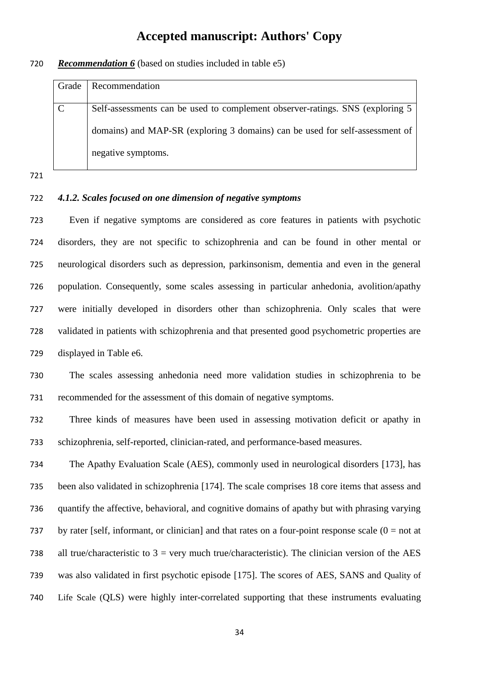#### *Recommendation 6* (based on studies included in table e5)

| Grade         | <b>Recommendation</b>                                                          |
|---------------|--------------------------------------------------------------------------------|
|               |                                                                                |
| $\mathcal{C}$ | Self-assessments can be used to complement observer-ratings. SNS (exploring 5) |
|               | domains) and MAP-SR (exploring 3 domains) can be used for self-assessment of   |
|               | negative symptoms.                                                             |

### *4.1.2. Scales focused on one dimension of negative symptoms*

 Even if negative symptoms are considered as core features in patients with psychotic disorders, they are not specific to schizophrenia and can be found in other mental or neurological disorders such as depression, parkinsonism, dementia and even in the general population. Consequently, some scales assessing in particular anhedonia, avolition/apathy were initially developed in disorders other than schizophrenia. Only scales that were validated in patients with schizophrenia and that presented good psychometric properties are displayed in Table e6.

 The scales assessing anhedonia need more validation studies in schizophrenia to be recommended for the assessment of this domain of negative symptoms.

 Three kinds of measures have been used in assessing motivation deficit or apathy in schizophrenia, self-reported, clinician-rated, and performance-based measures.

 The Apathy Evaluation Scale (AES), commonly used in neurological disorders [173], has been also validated in schizophrenia [174]. The scale comprises 18 core items that assess and quantify the affective, behavioral, and cognitive domains of apathy but with phrasing varying 737 by rater [self, informant, or clinician] and that rates on a four-point response scale  $(0 = not at$ 738 all true/characteristic to  $3 =$  very much true/characteristic). The clinician version of the AES was also validated in first psychotic episode [175]. The scores of AES, SANS and Quality of Life Scale (QLS) were highly inter-correlated supporting that these instruments evaluating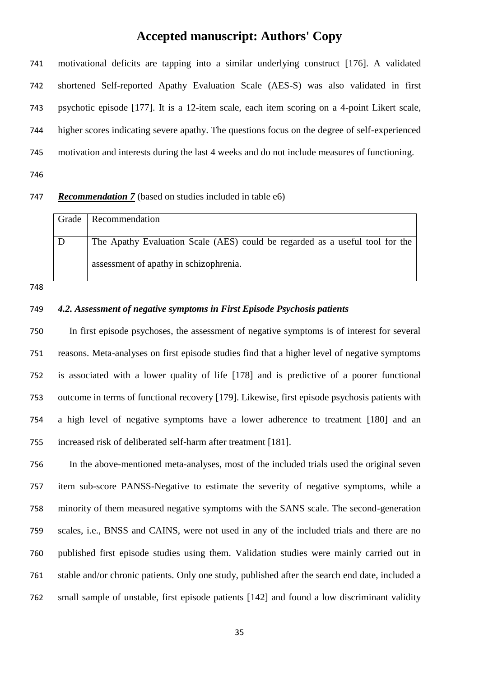motivational deficits are tapping into a similar underlying construct [176]. A validated shortened Self-reported Apathy Evaluation Scale (AES-S) was also validated in first psychotic episode [177]. It is a 12-item scale, each item scoring on a 4-point Likert scale, higher scores indicating severe apathy. The questions focus on the degree of self-experienced motivation and interests during the last 4 weeks and do not include measures of functioning.

#### *Recommendation 7* (based on studies included in table e6)

| Grade | Recommendation                                                               |
|-------|------------------------------------------------------------------------------|
|       |                                                                              |
|       | The Apathy Evaluation Scale (AES) could be regarded as a useful tool for the |
|       | assessment of apathy in schizophrenia.                                       |

#### *4.2. Assessment of negative symptoms in First Episode Psychosis patients*

 In first episode psychoses, the assessment of negative symptoms is of interest for several reasons. Meta-analyses on first episode studies find that a higher level of negative symptoms is associated with a lower quality of life [178] and is predictive of a poorer functional outcome in terms of functional recovery [179]. Likewise, first episode psychosis patients with a high level of negative symptoms have a lower adherence to treatment [180] and an increased risk of deliberated self-harm after treatment [181].

 In the above-mentioned meta-analyses, most of the included trials used the original seven item sub-score PANSS-Negative to estimate the severity of negative symptoms, while a minority of them measured negative symptoms with the SANS scale. The second-generation scales, i.e., BNSS and CAINS, were not used in any of the included trials and there are no published first episode studies using them. Validation studies were mainly carried out in stable and/or chronic patients. Only one study, published after the search end date, included a small sample of unstable, first episode patients [142] and found a low discriminant validity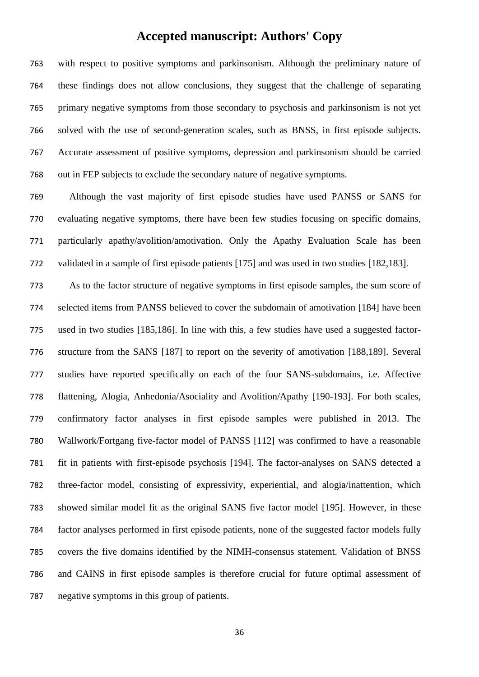with respect to positive symptoms and parkinsonism. Although the preliminary nature of these findings does not allow conclusions, they suggest that the challenge of separating primary negative symptoms from those secondary to psychosis and parkinsonism is not yet solved with the use of second-generation scales, such as BNSS, in first episode subjects. Accurate assessment of positive symptoms, depression and parkinsonism should be carried out in FEP subjects to exclude the secondary nature of negative symptoms.

 Although the vast majority of first episode studies have used PANSS or SANS for evaluating negative symptoms, there have been few studies focusing on specific domains, particularly apathy/avolition/amotivation. Only the Apathy Evaluation Scale has been validated in a sample of first episode patients [175] and was used in two studies [182,183].

 As to the factor structure of negative symptoms in first episode samples, the sum score of selected items from PANSS believed to cover the subdomain of amotivation [184] have been used in two studies [185,186]. In line with this, a few studies have used a suggested factor- structure from the SANS [187] to report on the severity of amotivation [188,189]. Several studies have reported specifically on each of the four SANS-subdomains, i.e. Affective flattening, Alogia, Anhedonia/Asociality and Avolition/Apathy [190-193]. For both scales, confirmatory factor analyses in first episode samples were published in 2013. The Wallwork/Fortgang five-factor model of PANSS [112] was confirmed to have a reasonable fit in patients with first-episode psychosis [194]. The factor-analyses on SANS detected a three-factor model, consisting of expressivity, experiential, and alogia/inattention, which showed similar model fit as the original SANS five factor model [195]. However, in these factor analyses performed in first episode patients, none of the suggested factor models fully covers the five domains identified by the NIMH-consensus statement. Validation of BNSS and CAINS in first episode samples is therefore crucial for future optimal assessment of negative symptoms in this group of patients.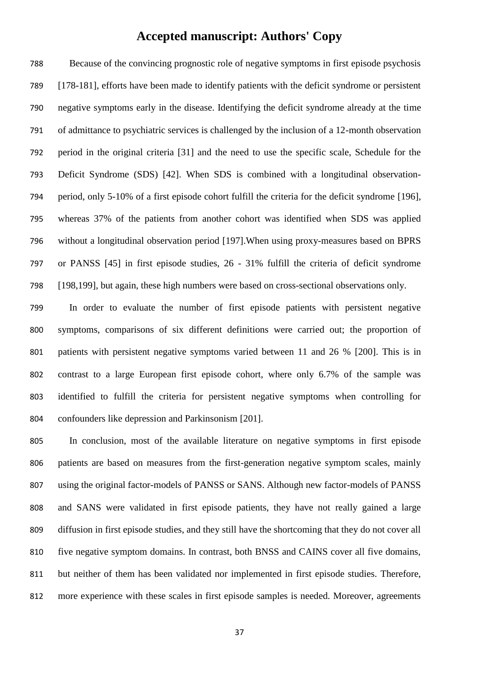Because of the convincing prognostic role of negative symptoms in first episode psychosis [178-181], efforts have been made to identify patients with the deficit syndrome or persistent negative symptoms early in the disease. Identifying the deficit syndrome already at the time of admittance to psychiatric services is challenged by the inclusion of a 12-month observation period in the original criteria [31] and the need to use the specific scale, Schedule for the Deficit Syndrome (SDS) [42]. When SDS is combined with a longitudinal observation- period, only 5-10% of a first episode cohort fulfill the criteria for the deficit syndrome [196], whereas 37% of the patients from another cohort was identified when SDS was applied without a longitudinal observation period [197].When using proxy-measures based on BPRS or PANSS [45] in first episode studies, 26 - 31% fulfill the criteria of deficit syndrome [198,199], but again, these high numbers were based on cross-sectional observations only.

 In order to evaluate the number of first episode patients with persistent negative symptoms, comparisons of six different definitions were carried out; the proportion of patients with persistent negative symptoms varied between 11 and 26 % [200]. This is in contrast to a large European first episode cohort, where only 6.7% of the sample was identified to fulfill the criteria for persistent negative symptoms when controlling for confounders like depression and Parkinsonism [201].

 In conclusion, most of the available literature on negative symptoms in first episode patients are based on measures from the first-generation negative symptom scales, mainly using the original factor-models of PANSS or SANS. Although new factor-models of PANSS and SANS were validated in first episode patients, they have not really gained a large diffusion in first episode studies, and they still have the shortcoming that they do not cover all five negative symptom domains. In contrast, both BNSS and CAINS cover all five domains, but neither of them has been validated nor implemented in first episode studies. Therefore, more experience with these scales in first episode samples is needed. Moreover, agreements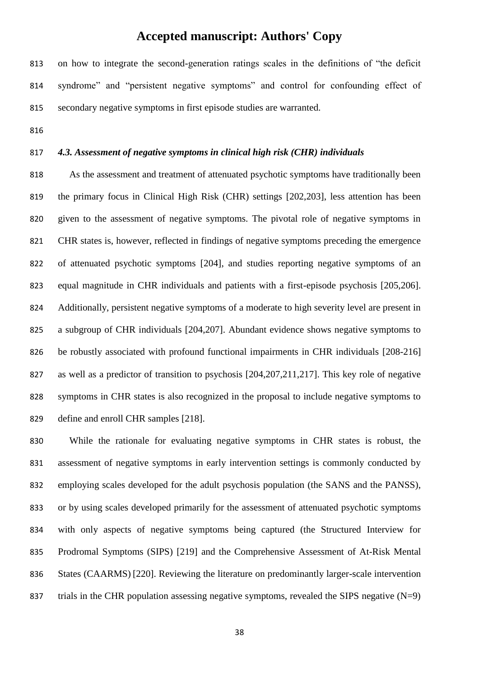on how to integrate the second-generation ratings scales in the definitions of "the deficit syndrome" and "persistent negative symptoms" and control for confounding effect of secondary negative symptoms in first episode studies are warranted.

#### *4.3. Assessment of negative symptoms in clinical high risk (CHR) individuals*

 As the assessment and treatment of attenuated psychotic symptoms have traditionally been the primary focus in Clinical High Risk (CHR) settings [202,203], less attention has been given to the assessment of negative symptoms. The pivotal role of negative symptoms in CHR states is, however, reflected in findings of negative symptoms preceding the emergence of attenuated psychotic symptoms [204], and studies reporting negative symptoms of an equal magnitude in CHR individuals and patients with a first-episode psychosis [205,206]. Additionally, persistent negative symptoms of a moderate to high severity level are present in a subgroup of CHR individuals [204,207]. Abundant evidence shows negative symptoms to 826 be robustly associated with profound functional impairments in CHR individuals [208-216] as well as a predictor of transition to psychosis [204,207,211,217]. This key role of negative symptoms in CHR states is also recognized in the proposal to include negative symptoms to define and enroll CHR samples [218].

 While the rationale for evaluating negative symptoms in CHR states is robust, the assessment of negative symptoms in early intervention settings is commonly conducted by employing scales developed for the adult psychosis population (the SANS and the PANSS), or by using scales developed primarily for the assessment of attenuated psychotic symptoms with only aspects of negative symptoms being captured (the Structured Interview for Prodromal Symptoms (SIPS) [219] and the Comprehensive Assessment of At-Risk Mental States (CAARMS) [220]. Reviewing the literature on predominantly larger-scale intervention 837 trials in the CHR population assessing negative symptoms, revealed the SIPS negative  $(N=9)$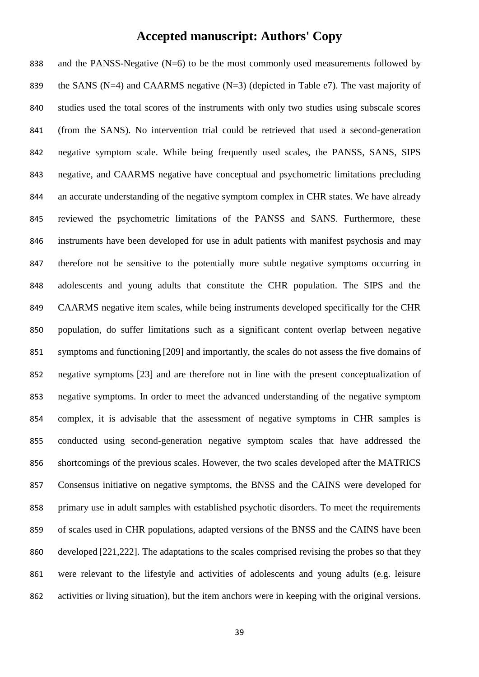838 and the PANSS-Negative  $(N=6)$  to be the most commonly used measurements followed by 839 the SANS (N=4) and CAARMS negative  $(N=3)$  (depicted in Table e7). The vast majority of studies used the total scores of the instruments with only two studies using subscale scores (from the SANS). No intervention trial could be retrieved that used a second-generation negative symptom scale. While being frequently used scales, the PANSS, SANS, SIPS negative, and CAARMS negative have conceptual and psychometric limitations precluding an accurate understanding of the negative symptom complex in CHR states. We have already reviewed the psychometric limitations of the PANSS and SANS. Furthermore, these instruments have been developed for use in adult patients with manifest psychosis and may therefore not be sensitive to the potentially more subtle negative symptoms occurring in adolescents and young adults that constitute the CHR population. The SIPS and the CAARMS negative item scales, while being instruments developed specifically for the CHR population, do suffer limitations such as a significant content overlap between negative symptoms and functioning [209] and importantly, the scales do not assess the five domains of negative symptoms [23] and are therefore not in line with the present conceptualization of negative symptoms. In order to meet the advanced understanding of the negative symptom complex, it is advisable that the assessment of negative symptoms in CHR samples is conducted using second-generation negative symptom scales that have addressed the shortcomings of the previous scales. However, the two scales developed after the MATRICS Consensus initiative on negative symptoms, the BNSS and the CAINS were developed for primary use in adult samples with established psychotic disorders. To meet the requirements of scales used in CHR populations, adapted versions of the BNSS and the CAINS have been developed [221,222]. The adaptations to the scales comprised revising the probes so that they were relevant to the lifestyle and activities of adolescents and young adults (e.g. leisure activities or living situation), but the item anchors were in keeping with the original versions.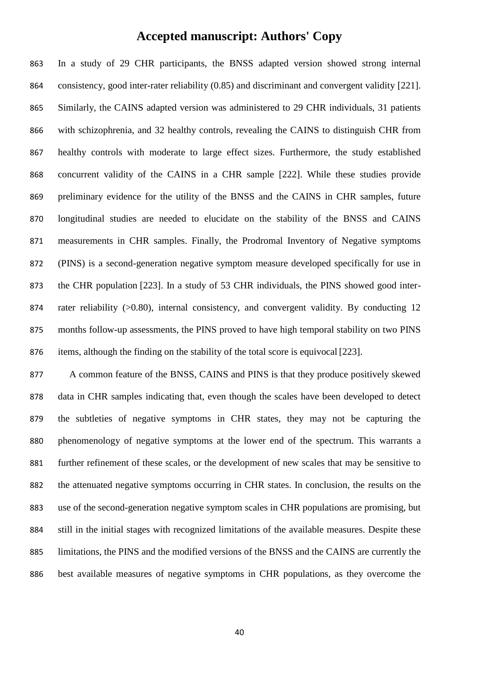In a study of 29 CHR participants, the BNSS adapted version showed strong internal consistency, good inter-rater reliability (0.85) and discriminant and convergent validity [221]. Similarly, the CAINS adapted version was administered to 29 CHR individuals, 31 patients with schizophrenia, and 32 healthy controls, revealing the CAINS to distinguish CHR from healthy controls with moderate to large effect sizes. Furthermore, the study established concurrent validity of the CAINS in a CHR sample [222]. While these studies provide preliminary evidence for the utility of the BNSS and the CAINS in CHR samples, future longitudinal studies are needed to elucidate on the stability of the BNSS and CAINS measurements in CHR samples. Finally, the Prodromal Inventory of Negative symptoms (PINS) is a second-generation negative symptom measure developed specifically for use in the CHR population [223]. In a study of 53 CHR individuals, the PINS showed good inter-874 rater reliability (>0.80), internal consistency, and convergent validity. By conducting 12 months follow-up assessments, the PINS proved to have high temporal stability on two PINS items, although the finding on the stability of the total score is equivocal [223].

 A common feature of the BNSS, CAINS and PINS is that they produce positively skewed data in CHR samples indicating that, even though the scales have been developed to detect the subtleties of negative symptoms in CHR states, they may not be capturing the phenomenology of negative symptoms at the lower end of the spectrum. This warrants a further refinement of these scales, or the development of new scales that may be sensitive to the attenuated negative symptoms occurring in CHR states. In conclusion, the results on the use of the second-generation negative symptom scales in CHR populations are promising, but still in the initial stages with recognized limitations of the available measures. Despite these limitations, the PINS and the modified versions of the BNSS and the CAINS are currently the best available measures of negative symptoms in CHR populations, as they overcome the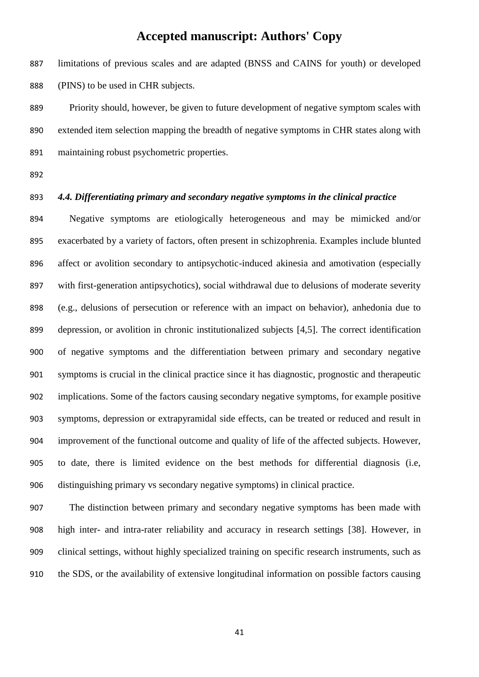limitations of previous scales and are adapted (BNSS and CAINS for youth) or developed (PINS) to be used in CHR subjects.

 Priority should, however, be given to future development of negative symptom scales with extended item selection mapping the breadth of negative symptoms in CHR states along with maintaining robust psychometric properties.

#### *4.4. Differentiating primary and secondary negative symptoms in the clinical practice*

 Negative symptoms are etiologically heterogeneous and may be mimicked and/or exacerbated by a variety of factors, often present in schizophrenia. Examples include blunted affect or avolition secondary to antipsychotic-induced akinesia and amotivation (especially with first-generation antipsychotics), social withdrawal due to delusions of moderate severity (e.g., delusions of persecution or reference with an impact on behavior), anhedonia due to depression, or avolition in chronic institutionalized subjects [4,5]. The correct identification of negative symptoms and the differentiation between primary and secondary negative symptoms is crucial in the clinical practice since it has diagnostic, prognostic and therapeutic implications. Some of the factors causing secondary negative symptoms, for example positive symptoms, depression or extrapyramidal side effects, can be treated or reduced and result in improvement of the functional outcome and quality of life of the affected subjects. However, to date, there is limited evidence on the best methods for differential diagnosis (i.e, distinguishing primary vs secondary negative symptoms) in clinical practice.

 The distinction between primary and secondary negative symptoms has been made with high inter- and intra-rater reliability and accuracy in research settings [38]. However, in clinical settings, without highly specialized training on specific research instruments, such as the SDS, or the availability of extensive longitudinal information on possible factors causing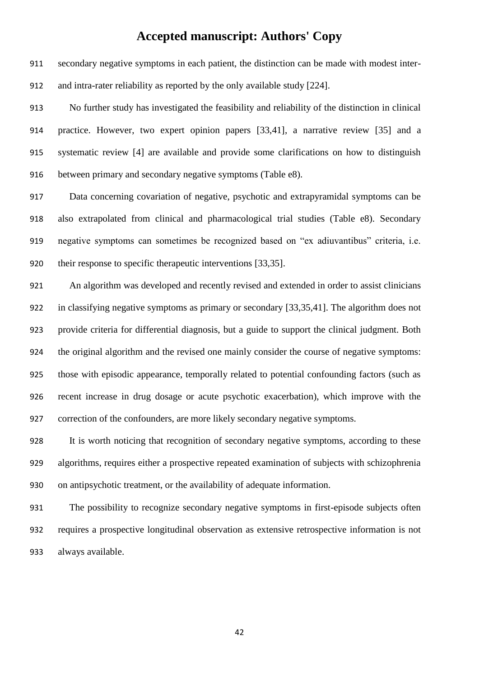secondary negative symptoms in each patient, the distinction can be made with modest inter-and intra-rater reliability as reported by the only available study [224].

 No further study has investigated the feasibility and reliability of the distinction in clinical practice. However, two expert opinion papers [33,41], a narrative review [35] and a systematic review [4] are available and provide some clarifications on how to distinguish between primary and secondary negative symptoms (Table e8).

 Data concerning covariation of negative, psychotic and extrapyramidal symptoms can be also extrapolated from clinical and pharmacological trial studies (Table e8). Secondary negative symptoms can sometimes be recognized based on "ex adiuvantibus" criteria, i.e. their response to specific therapeutic interventions [33,35].

 An algorithm was developed and recently revised and extended in order to assist clinicians in classifying negative symptoms as primary or secondary [33,35,41]. The algorithm does not provide criteria for differential diagnosis, but a guide to support the clinical judgment. Both the original algorithm and the revised one mainly consider the course of negative symptoms: those with episodic appearance, temporally related to potential confounding factors (such as recent increase in drug dosage or acute psychotic exacerbation), which improve with the correction of the confounders, are more likely secondary negative symptoms.

 It is worth noticing that recognition of secondary negative symptoms, according to these algorithms, requires either a prospective repeated examination of subjects with schizophrenia on antipsychotic treatment, or the availability of adequate information.

 The possibility to recognize secondary negative symptoms in first-episode subjects often requires a prospective longitudinal observation as extensive retrospective information is not always available.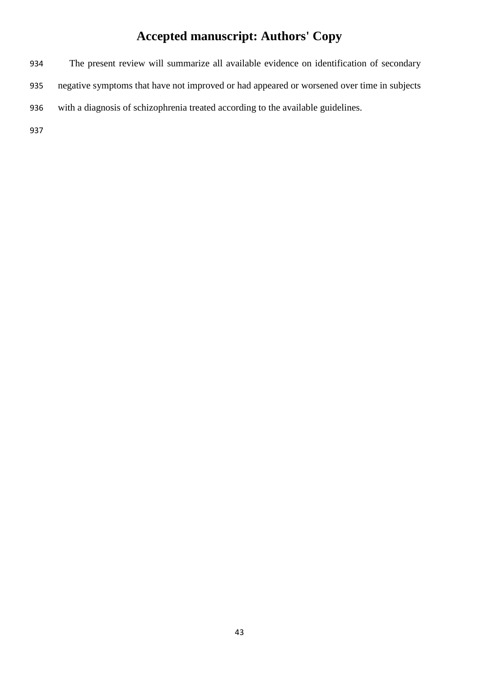The present review will summarize all available evidence on identification of secondary negative symptoms that have not improved or had appeared or worsened over time in subjects with a diagnosis of schizophrenia treated according to the available guidelines.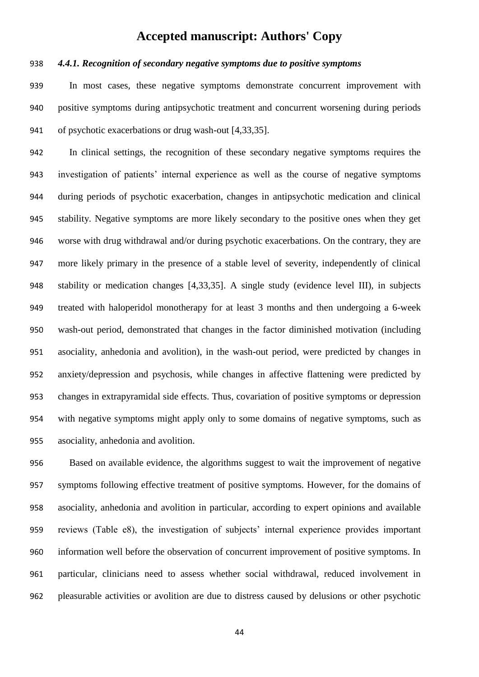#### *4.4.1. Recognition of secondary negative symptoms due to positive symptoms*

 In most cases, these negative symptoms demonstrate concurrent improvement with positive symptoms during antipsychotic treatment and concurrent worsening during periods of psychotic exacerbations or drug wash-out [4,33,35].

 In clinical settings, the recognition of these secondary negative symptoms requires the investigation of patients' internal experience as well as the course of negative symptoms during periods of psychotic exacerbation, changes in antipsychotic medication and clinical stability. Negative symptoms are more likely secondary to the positive ones when they get worse with drug withdrawal and/or during psychotic exacerbations. On the contrary, they are more likely primary in the presence of a stable level of severity, independently of clinical stability or medication changes [4,33,35]. A single study (evidence level III), in subjects treated with haloperidol monotherapy for at least 3 months and then undergoing a 6-week wash-out period, demonstrated that changes in the factor diminished motivation (including asociality, anhedonia and avolition), in the wash-out period, were predicted by changes in anxiety/depression and psychosis, while changes in affective flattening were predicted by changes in extrapyramidal side effects. Thus, covariation of positive symptoms or depression with negative symptoms might apply only to some domains of negative symptoms, such as asociality, anhedonia and avolition.

 Based on available evidence, the algorithms suggest to wait the improvement of negative symptoms following effective treatment of positive symptoms. However, for the domains of asociality, anhedonia and avolition in particular, according to expert opinions and available reviews (Table e8), the investigation of subjects' internal experience provides important information well before the observation of concurrent improvement of positive symptoms. In particular, clinicians need to assess whether social withdrawal, reduced involvement in pleasurable activities or avolition are due to distress caused by delusions or other psychotic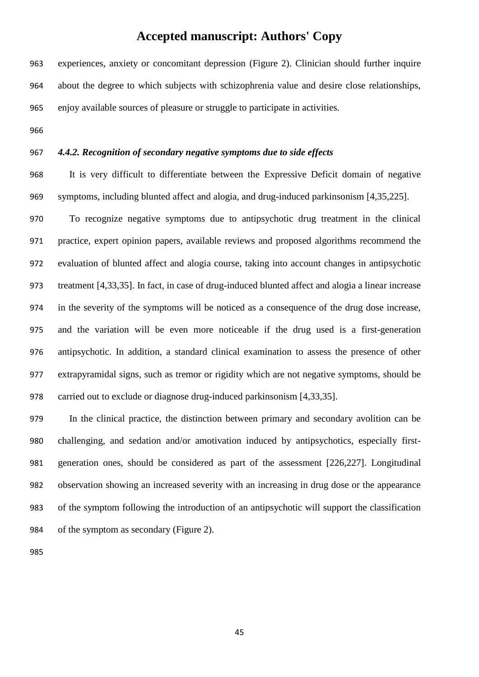experiences, anxiety or concomitant depression (Figure 2). Clinician should further inquire about the degree to which subjects with schizophrenia value and desire close relationships, enjoy available sources of pleasure or struggle to participate in activities.

#### *4.4.2. Recognition of secondary negative symptoms due to side effects*

 It is very difficult to differentiate between the Expressive Deficit domain of negative symptoms, including blunted affect and alogia, and drug-induced parkinsonism [4,35,225].

 To recognize negative symptoms due to antipsychotic drug treatment in the clinical practice, expert opinion papers, available reviews and proposed algorithms recommend the evaluation of blunted affect and alogia course, taking into account changes in antipsychotic treatment [4,33,35]. In fact, in case of drug-induced blunted affect and alogia a linear increase in the severity of the symptoms will be noticed as a consequence of the drug dose increase, and the variation will be even more noticeable if the drug used is a first-generation antipsychotic. In addition, a standard clinical examination to assess the presence of other extrapyramidal signs, such as tremor or rigidity which are not negative symptoms, should be carried out to exclude or diagnose drug-induced parkinsonism [4,33,35].

 In the clinical practice, the distinction between primary and secondary avolition can be challenging, and sedation and/or amotivation induced by antipsychotics, especially first- generation ones, should be considered as part of the assessment [226,227]. Longitudinal observation showing an increased severity with an increasing in drug dose or the appearance of the symptom following the introduction of an antipsychotic will support the classification 984 of the symptom as secondary (Figure 2).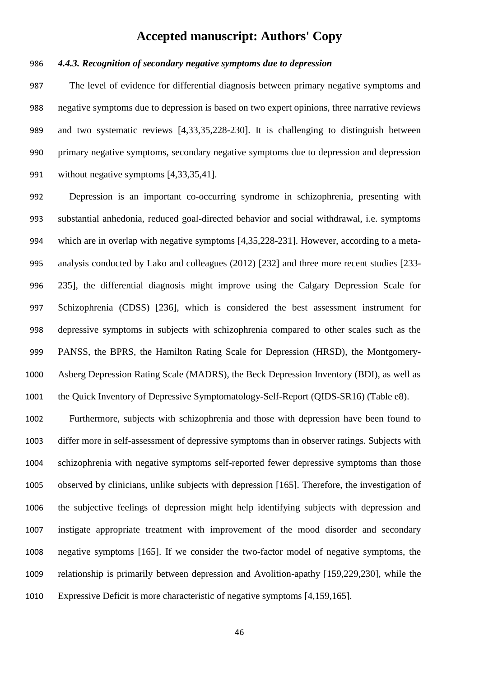#### *4.4.3. Recognition of secondary negative symptoms due to depression*

 The level of evidence for differential diagnosis between primary negative symptoms and negative symptoms due to depression is based on two expert opinions, three narrative reviews and two systematic reviews [4,33,35,228-230]. It is challenging to distinguish between primary negative symptoms, secondary negative symptoms due to depression and depression without negative symptoms [4,33,35,41].

 Depression is an important co-occurring syndrome in schizophrenia, presenting with substantial anhedonia, reduced goal-directed behavior and social withdrawal, i.e. symptoms which are in overlap with negative symptoms [4,35,228-231]. However, according to a meta- analysis conducted by Lako and colleagues (2012) [232] and three more recent studies [233- 235], the differential diagnosis might improve using the Calgary Depression Scale for Schizophrenia (CDSS) [236], which is considered the best assessment instrument for depressive symptoms in subjects with schizophrenia compared to other scales such as the PANSS, the BPRS, the Hamilton Rating Scale for Depression (HRSD), the Montgomery- Asberg Depression Rating Scale (MADRS), the Beck Depression Inventory (BDI), as well as the Quick Inventory of Depressive Symptomatology-Self-Report (QIDS-SR16) (Table e8).

 Furthermore, subjects with schizophrenia and those with depression have been found to differ more in self-assessment of depressive symptoms than in observer ratings. Subjects with schizophrenia with negative symptoms self-reported fewer depressive symptoms than those observed by clinicians, unlike subjects with depression [165]. Therefore, the investigation of the subjective feelings of depression might help identifying subjects with depression and instigate appropriate treatment with improvement of the mood disorder and secondary negative symptoms [165]. If we consider the two-factor model of negative symptoms, the relationship is primarily between depression and Avolition-apathy [159,229,230], while the Expressive Deficit is more characteristic of negative symptoms [4,159,165].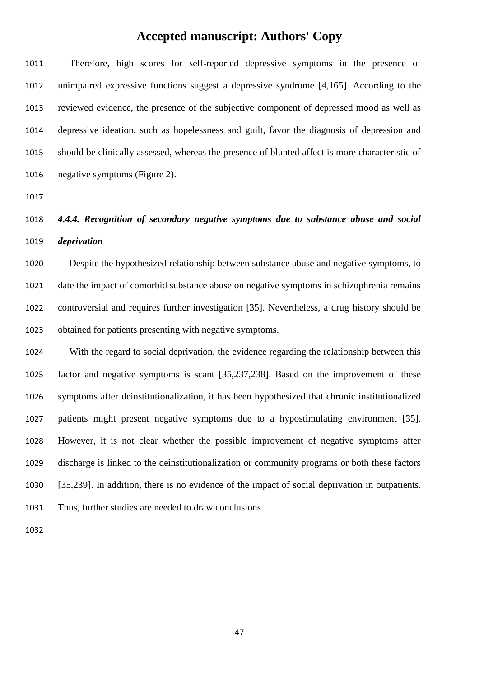Therefore, high scores for self-reported depressive symptoms in the presence of unimpaired expressive functions suggest a depressive syndrome [4,165]. According to the reviewed evidence, the presence of the subjective component of depressed mood as well as depressive ideation, such as hopelessness and guilt, favor the diagnosis of depression and should be clinically assessed, whereas the presence of blunted affect is more characteristic of negative symptoms (Figure 2).

 *4.4.4. Recognition of secondary negative symptoms due to substance abuse and social deprivation*

 Despite the hypothesized relationship between substance abuse and negative symptoms, to date the impact of comorbid substance abuse on negative symptoms in schizophrenia remains controversial and requires further investigation [35]. Nevertheless, a drug history should be obtained for patients presenting with negative symptoms.

 With the regard to social deprivation, the evidence regarding the relationship between this factor and negative symptoms is scant [35,237,238]. Based on the improvement of these symptoms after deinstitutionalization, it has been hypothesized that chronic institutionalized patients might present negative symptoms due to a hypostimulating environment [35]. However, it is not clear whether the possible improvement of negative symptoms after discharge is linked to the deinstitutionalization or community programs or both these factors [35,239]. In addition, there is no evidence of the impact of social deprivation in outpatients. Thus, further studies are needed to draw conclusions.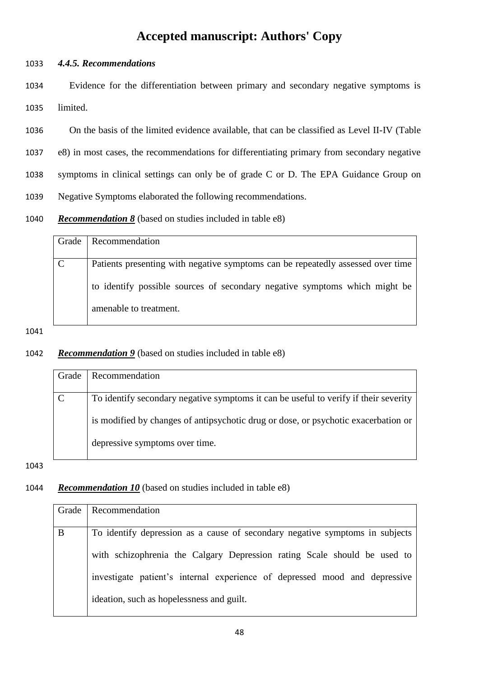#### 1033 *4.4.5. Recommendations*

1034 Evidence for the differentiation between primary and secondary negative symptoms is 1035 limited.

 On the basis of the limited evidence available, that can be classified as Level II-IV (Table e8) in most cases, the recommendations for differentiating primary from secondary negative symptoms in clinical settings can only be of grade C or D. The EPA Guidance Group on Negative Symptoms elaborated the following recommendations.

1040 *Recommendation 8* (based on studies included in table e8)

| Grade         | <b>Recommendation</b>                                                           |
|---------------|---------------------------------------------------------------------------------|
|               |                                                                                 |
| $\mathcal{C}$ | Patients presenting with negative symptoms can be repeatedly assessed over time |
|               |                                                                                 |
|               | to identify possible sources of secondary negative symptoms which might be      |
|               |                                                                                 |
|               | amenable to treatment.                                                          |
|               |                                                                                 |

#### 1041

#### 1042 *Recommendation 9* (based on studies included in table e8)

| Grade         | <b>Recommendation</b>                                                                |
|---------------|--------------------------------------------------------------------------------------|
|               |                                                                                      |
| $\mathcal{C}$ | To identify secondary negative symptoms it can be useful to verify if their severity |
|               |                                                                                      |
|               | is modified by changes of antipsychotic drug or dose, or psychotic exacerbation or   |
|               |                                                                                      |
|               | depressive symptoms over time.                                                       |
|               |                                                                                      |

1043

#### 1044 *Recommendation 10* (based on studies included in table e8)

| Grade | Recommendation                                                               |
|-------|------------------------------------------------------------------------------|
|       |                                                                              |
| B     | To identify depression as a cause of secondary negative symptoms in subjects |
|       |                                                                              |
|       | with schizophrenia the Calgary Depression rating Scale should be used to     |
|       |                                                                              |
|       | investigate patient's internal experience of depressed mood and depressive   |
|       |                                                                              |
|       | ideation, such as hopelessness and guilt.                                    |
|       |                                                                              |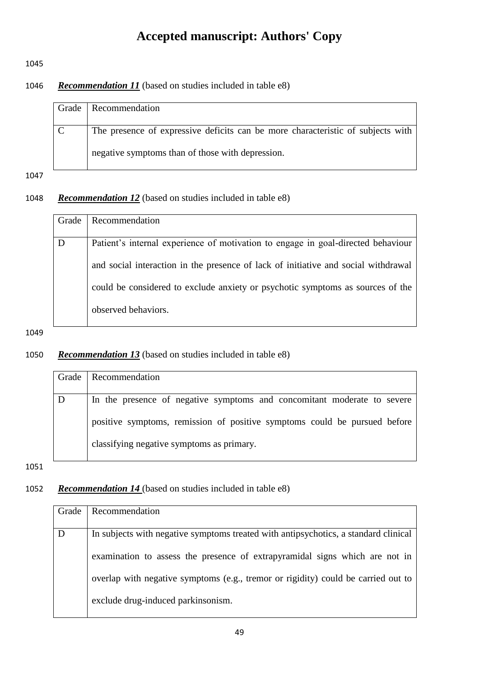1045

#### 1046 *Recommendation 11* (based on studies included in table e8)

| Grade   Recommendation                                                          |
|---------------------------------------------------------------------------------|
|                                                                                 |
| The presence of expressive deficits can be more characteristic of subjects with |
| negative symptoms than of those with depression.                                |

1047

#### 1048 *Recommendation 12* (based on studies included in table e8)

| Grade | Recommendation                                                                     |
|-------|------------------------------------------------------------------------------------|
| D     | Patient's internal experience of motivation to engage in goal-directed behaviour   |
|       | and social interaction in the presence of lack of initiative and social withdrawal |
|       | could be considered to exclude anxiety or psychotic symptoms as sources of the     |
|       | observed behaviors.                                                                |

#### 1049

#### 1050 *Recommendation 13* (based on studies included in table e8)

|   | Grade   Recommendation                                                    |
|---|---------------------------------------------------------------------------|
|   |                                                                           |
| D | In the presence of negative symptoms and concomitant moderate to severe   |
|   |                                                                           |
|   | positive symptoms, remission of positive symptoms could be pursued before |
|   | classifying negative symptoms as primary.                                 |

1051

## 1052 *Recommendation 14* (based on studies included in table e8)

| Grade | Recommendation                                                                      |
|-------|-------------------------------------------------------------------------------------|
|       |                                                                                     |
| D     | In subjects with negative symptoms treated with antipsychotics, a standard clinical |
|       |                                                                                     |
|       | examination to assess the presence of extrapyramidal signs which are not in         |
|       |                                                                                     |
|       | overlap with negative symptoms (e.g., tremor or rigidity) could be carried out to   |
|       |                                                                                     |
|       | exclude drug-induced parkinsonism.                                                  |
|       |                                                                                     |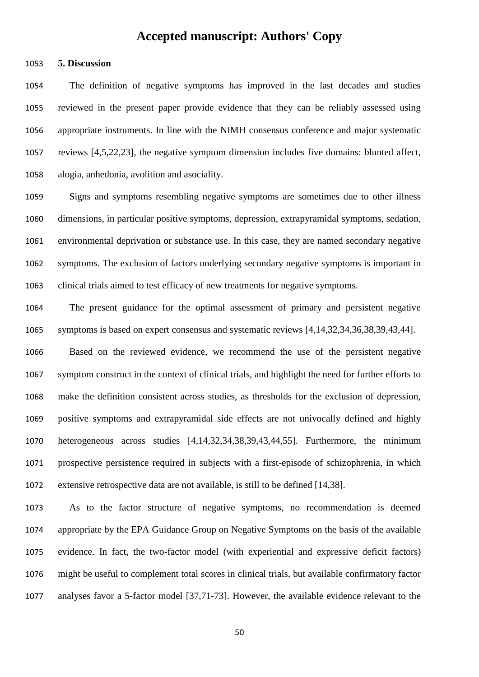**5. Discussion**

 The definition of negative symptoms has improved in the last decades and studies reviewed in the present paper provide evidence that they can be reliably assessed using appropriate instruments. In line with the NIMH consensus conference and major systematic reviews [4,5,22,23], the negative symptom dimension includes five domains: blunted affect, alogia, anhedonia, avolition and asociality.

 Signs and symptoms resembling negative symptoms are sometimes due to other illness dimensions, in particular positive symptoms, depression, extrapyramidal symptoms, sedation, environmental deprivation or substance use. In this case, they are named secondary negative symptoms. The exclusion of factors underlying secondary negative symptoms is important in clinical trials aimed to test efficacy of new treatments for negative symptoms.

 The present guidance for the optimal assessment of primary and persistent negative symptoms is based on expert consensus and systematic reviews [4,14,32,34,36,38,39,43,44].

 Based on the reviewed evidence, we recommend the use of the persistent negative symptom construct in the context of clinical trials, and highlight the need for further efforts to make the definition consistent across studies, as thresholds for the exclusion of depression, positive symptoms and extrapyramidal side effects are not univocally defined and highly heterogeneous across studies [4,14,32,34,38,39,43,44,55]. Furthermore, the minimum prospective persistence required in subjects with a first-episode of schizophrenia, in which extensive retrospective data are not available, is still to be defined [14,38].

 As to the factor structure of negative symptoms, no recommendation is deemed appropriate by the EPA Guidance Group on Negative Symptoms on the basis of the available evidence. In fact, the two-factor model (with experiential and expressive deficit factors) might be useful to complement total scores in clinical trials, but available confirmatory factor analyses favor a 5-factor model [37,71-73]. However, the available evidence relevant to the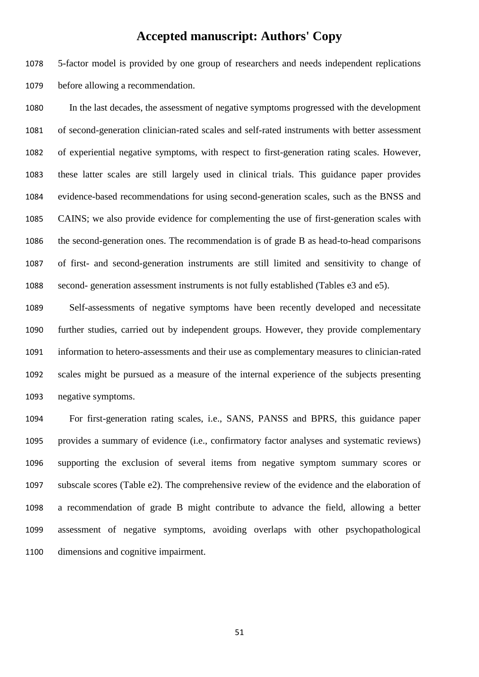5-factor model is provided by one group of researchers and needs independent replications before allowing a recommendation.

 In the last decades, the assessment of negative symptoms progressed with the development of second-generation clinician-rated scales and self-rated instruments with better assessment of experiential negative symptoms, with respect to first-generation rating scales. However, these latter scales are still largely used in clinical trials. This guidance paper provides evidence-based recommendations for using second-generation scales, such as the BNSS and CAINS; we also provide evidence for complementing the use of first-generation scales with the second-generation ones. The recommendation is of grade B as head-to-head comparisons of first- and second-generation instruments are still limited and sensitivity to change of second- generation assessment instruments is not fully established (Tables e3 and e5).

 Self-assessments of negative symptoms have been recently developed and necessitate further studies, carried out by independent groups. However, they provide complementary information to hetero-assessments and their use as complementary measures to clinician-rated scales might be pursued as a measure of the internal experience of the subjects presenting negative symptoms.

 For first-generation rating scales, i.e., SANS, PANSS and BPRS, this guidance paper provides a summary of evidence (i.e., confirmatory factor analyses and systematic reviews) supporting the exclusion of several items from negative symptom summary scores or subscale scores (Table e2). The comprehensive review of the evidence and the elaboration of a recommendation of grade B might contribute to advance the field, allowing a better assessment of negative symptoms, avoiding overlaps with other psychopathological dimensions and cognitive impairment.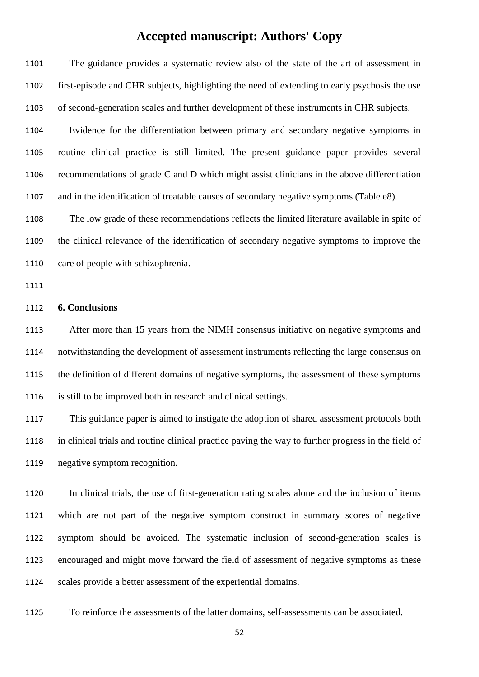The guidance provides a systematic review also of the state of the art of assessment in first-episode and CHR subjects, highlighting the need of extending to early psychosis the use of second-generation scales and further development of these instruments in CHR subjects. Evidence for the differentiation between primary and secondary negative symptoms in routine clinical practice is still limited. The present guidance paper provides several recommendations of grade C and D which might assist clinicians in the above differentiation and in the identification of treatable causes of secondary negative symptoms (Table e8). The low grade of these recommendations reflects the limited literature available in spite of the clinical relevance of the identification of secondary negative symptoms to improve the care of people with schizophrenia. **6. Conclusions** After more than 15 years from the NIMH consensus initiative on negative symptoms and notwithstanding the development of assessment instruments reflecting the large consensus on the definition of different domains of negative symptoms, the assessment of these symptoms is still to be improved both in research and clinical settings. This guidance paper is aimed to instigate the adoption of shared assessment protocols both in clinical trials and routine clinical practice paving the way to further progress in the field of negative symptom recognition.

 In clinical trials, the use of first-generation rating scales alone and the inclusion of items which are not part of the negative symptom construct in summary scores of negative symptom should be avoided. The systematic inclusion of second-generation scales is encouraged and might move forward the field of assessment of negative symptoms as these scales provide a better assessment of the experiential domains.

To reinforce the assessments of the latter domains, self-assessments can be associated.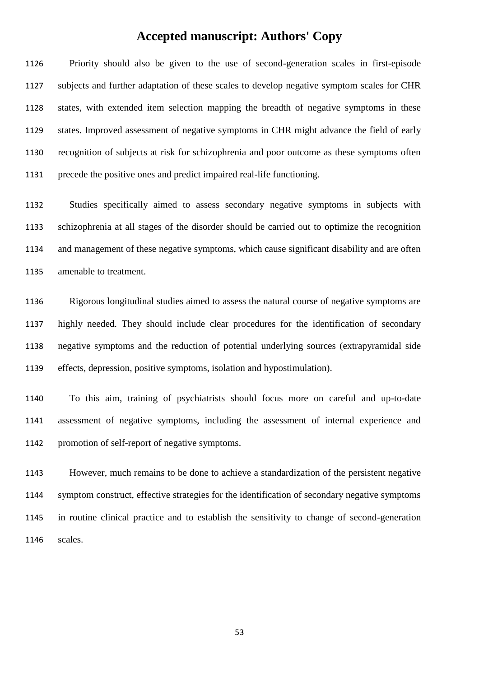Priority should also be given to the use of second-generation scales in first-episode subjects and further adaptation of these scales to develop negative symptom scales for CHR states, with extended item selection mapping the breadth of negative symptoms in these states. Improved assessment of negative symptoms in CHR might advance the field of early recognition of subjects at risk for schizophrenia and poor outcome as these symptoms often precede the positive ones and predict impaired real-life functioning.

 Studies specifically aimed to assess secondary negative symptoms in subjects with schizophrenia at all stages of the disorder should be carried out to optimize the recognition and management of these negative symptoms, which cause significant disability and are often amenable to treatment.

 Rigorous longitudinal studies aimed to assess the natural course of negative symptoms are highly needed. They should include clear procedures for the identification of secondary negative symptoms and the reduction of potential underlying sources (extrapyramidal side effects, depression, positive symptoms, isolation and hypostimulation).

 To this aim, training of psychiatrists should focus more on careful and up-to-date assessment of negative symptoms, including the assessment of internal experience and promotion of self-report of negative symptoms.

 However, much remains to be done to achieve a standardization of the persistent negative symptom construct, effective strategies for the identification of secondary negative symptoms in routine clinical practice and to establish the sensitivity to change of second-generation scales.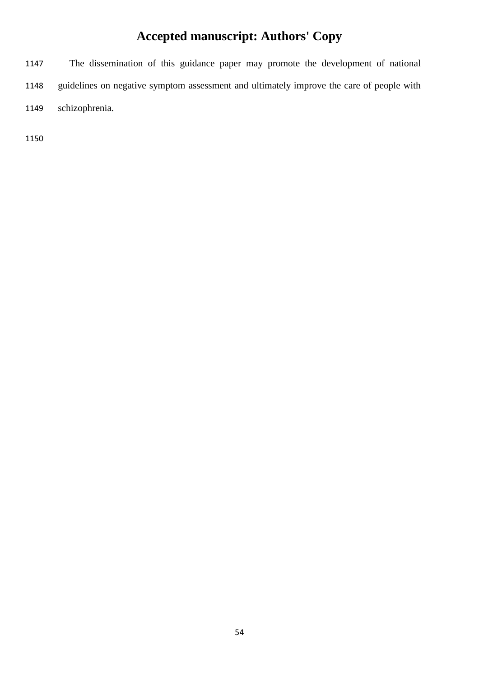The dissemination of this guidance paper may promote the development of national guidelines on negative symptom assessment and ultimately improve the care of people with schizophrenia.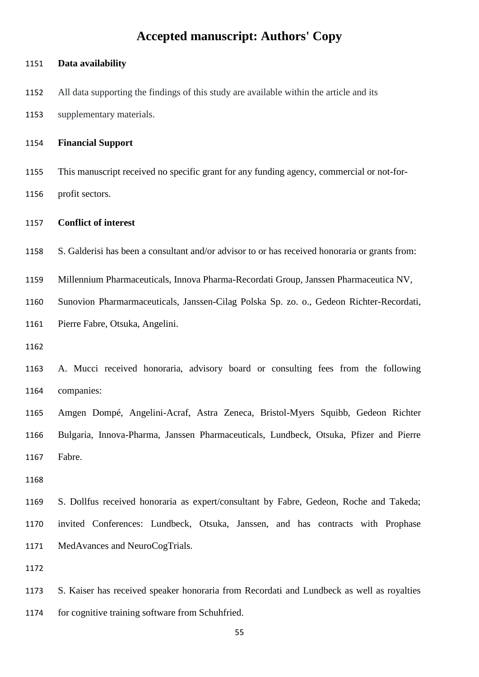| 1151 | Data availability                                                                              |
|------|------------------------------------------------------------------------------------------------|
| 1152 | All data supporting the findings of this study are available within the article and its        |
| 1153 | supplementary materials.                                                                       |
| 1154 | <b>Financial Support</b>                                                                       |
| 1155 | This manuscript received no specific grant for any funding agency, commercial or not-for-      |
| 1156 | profit sectors.                                                                                |
| 1157 | <b>Conflict of interest</b>                                                                    |
| 1158 | S. Galderisi has been a consultant and/or advisor to or has received honoraria or grants from: |
| 1159 | Millennium Pharmaceuticals, Innova Pharma-Recordati Group, Janssen Pharmaceutica NV,           |
| 1160 | Sunovion Pharmarmaceuticals, Janssen-Cilag Polska Sp. zo. o., Gedeon Richter-Recordati,        |
| 1161 | Pierre Fabre, Otsuka, Angelini.                                                                |
| 1162 |                                                                                                |
| 1163 | A. Mucci received honoraria, advisory board or consulting fees from the following              |
| 1164 | companies:                                                                                     |
| 1165 | Amgen Dompé, Angelini-Acraf, Astra Zeneca, Bristol-Myers Squibb, Gedeon Richter                |
| 1166 | Bulgaria, Innova-Pharma, Janssen Pharmaceuticals, Lundbeck, Otsuka, Pfizer and Pierre          |
| 1167 | Fabre.                                                                                         |
| 1168 |                                                                                                |
| 1169 | S. Dollfus received honoraria as expert/consultant by Fabre, Gedeon, Roche and Takeda;         |
| 1170 | invited Conferences: Lundbeck, Otsuka, Janssen, and has contracts with Prophase                |
| 1171 | MedAvances and NeuroCogTrials.                                                                 |
| 1172 |                                                                                                |
| 1173 | S. Kaiser has received speaker honoraria from Recordati and Lundbeck as well as royalties      |
| 1174 | for cognitive training software from Schuhfried.                                               |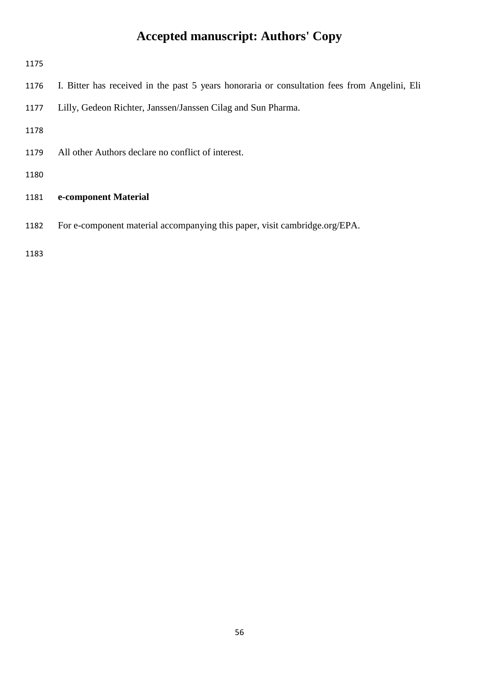| 1175 |                                                                                              |
|------|----------------------------------------------------------------------------------------------|
| 1176 | I. Bitter has received in the past 5 years honoraria or consultation fees from Angelini, Eli |
| 1177 | Lilly, Gedeon Richter, Janssen/Janssen Cilag and Sun Pharma.                                 |
| 1178 |                                                                                              |
| 1179 | All other Authors declare no conflict of interest.                                           |
| 1180 |                                                                                              |
| 1181 | e-component Material                                                                         |
| 1182 | For e-component material accompanying this paper, visit cambridge.org/EPA.                   |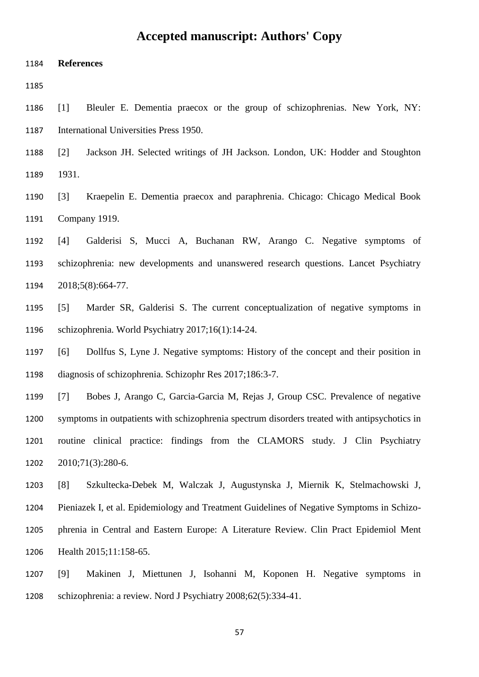**References**

 [1] Bleuler E. Dementia praecox or the group of schizophrenias. New York, NY: International Universities Press 1950.

- [2] Jackson JH. Selected writings of JH Jackson. London, UK: Hodder and Stoughton 1931.
- [3] Kraepelin E. Dementia praecox and paraphrenia. Chicago: Chicago Medical Book Company 1919.
- [4] Galderisi S, Mucci A, Buchanan RW, Arango C. Negative symptoms of schizophrenia: new developments and unanswered research questions. Lancet Psychiatry 2018;5(8):664-77.
- [5] Marder SR, Galderisi S. The current conceptualization of negative symptoms in schizophrenia. World Psychiatry 2017;16(1):14-24.
- [6] Dollfus S, Lyne J. Negative symptoms: History of the concept and their position in diagnosis of schizophrenia. Schizophr Res 2017;186:3-7.
- [7] Bobes J, Arango C, Garcia-Garcia M, Rejas J, Group CSC. Prevalence of negative symptoms in outpatients with schizophrenia spectrum disorders treated with antipsychotics in routine clinical practice: findings from the CLAMORS study. J Clin Psychiatry 2010;71(3):280-6.
- [8] Szkultecka-Debek M, Walczak J, Augustynska J, Miernik K, Stelmachowski J, Pieniazek I, et al. Epidemiology and Treatment Guidelines of Negative Symptoms in Schizo- phrenia in Central and Eastern Europe: A Literature Review. Clin Pract Epidemiol Ment Health 2015;11:158-65.
- [9] Makinen J, Miettunen J, Isohanni M, Koponen H. Negative symptoms in schizophrenia: a review. Nord J Psychiatry 2008;62(5):334-41.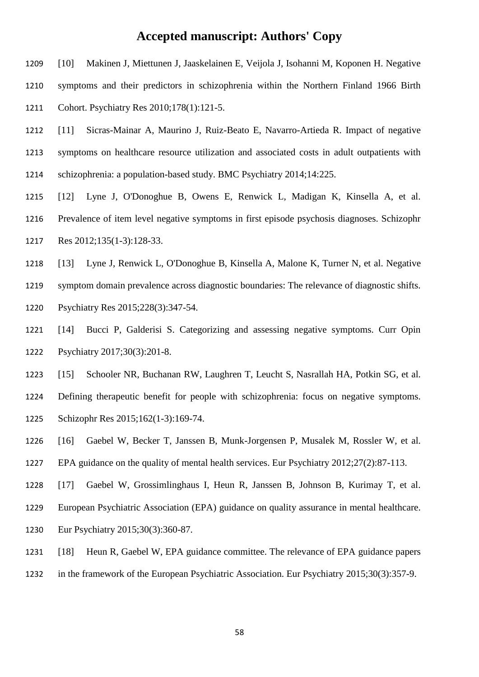- [10] Makinen J, Miettunen J, Jaaskelainen E, Veijola J, Isohanni M, Koponen H. Negative symptoms and their predictors in schizophrenia within the Northern Finland 1966 Birth Cohort. Psychiatry Res 2010;178(1):121-5.
- [11] Sicras-Mainar A, Maurino J, Ruiz-Beato E, Navarro-Artieda R. Impact of negative symptoms on healthcare resource utilization and associated costs in adult outpatients with schizophrenia: a population-based study. BMC Psychiatry 2014;14:225.
- [12] Lyne J, O'Donoghue B, Owens E, Renwick L, Madigan K, Kinsella A, et al. Prevalence of item level negative symptoms in first episode psychosis diagnoses. Schizophr Res 2012;135(1-3):128-33.
- [13] Lyne J, Renwick L, O'Donoghue B, Kinsella A, Malone K, Turner N, et al. Negative
- symptom domain prevalence across diagnostic boundaries: The relevance of diagnostic shifts. Psychiatry Res 2015;228(3):347-54.
- [14] Bucci P, Galderisi S. Categorizing and assessing negative symptoms. Curr Opin Psychiatry 2017;30(3):201-8.
- [15] Schooler NR, Buchanan RW, Laughren T, Leucht S, Nasrallah HA, Potkin SG, et al. Defining therapeutic benefit for people with schizophrenia: focus on negative symptoms. Schizophr Res 2015;162(1-3):169-74.
- [16] Gaebel W, Becker T, Janssen B, Munk-Jorgensen P, Musalek M, Rossler W, et al.
- EPA guidance on the quality of mental health services. Eur Psychiatry 2012;27(2):87-113.
- [17] Gaebel W, Grossimlinghaus I, Heun R, Janssen B, Johnson B, Kurimay T, et al.
- European Psychiatric Association (EPA) guidance on quality assurance in mental healthcare. Eur Psychiatry 2015;30(3):360-87.
- [18] Heun R, Gaebel W, EPA guidance committee. The relevance of EPA guidance papers
- in the framework of the European Psychiatric Association. Eur Psychiatry 2015;30(3):357-9.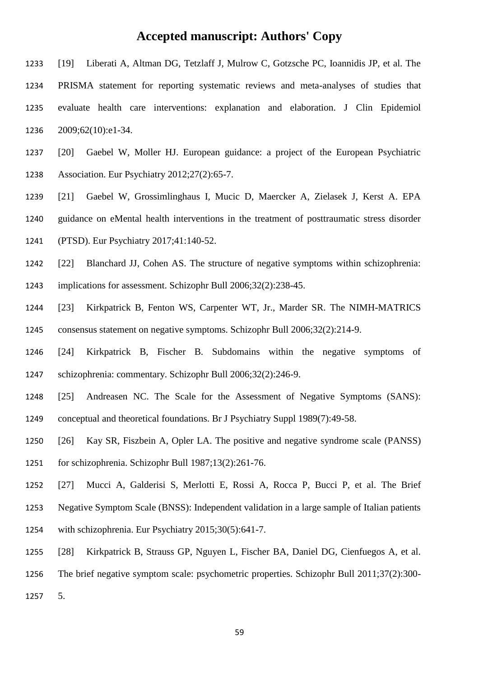- [19] Liberati A, Altman DG, Tetzlaff J, Mulrow C, Gotzsche PC, Ioannidis JP, et al. The PRISMA statement for reporting systematic reviews and meta-analyses of studies that evaluate health care interventions: explanation and elaboration. J Clin Epidemiol 2009;62(10):e1-34.
- [20] Gaebel W, Moller HJ. European guidance: a project of the European Psychiatric Association. Eur Psychiatry 2012;27(2):65-7.
- [21] Gaebel W, Grossimlinghaus I, Mucic D, Maercker A, Zielasek J, Kerst A. EPA guidance on eMental health interventions in the treatment of posttraumatic stress disorder
- (PTSD). Eur Psychiatry 2017;41:140-52.
- [22] Blanchard JJ, Cohen AS. The structure of negative symptoms within schizophrenia:
- implications for assessment. Schizophr Bull 2006;32(2):238-45.
- [23] Kirkpatrick B, Fenton WS, Carpenter WT, Jr., Marder SR. The NIMH-MATRICS consensus statement on negative symptoms. Schizophr Bull 2006;32(2):214-9.
- [24] Kirkpatrick B, Fischer B. Subdomains within the negative symptoms of schizophrenia: commentary. Schizophr Bull 2006;32(2):246-9.
- [25] Andreasen NC. The Scale for the Assessment of Negative Symptoms (SANS): conceptual and theoretical foundations. Br J Psychiatry Suppl 1989(7):49-58.
- [26] Kay SR, Fiszbein A, Opler LA. The positive and negative syndrome scale (PANSS) for schizophrenia. Schizophr Bull 1987;13(2):261-76.
- [27] Mucci A, Galderisi S, Merlotti E, Rossi A, Rocca P, Bucci P, et al. The Brief Negative Symptom Scale (BNSS): Independent validation in a large sample of Italian patients with schizophrenia. Eur Psychiatry 2015;30(5):641-7.
- [28] Kirkpatrick B, Strauss GP, Nguyen L, Fischer BA, Daniel DG, Cienfuegos A, et al. The brief negative symptom scale: psychometric properties. Schizophr Bull 2011;37(2):300-
- 5.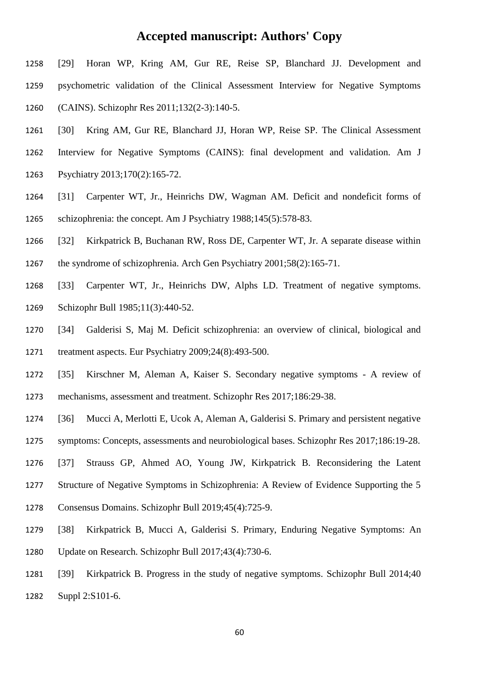- [29] Horan WP, Kring AM, Gur RE, Reise SP, Blanchard JJ. Development and psychometric validation of the Clinical Assessment Interview for Negative Symptoms (CAINS). Schizophr Res 2011;132(2-3):140-5.
- [30] Kring AM, Gur RE, Blanchard JJ, Horan WP, Reise SP. The Clinical Assessment Interview for Negative Symptoms (CAINS): final development and validation. Am J Psychiatry 2013;170(2):165-72.
- [31] Carpenter WT, Jr., Heinrichs DW, Wagman AM. Deficit and nondeficit forms of schizophrenia: the concept. Am J Psychiatry 1988;145(5):578-83.
- [32] Kirkpatrick B, Buchanan RW, Ross DE, Carpenter WT, Jr. A separate disease within the syndrome of schizophrenia. Arch Gen Psychiatry 2001;58(2):165-71.
- [33] Carpenter WT, Jr., Heinrichs DW, Alphs LD. Treatment of negative symptoms. Schizophr Bull 1985;11(3):440-52.
- [34] Galderisi S, Maj M. Deficit schizophrenia: an overview of clinical, biological and treatment aspects. Eur Psychiatry 2009;24(8):493-500.
- [35] Kirschner M, Aleman A, Kaiser S. Secondary negative symptoms A review of mechanisms, assessment and treatment. Schizophr Res 2017;186:29-38.
- [36] Mucci A, Merlotti E, Ucok A, Aleman A, Galderisi S. Primary and persistent negative
- symptoms: Concepts, assessments and neurobiological bases. Schizophr Res 2017;186:19-28.
- [37] Strauss GP, Ahmed AO, Young JW, Kirkpatrick B. Reconsidering the Latent
- Structure of Negative Symptoms in Schizophrenia: A Review of Evidence Supporting the 5
- Consensus Domains. Schizophr Bull 2019;45(4):725-9.
- [38] Kirkpatrick B, Mucci A, Galderisi S. Primary, Enduring Negative Symptoms: An Update on Research. Schizophr Bull 2017;43(4):730-6.
- [39] Kirkpatrick B. Progress in the study of negative symptoms. Schizophr Bull 2014;40 Suppl 2:S101-6.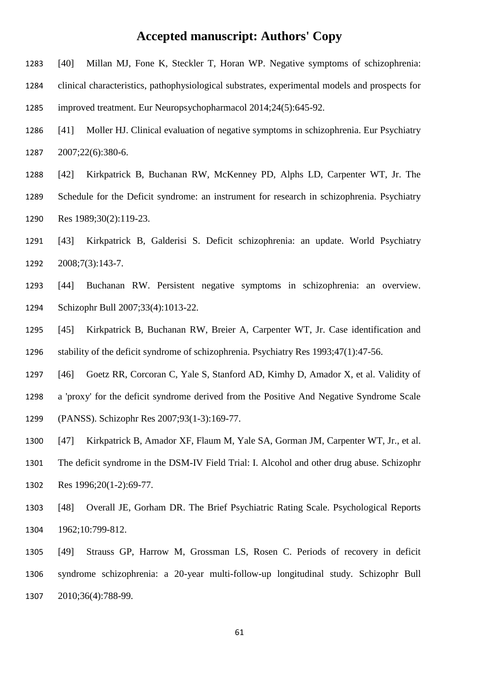- [40] Millan MJ, Fone K, Steckler T, Horan WP. Negative symptoms of schizophrenia: clinical characteristics, pathophysiological substrates, experimental models and prospects for improved treatment. Eur Neuropsychopharmacol 2014;24(5):645-92.
- [41] Moller HJ. Clinical evaluation of negative symptoms in schizophrenia. Eur Psychiatry 2007;22(6):380-6.
- [42] Kirkpatrick B, Buchanan RW, McKenney PD, Alphs LD, Carpenter WT, Jr. The Schedule for the Deficit syndrome: an instrument for research in schizophrenia. Psychiatry Res 1989;30(2):119-23.
- [43] Kirkpatrick B, Galderisi S. Deficit schizophrenia: an update. World Psychiatry 2008;7(3):143-7.
- [44] Buchanan RW. Persistent negative symptoms in schizophrenia: an overview. Schizophr Bull 2007;33(4):1013-22.
- [45] Kirkpatrick B, Buchanan RW, Breier A, Carpenter WT, Jr. Case identification and stability of the deficit syndrome of schizophrenia. Psychiatry Res 1993;47(1):47-56.
- [46] Goetz RR, Corcoran C, Yale S, Stanford AD, Kimhy D, Amador X, et al. Validity of
- a 'proxy' for the deficit syndrome derived from the Positive And Negative Syndrome Scale (PANSS). Schizophr Res 2007;93(1-3):169-77.
- [47] Kirkpatrick B, Amador XF, Flaum M, Yale SA, Gorman JM, Carpenter WT, Jr., et al. The deficit syndrome in the DSM-IV Field Trial: I. Alcohol and other drug abuse. Schizophr Res 1996;20(1-2):69-77.
- [48] Overall JE, Gorham DR. The Brief Psychiatric Rating Scale. Psychological Reports 1962;10:799-812.
- [49] Strauss GP, Harrow M, Grossman LS, Rosen C. Periods of recovery in deficit syndrome schizophrenia: a 20-year multi-follow-up longitudinal study. Schizophr Bull 2010;36(4):788-99.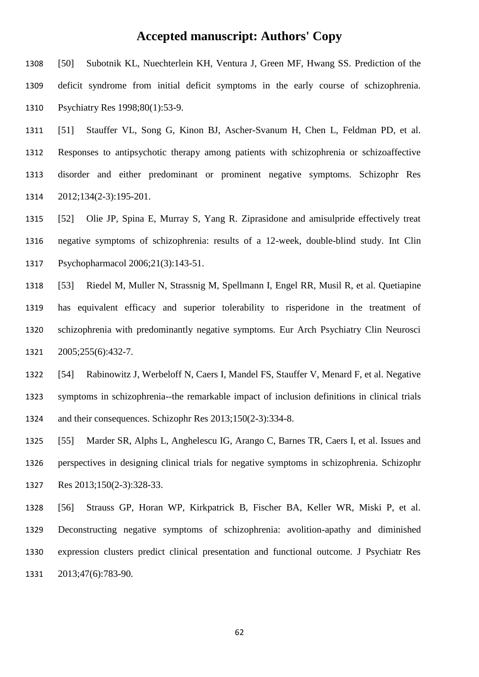[50] Subotnik KL, Nuechterlein KH, Ventura J, Green MF, Hwang SS. Prediction of the deficit syndrome from initial deficit symptoms in the early course of schizophrenia. Psychiatry Res 1998;80(1):53-9.

 [51] Stauffer VL, Song G, Kinon BJ, Ascher-Svanum H, Chen L, Feldman PD, et al. Responses to antipsychotic therapy among patients with schizophrenia or schizoaffective disorder and either predominant or prominent negative symptoms. Schizophr Res 2012;134(2-3):195-201.

 [52] Olie JP, Spina E, Murray S, Yang R. Ziprasidone and amisulpride effectively treat negative symptoms of schizophrenia: results of a 12-week, double-blind study. Int Clin Psychopharmacol 2006;21(3):143-51.

 [53] Riedel M, Muller N, Strassnig M, Spellmann I, Engel RR, Musil R, et al. Quetiapine has equivalent efficacy and superior tolerability to risperidone in the treatment of schizophrenia with predominantly negative symptoms. Eur Arch Psychiatry Clin Neurosci 2005;255(6):432-7.

 [54] Rabinowitz J, Werbeloff N, Caers I, Mandel FS, Stauffer V, Menard F, et al. Negative symptoms in schizophrenia--the remarkable impact of inclusion definitions in clinical trials and their consequences. Schizophr Res 2013;150(2-3):334-8.

 [55] Marder SR, Alphs L, Anghelescu IG, Arango C, Barnes TR, Caers I, et al. Issues and perspectives in designing clinical trials for negative symptoms in schizophrenia. Schizophr Res 2013;150(2-3):328-33.

 [56] Strauss GP, Horan WP, Kirkpatrick B, Fischer BA, Keller WR, Miski P, et al. Deconstructing negative symptoms of schizophrenia: avolition-apathy and diminished expression clusters predict clinical presentation and functional outcome. J Psychiatr Res 2013;47(6):783-90.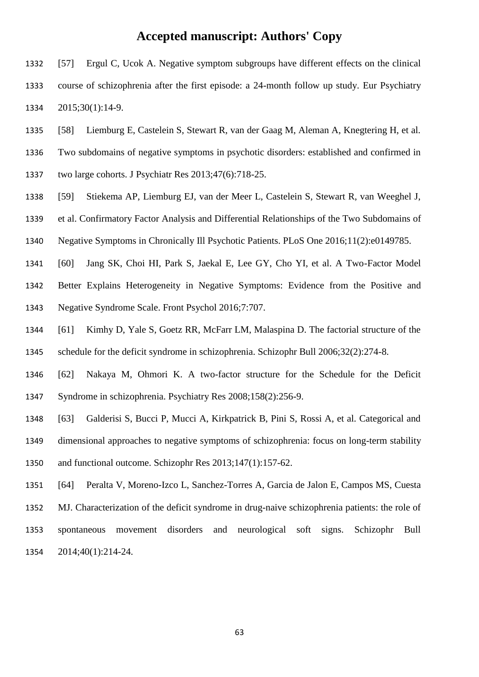- [57] Ergul C, Ucok A. Negative symptom subgroups have different effects on the clinical course of schizophrenia after the first episode: a 24-month follow up study. Eur Psychiatry 2015;30(1):14-9.
- [58] Liemburg E, Castelein S, Stewart R, van der Gaag M, Aleman A, Knegtering H, et al.
- Two subdomains of negative symptoms in psychotic disorders: established and confirmed in
- two large cohorts. J Psychiatr Res 2013;47(6):718-25.
- [59] Stiekema AP, Liemburg EJ, van der Meer L, Castelein S, Stewart R, van Weeghel J,
- et al. Confirmatory Factor Analysis and Differential Relationships of the Two Subdomains of
- Negative Symptoms in Chronically Ill Psychotic Patients. PLoS One 2016;11(2):e0149785.
- [60] Jang SK, Choi HI, Park S, Jaekal E, Lee GY, Cho YI, et al. A Two-Factor Model Better Explains Heterogeneity in Negative Symptoms: Evidence from the Positive and Negative Syndrome Scale. Front Psychol 2016;7:707.
- [61] Kimhy D, Yale S, Goetz RR, McFarr LM, Malaspina D. The factorial structure of the schedule for the deficit syndrome in schizophrenia. Schizophr Bull 2006;32(2):274-8.
- [62] Nakaya M, Ohmori K. A two-factor structure for the Schedule for the Deficit Syndrome in schizophrenia. Psychiatry Res 2008;158(2):256-9.
- [63] Galderisi S, Bucci P, Mucci A, Kirkpatrick B, Pini S, Rossi A, et al. Categorical and dimensional approaches to negative symptoms of schizophrenia: focus on long-term stability and functional outcome. Schizophr Res 2013;147(1):157-62.
- [64] Peralta V, Moreno-Izco L, Sanchez-Torres A, Garcia de Jalon E, Campos MS, Cuesta MJ. Characterization of the deficit syndrome in drug-naive schizophrenia patients: the role of spontaneous movement disorders and neurological soft signs. Schizophr Bull 2014;40(1):214-24.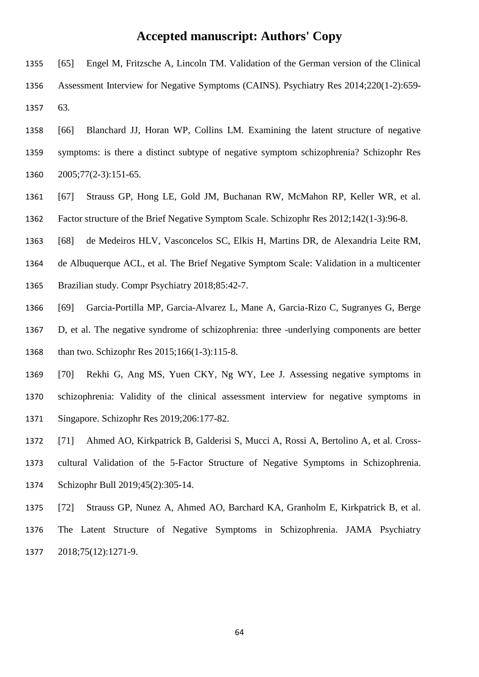- [65] Engel M, Fritzsche A, Lincoln TM. Validation of the German version of the Clinical Assessment Interview for Negative Symptoms (CAINS). Psychiatry Res 2014;220(1-2):659- 63.
- [66] Blanchard JJ, Horan WP, Collins LM. Examining the latent structure of negative symptoms: is there a distinct subtype of negative symptom schizophrenia? Schizophr Res 2005;77(2-3):151-65.
- [67] Strauss GP, Hong LE, Gold JM, Buchanan RW, McMahon RP, Keller WR, et al. Factor structure of the Brief Negative Symptom Scale. Schizophr Res 2012;142(1-3):96-8.
- [68] de Medeiros HLV, Vasconcelos SC, Elkis H, Martins DR, de Alexandria Leite RM,
- de Albuquerque ACL, et al. The Brief Negative Symptom Scale: Validation in a multicenter
- Brazilian study. Compr Psychiatry 2018;85:42-7.
- [69] Garcia-Portilla MP, Garcia-Alvarez L, Mane A, Garcia-Rizo C, Sugranyes G, Berge
- D, et al. The negative syndrome of schizophrenia: three -underlying components are better than two. Schizophr Res 2015;166(1-3):115-8.
- [70] Rekhi G, Ang MS, Yuen CKY, Ng WY, Lee J. Assessing negative symptoms in schizophrenia: Validity of the clinical assessment interview for negative symptoms in Singapore. Schizophr Res 2019;206:177-82.
- [71] Ahmed AO, Kirkpatrick B, Galderisi S, Mucci A, Rossi A, Bertolino A, et al. Cross- cultural Validation of the 5-Factor Structure of Negative Symptoms in Schizophrenia. Schizophr Bull 2019;45(2):305-14.
- [72] Strauss GP, Nunez A, Ahmed AO, Barchard KA, Granholm E, Kirkpatrick B, et al. The Latent Structure of Negative Symptoms in Schizophrenia. JAMA Psychiatry 2018;75(12):1271-9.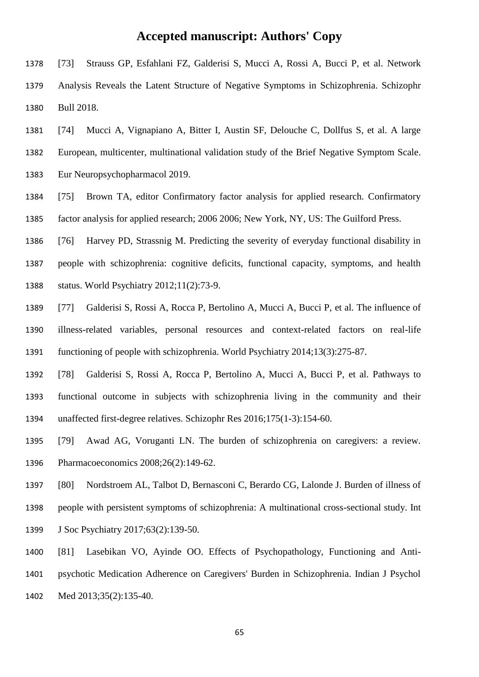- [73] Strauss GP, Esfahlani FZ, Galderisi S, Mucci A, Rossi A, Bucci P, et al. Network Analysis Reveals the Latent Structure of Negative Symptoms in Schizophrenia. Schizophr Bull 2018.
- [74] Mucci A, Vignapiano A, Bitter I, Austin SF, Delouche C, Dollfus S, et al. A large European, multicenter, multinational validation study of the Brief Negative Symptom Scale. Eur Neuropsychopharmacol 2019.
- [75] Brown TA, editor Confirmatory factor analysis for applied research. Confirmatory factor analysis for applied research; 2006 2006; New York, NY, US: The Guilford Press.
- [76] Harvey PD, Strassnig M. Predicting the severity of everyday functional disability in people with schizophrenia: cognitive deficits, functional capacity, symptoms, and health status. World Psychiatry 2012;11(2):73-9.
- [77] Galderisi S, Rossi A, Rocca P, Bertolino A, Mucci A, Bucci P, et al. The influence of illness-related variables, personal resources and context-related factors on real-life functioning of people with schizophrenia. World Psychiatry 2014;13(3):275-87.
- [78] Galderisi S, Rossi A, Rocca P, Bertolino A, Mucci A, Bucci P, et al. Pathways to functional outcome in subjects with schizophrenia living in the community and their unaffected first-degree relatives. Schizophr Res 2016;175(1-3):154-60.
- [79] Awad AG, Voruganti LN. The burden of schizophrenia on caregivers: a review. Pharmacoeconomics 2008;26(2):149-62.
- [80] Nordstroem AL, Talbot D, Bernasconi C, Berardo CG, Lalonde J. Burden of illness of people with persistent symptoms of schizophrenia: A multinational cross-sectional study. Int J Soc Psychiatry 2017;63(2):139-50.
- [81] Lasebikan VO, Ayinde OO. Effects of Psychopathology, Functioning and Anti- psychotic Medication Adherence on Caregivers' Burden in Schizophrenia. Indian J Psychol Med 2013;35(2):135-40.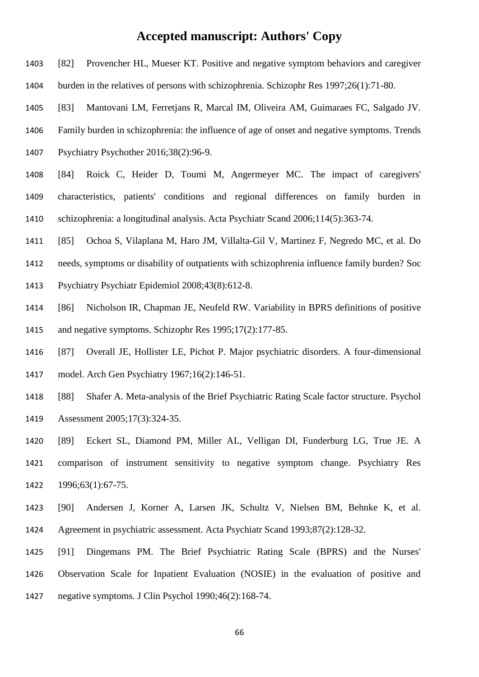- [82] Provencher HL, Mueser KT. Positive and negative symptom behaviors and caregiver
- burden in the relatives of persons with schizophrenia. Schizophr Res 1997;26(1):71-80.
- [83] Mantovani LM, Ferretjans R, Marcal IM, Oliveira AM, Guimaraes FC, Salgado JV.
- Family burden in schizophrenia: the influence of age of onset and negative symptoms. Trends
- Psychiatry Psychother 2016;38(2):96-9.
- [84] Roick C, Heider D, Toumi M, Angermeyer MC. The impact of caregivers' characteristics, patients' conditions and regional differences on family burden in schizophrenia: a longitudinal analysis. Acta Psychiatr Scand 2006;114(5):363-74.
- [85] Ochoa S, Vilaplana M, Haro JM, Villalta-Gil V, Martinez F, Negredo MC, et al. Do
- needs, symptoms or disability of outpatients with schizophrenia influence family burden? Soc
- Psychiatry Psychiatr Epidemiol 2008;43(8):612-8.
- [86] Nicholson IR, Chapman JE, Neufeld RW. Variability in BPRS definitions of positive and negative symptoms. Schizophr Res 1995;17(2):177-85.
- [87] Overall JE, Hollister LE, Pichot P. Major psychiatric disorders. A four-dimensional model. Arch Gen Psychiatry 1967;16(2):146-51.
- [88] Shafer A. Meta-analysis of the Brief Psychiatric Rating Scale factor structure. Psychol Assessment 2005;17(3):324-35.
- [89] Eckert SL, Diamond PM, Miller AL, Velligan DI, Funderburg LG, True JE. A comparison of instrument sensitivity to negative symptom change. Psychiatry Res 1996;63(1):67-75.
- [90] Andersen J, Korner A, Larsen JK, Schultz V, Nielsen BM, Behnke K, et al. Agreement in psychiatric assessment. Acta Psychiatr Scand 1993;87(2):128-32.
- [91] Dingemans PM. The Brief Psychiatric Rating Scale (BPRS) and the Nurses' Observation Scale for Inpatient Evaluation (NOSIE) in the evaluation of positive and negative symptoms. J Clin Psychol 1990;46(2):168-74.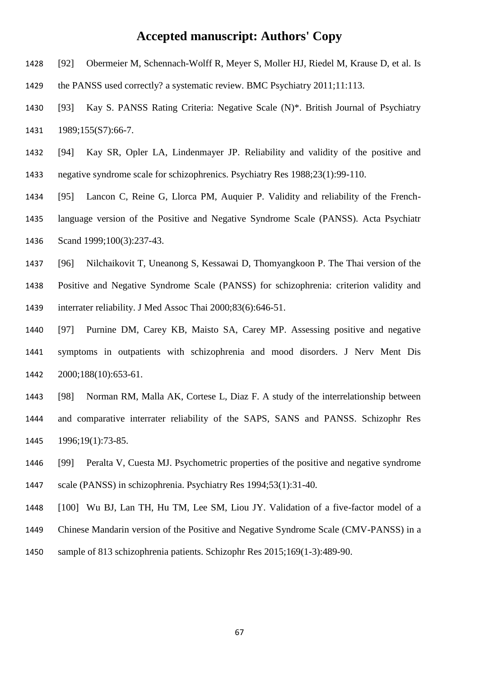- [92] Obermeier M, Schennach-Wolff R, Meyer S, Moller HJ, Riedel M, Krause D, et al. Is
- the PANSS used correctly? a systematic review. BMC Psychiatry 2011;11:113.
- [93] Kay S. PANSS Rating Criteria: Negative Scale (N)\*. British Journal of Psychiatry 1431 1989;155(S7):66-7.
- [94] Kay SR, Opler LA, Lindenmayer JP. Reliability and validity of the positive and negative syndrome scale for schizophrenics. Psychiatry Res 1988;23(1):99-110.
- [95] Lancon C, Reine G, Llorca PM, Auquier P. Validity and reliability of the French- language version of the Positive and Negative Syndrome Scale (PANSS). Acta Psychiatr Scand 1999;100(3):237-43.
- [96] Nilchaikovit T, Uneanong S, Kessawai D, Thomyangkoon P. The Thai version of the Positive and Negative Syndrome Scale (PANSS) for schizophrenia: criterion validity and interrater reliability. J Med Assoc Thai 2000;83(6):646-51.
- [97] Purnine DM, Carey KB, Maisto SA, Carey MP. Assessing positive and negative symptoms in outpatients with schizophrenia and mood disorders. J Nerv Ment Dis 2000;188(10):653-61.
- [98] Norman RM, Malla AK, Cortese L, Diaz F. A study of the interrelationship between and comparative interrater reliability of the SAPS, SANS and PANSS. Schizophr Res 1996;19(1):73-85.
- [99] Peralta V, Cuesta MJ. Psychometric properties of the positive and negative syndrome scale (PANSS) in schizophrenia. Psychiatry Res 1994;53(1):31-40.
- [100] Wu BJ, Lan TH, Hu TM, Lee SM, Liou JY. Validation of a five-factor model of a Chinese Mandarin version of the Positive and Negative Syndrome Scale (CMV-PANSS) in a sample of 813 schizophrenia patients. Schizophr Res 2015;169(1-3):489-90.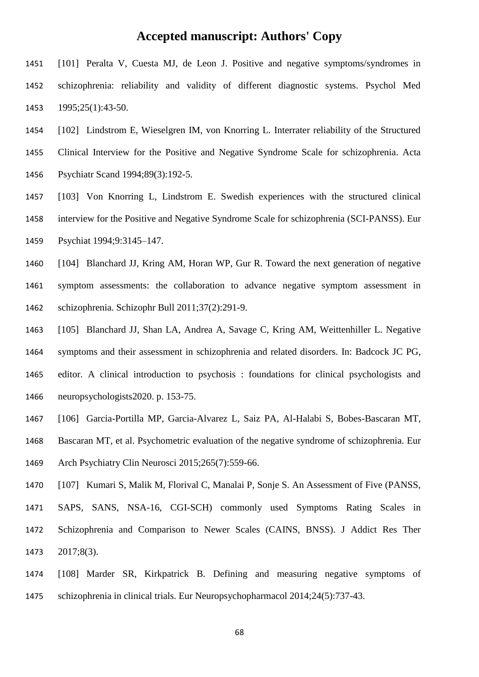- [101] Peralta V, Cuesta MJ, de Leon J. Positive and negative symptoms/syndromes in schizophrenia: reliability and validity of different diagnostic systems. Psychol Med 1995;25(1):43-50.
- [102] Lindstrom E, Wieselgren IM, von Knorring L. Interrater reliability of the Structured
- Clinical Interview for the Positive and Negative Syndrome Scale for schizophrenia. Acta Psychiatr Scand 1994;89(3):192-5.
- [103] Von Knorring L, Lindstrom E. Swedish experiences with the structured clinical interview for the Positive and Negative Syndrome Scale for schizophrenia (SCI-PANSS). Eur Psychiat 1994;9:3145–147.
- [104] Blanchard JJ, Kring AM, Horan WP, Gur R. Toward the next generation of negative symptom assessments: the collaboration to advance negative symptom assessment in schizophrenia. Schizophr Bull 2011;37(2):291-9.
- [105] Blanchard JJ, Shan LA, Andrea A, Savage C, Kring AM, Weittenhiller L. Negative symptoms and their assessment in schizophrenia and related disorders. In: Badcock JC PG, editor. A clinical introduction to psychosis : foundations for clinical psychologists and neuropsychologists2020. p. 153-75.
- [106] Garcia-Portilla MP, Garcia-Alvarez L, Saiz PA, Al-Halabi S, Bobes-Bascaran MT,
- Bascaran MT, et al. Psychometric evaluation of the negative syndrome of schizophrenia. Eur Arch Psychiatry Clin Neurosci 2015;265(7):559-66.
- [107] Kumari S, Malik M, Florival C, Manalai P, Sonje S. An Assessment of Five (PANSS,
- SAPS, SANS, NSA-16, CGI-SCH) commonly used Symptoms Rating Scales in Schizophrenia and Comparison to Newer Scales (CAINS, BNSS). J Addict Res Ther 2017;8(3).
- [108] Marder SR, Kirkpatrick B. Defining and measuring negative symptoms of schizophrenia in clinical trials. Eur Neuropsychopharmacol 2014;24(5):737-43.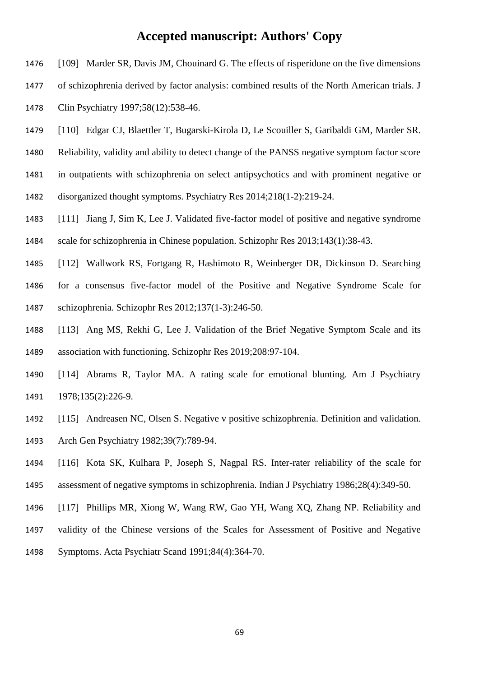- [109] Marder SR, Davis JM, Chouinard G. The effects of risperidone on the five dimensions
- of schizophrenia derived by factor analysis: combined results of the North American trials. J
- Clin Psychiatry 1997;58(12):538-46.
- [110] Edgar CJ, Blaettler T, Bugarski-Kirola D, Le Scouiller S, Garibaldi GM, Marder SR.
- Reliability, validity and ability to detect change of the PANSS negative symptom factor score
- in outpatients with schizophrenia on select antipsychotics and with prominent negative or
- disorganized thought symptoms. Psychiatry Res 2014;218(1-2):219-24.
- [111] Jiang J, Sim K, Lee J. Validated five-factor model of positive and negative syndrome scale for schizophrenia in Chinese population. Schizophr Res 2013;143(1):38-43.
- [112] Wallwork RS, Fortgang R, Hashimoto R, Weinberger DR, Dickinson D. Searching for a consensus five-factor model of the Positive and Negative Syndrome Scale for schizophrenia. Schizophr Res 2012;137(1-3):246-50.
- [113] Ang MS, Rekhi G, Lee J. Validation of the Brief Negative Symptom Scale and its association with functioning. Schizophr Res 2019;208:97-104.
- [114] Abrams R, Taylor MA. A rating scale for emotional blunting. Am J Psychiatry 1978;135(2):226-9.
- [115] Andreasen NC, Olsen S. Negative v positive schizophrenia. Definition and validation. Arch Gen Psychiatry 1982;39(7):789-94.
- [116] Kota SK, Kulhara P, Joseph S, Nagpal RS. Inter-rater reliability of the scale for assessment of negative symptoms in schizophrenia. Indian J Psychiatry 1986;28(4):349-50.
- [117] Phillips MR, Xiong W, Wang RW, Gao YH, Wang XQ, Zhang NP. Reliability and validity of the Chinese versions of the Scales for Assessment of Positive and Negative Symptoms. Acta Psychiatr Scand 1991;84(4):364-70.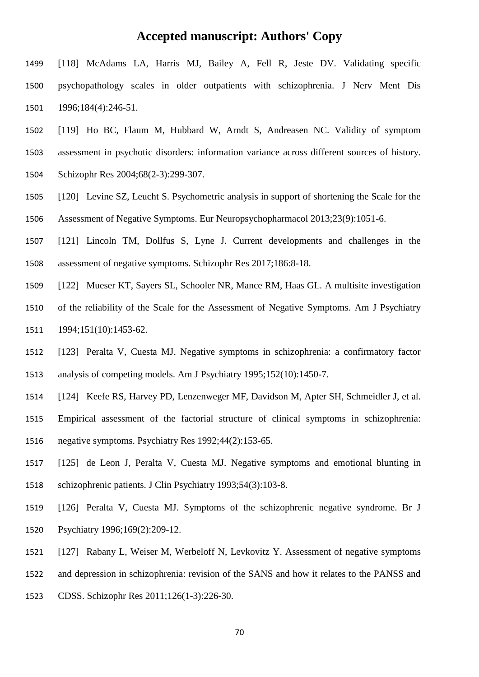- [118] McAdams LA, Harris MJ, Bailey A, Fell R, Jeste DV. Validating specific psychopathology scales in older outpatients with schizophrenia. J Nerv Ment Dis 1996;184(4):246-51.
- [119] Ho BC, Flaum M, Hubbard W, Arndt S, Andreasen NC. Validity of symptom assessment in psychotic disorders: information variance across different sources of history.
- Schizophr Res 2004;68(2-3):299-307.
- [120] Levine SZ, Leucht S. Psychometric analysis in support of shortening the Scale for the Assessment of Negative Symptoms. Eur Neuropsychopharmacol 2013;23(9):1051-6.
- [121] Lincoln TM, Dollfus S, Lyne J. Current developments and challenges in the assessment of negative symptoms. Schizophr Res 2017;186:8-18.
- [122] Mueser KT, Sayers SL, Schooler NR, Mance RM, Haas GL. A multisite investigation
- of the reliability of the Scale for the Assessment of Negative Symptoms. Am J Psychiatry 1994;151(10):1453-62.
- [123] Peralta V, Cuesta MJ. Negative symptoms in schizophrenia: a confirmatory factor analysis of competing models. Am J Psychiatry 1995;152(10):1450-7.
- [124] Keefe RS, Harvey PD, Lenzenweger MF, Davidson M, Apter SH, Schmeidler J, et al. Empirical assessment of the factorial structure of clinical symptoms in schizophrenia: negative symptoms. Psychiatry Res 1992;44(2):153-65.
- [125] de Leon J, Peralta V, Cuesta MJ. Negative symptoms and emotional blunting in schizophrenic patients. J Clin Psychiatry 1993;54(3):103-8.
- [126] Peralta V, Cuesta MJ. Symptoms of the schizophrenic negative syndrome. Br J Psychiatry 1996;169(2):209-12.
- [127] Rabany L, Weiser M, Werbeloff N, Levkovitz Y. Assessment of negative symptoms
- and depression in schizophrenia: revision of the SANS and how it relates to the PANSS and
- CDSS. Schizophr Res 2011;126(1-3):226-30.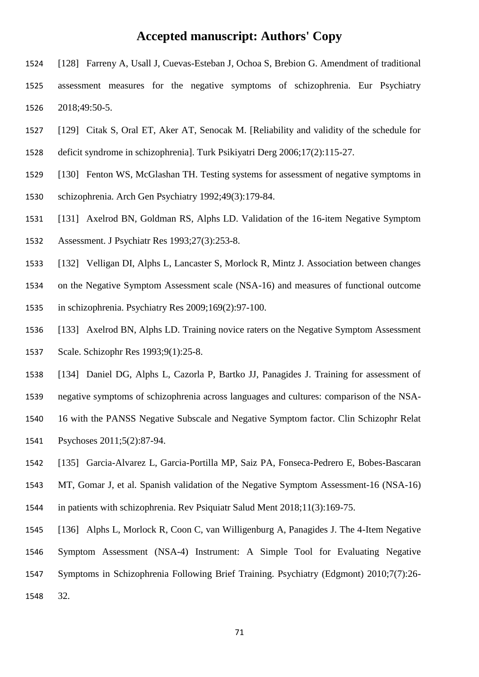- [128] Farreny A, Usall J, Cuevas-Esteban J, Ochoa S, Brebion G. Amendment of traditional assessment measures for the negative symptoms of schizophrenia. Eur Psychiatry 2018;49:50-5.
- [129] Citak S, Oral ET, Aker AT, Senocak M. [Reliability and validity of the schedule for
- deficit syndrome in schizophrenia]. Turk Psikiyatri Derg 2006;17(2):115-27.
- [130] Fenton WS, McGlashan TH. Testing systems for assessment of negative symptoms in
- schizophrenia. Arch Gen Psychiatry 1992;49(3):179-84.
- [131] Axelrod BN, Goldman RS, Alphs LD. Validation of the 16-item Negative Symptom
- Assessment. J Psychiatr Res 1993;27(3):253-8.
- [132] Velligan DI, Alphs L, Lancaster S, Morlock R, Mintz J. Association between changes
- on the Negative Symptom Assessment scale (NSA-16) and measures of functional outcome
- in schizophrenia. Psychiatry Res 2009;169(2):97-100.
- [133] Axelrod BN, Alphs LD. Training novice raters on the Negative Symptom Assessment Scale. Schizophr Res 1993;9(1):25-8.
- [134] Daniel DG, Alphs L, Cazorla P, Bartko JJ, Panagides J. Training for assessment of
- negative symptoms of schizophrenia across languages and cultures: comparison of the NSA-
- 16 with the PANSS Negative Subscale and Negative Symptom factor. Clin Schizophr Relat Psychoses 2011;5(2):87-94.
- [135] Garcia-Alvarez L, Garcia-Portilla MP, Saiz PA, Fonseca-Pedrero E, Bobes-Bascaran
- MT, Gomar J, et al. Spanish validation of the Negative Symptom Assessment-16 (NSA-16)
- in patients with schizophrenia. Rev Psiquiatr Salud Ment 2018;11(3):169-75.
- [136] Alphs L, Morlock R, Coon C, van Willigenburg A, Panagides J. The 4-Item Negative Symptom Assessment (NSA-4) Instrument: A Simple Tool for Evaluating Negative Symptoms in Schizophrenia Following Brief Training. Psychiatry (Edgmont) 2010;7(7):26- 32.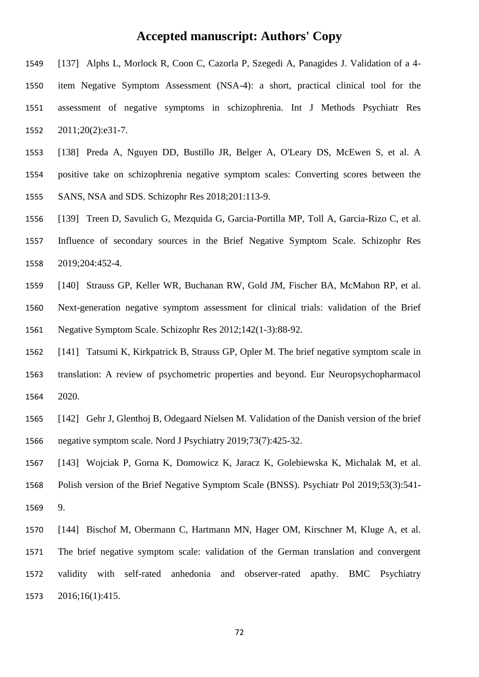- [137] Alphs L, Morlock R, Coon C, Cazorla P, Szegedi A, Panagides J. Validation of a 4- item Negative Symptom Assessment (NSA-4): a short, practical clinical tool for the assessment of negative symptoms in schizophrenia. Int J Methods Psychiatr Res 2011;20(2):e31-7.
- [138] Preda A, Nguyen DD, Bustillo JR, Belger A, O'Leary DS, McEwen S, et al. A positive take on schizophrenia negative symptom scales: Converting scores between the SANS, NSA and SDS. Schizophr Res 2018;201:113-9.
- [139] Treen D, Savulich G, Mezquida G, Garcia-Portilla MP, Toll A, Garcia-Rizo C, et al. Influence of secondary sources in the Brief Negative Symptom Scale. Schizophr Res 2019;204:452-4.
- [140] Strauss GP, Keller WR, Buchanan RW, Gold JM, Fischer BA, McMahon RP, et al. Next-generation negative symptom assessment for clinical trials: validation of the Brief Negative Symptom Scale. Schizophr Res 2012;142(1-3):88-92.
- [141] Tatsumi K, Kirkpatrick B, Strauss GP, Opler M. The brief negative symptom scale in translation: A review of psychometric properties and beyond. Eur Neuropsychopharmacol 2020.
- [142] Gehr J, Glenthoj B, Odegaard Nielsen M. Validation of the Danish version of the brief negative symptom scale. Nord J Psychiatry 2019;73(7):425-32.
- [143] Wojciak P, Gorna K, Domowicz K, Jaracz K, Golebiewska K, Michalak M, et al. Polish version of the Brief Negative Symptom Scale (BNSS). Psychiatr Pol 2019;53(3):541- 9.
- [144] Bischof M, Obermann C, Hartmann MN, Hager OM, Kirschner M, Kluge A, et al. The brief negative symptom scale: validation of the German translation and convergent validity with self-rated anhedonia and observer-rated apathy. BMC Psychiatry 2016;16(1):415.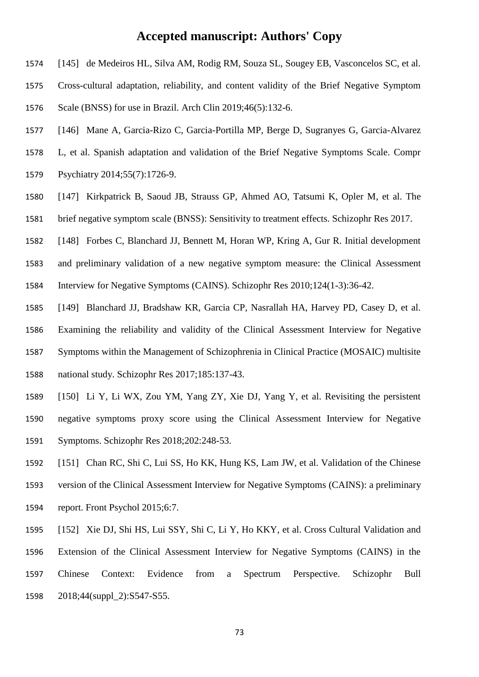- [145] de Medeiros HL, Silva AM, Rodig RM, Souza SL, Sougey EB, Vasconcelos SC, et al.
- Cross-cultural adaptation, reliability, and content validity of the Brief Negative Symptom Scale (BNSS) for use in Brazil. Arch Clin 2019;46(5):132-6.
- [146] Mane A, Garcia-Rizo C, Garcia-Portilla MP, Berge D, Sugranyes G, Garcia-Alvarez
- L, et al. Spanish adaptation and validation of the Brief Negative Symptoms Scale. Compr
- Psychiatry 2014;55(7):1726-9.
- [147] Kirkpatrick B, Saoud JB, Strauss GP, Ahmed AO, Tatsumi K, Opler M, et al. The brief negative symptom scale (BNSS): Sensitivity to treatment effects. Schizophr Res 2017.
- [148] Forbes C, Blanchard JJ, Bennett M, Horan WP, Kring A, Gur R. Initial development
- and preliminary validation of a new negative symptom measure: the Clinical Assessment Interview for Negative Symptoms (CAINS). Schizophr Res 2010;124(1-3):36-42.
- [149] Blanchard JJ, Bradshaw KR, Garcia CP, Nasrallah HA, Harvey PD, Casey D, et al. Examining the reliability and validity of the Clinical Assessment Interview for Negative Symptoms within the Management of Schizophrenia in Clinical Practice (MOSAIC) multisite national study. Schizophr Res 2017;185:137-43.
- [150] Li Y, Li WX, Zou YM, Yang ZY, Xie DJ, Yang Y, et al. Revisiting the persistent negative symptoms proxy score using the Clinical Assessment Interview for Negative Symptoms. Schizophr Res 2018;202:248-53.
- [151] Chan RC, Shi C, Lui SS, Ho KK, Hung KS, Lam JW, et al. Validation of the Chinese version of the Clinical Assessment Interview for Negative Symptoms (CAINS): a preliminary report. Front Psychol 2015;6:7.
- [152] Xie DJ, Shi HS, Lui SSY, Shi C, Li Y, Ho KKY, et al. Cross Cultural Validation and Extension of the Clinical Assessment Interview for Negative Symptoms (CAINS) in the Chinese Context: Evidence from a Spectrum Perspective. Schizophr Bull 2018;44(suppl\_2):S547-S55.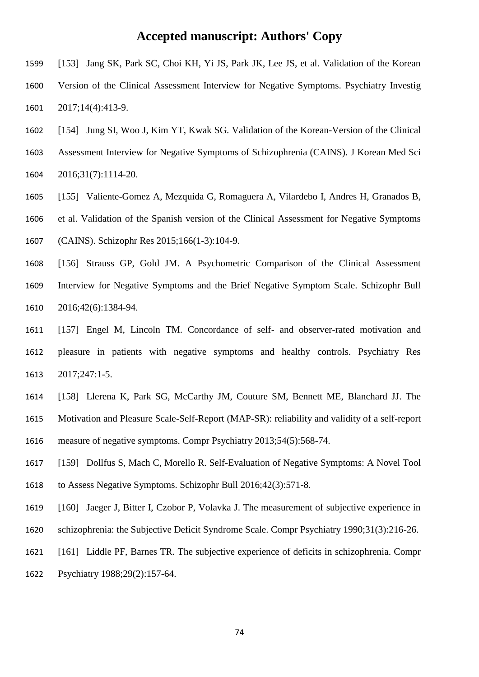- [153] Jang SK, Park SC, Choi KH, Yi JS, Park JK, Lee JS, et al. Validation of the Korean
- Version of the Clinical Assessment Interview for Negative Symptoms. Psychiatry Investig 2017;14(4):413-9.
- [154] Jung SI, Woo J, Kim YT, Kwak SG. Validation of the Korean-Version of the Clinical
- Assessment Interview for Negative Symptoms of Schizophrenia (CAINS). J Korean Med Sci

2016;31(7):1114-20.

- [155] Valiente-Gomez A, Mezquida G, Romaguera A, Vilardebo I, Andres H, Granados B,
- et al. Validation of the Spanish version of the Clinical Assessment for Negative Symptoms

(CAINS). Schizophr Res 2015;166(1-3):104-9.

- [156] Strauss GP, Gold JM. A Psychometric Comparison of the Clinical Assessment Interview for Negative Symptoms and the Brief Negative Symptom Scale. Schizophr Bull 2016;42(6):1384-94.
- [157] Engel M, Lincoln TM. Concordance of self- and observer-rated motivation and pleasure in patients with negative symptoms and healthy controls. Psychiatry Res 2017;247:1-5.
- [158] Llerena K, Park SG, McCarthy JM, Couture SM, Bennett ME, Blanchard JJ. The Motivation and Pleasure Scale-Self-Report (MAP-SR): reliability and validity of a self-report measure of negative symptoms. Compr Psychiatry 2013;54(5):568-74.
- [159] Dollfus S, Mach C, Morello R. Self-Evaluation of Negative Symptoms: A Novel Tool to Assess Negative Symptoms. Schizophr Bull 2016;42(3):571-8.
- [160] Jaeger J, Bitter I, Czobor P, Volavka J. The measurement of subjective experience in
- schizophrenia: the Subjective Deficit Syndrome Scale. Compr Psychiatry 1990;31(3):216-26.
- [161] Liddle PF, Barnes TR. The subjective experience of deficits in schizophrenia. Compr
- Psychiatry 1988;29(2):157-64.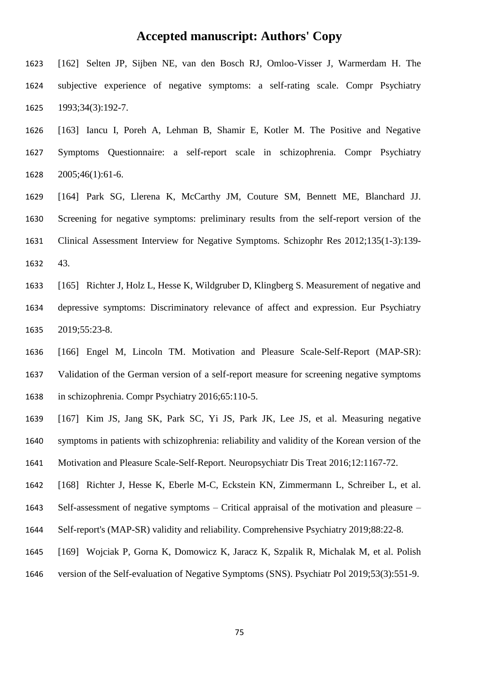- [162] Selten JP, Sijben NE, van den Bosch RJ, Omloo-Visser J, Warmerdam H. The subjective experience of negative symptoms: a self-rating scale. Compr Psychiatry 1993;34(3):192-7.
- [163] Iancu I, Poreh A, Lehman B, Shamir E, Kotler M. The Positive and Negative Symptoms Questionnaire: a self-report scale in schizophrenia. Compr Psychiatry 2005;46(1):61-6.
- [164] Park SG, Llerena K, McCarthy JM, Couture SM, Bennett ME, Blanchard JJ. Screening for negative symptoms: preliminary results from the self-report version of the Clinical Assessment Interview for Negative Symptoms. Schizophr Res 2012;135(1-3):139- 43.
- [165] Richter J, Holz L, Hesse K, Wildgruber D, Klingberg S. Measurement of negative and depressive symptoms: Discriminatory relevance of affect and expression. Eur Psychiatry 2019;55:23-8.
- [166] Engel M, Lincoln TM. Motivation and Pleasure Scale-Self-Report (MAP-SR): Validation of the German version of a self-report measure for screening negative symptoms in schizophrenia. Compr Psychiatry 2016;65:110-5.
- [167] Kim JS, Jang SK, Park SC, Yi JS, Park JK, Lee JS, et al. Measuring negative symptoms in patients with schizophrenia: reliability and validity of the Korean version of the
- Motivation and Pleasure Scale-Self-Report. Neuropsychiatr Dis Treat 2016;12:1167-72.
- [168] Richter J, Hesse K, Eberle M-C, Eckstein KN, Zimmermann L, Schreiber L, et al.
- Self-assessment of negative symptoms Critical appraisal of the motivation and pleasure –
- Self-report's (MAP-SR) validity and reliability. Comprehensive Psychiatry 2019;88:22-8.
- [169] Wojciak P, Gorna K, Domowicz K, Jaracz K, Szpalik R, Michalak M, et al. Polish
- version of the Self-evaluation of Negative Symptoms (SNS). Psychiatr Pol 2019;53(3):551-9.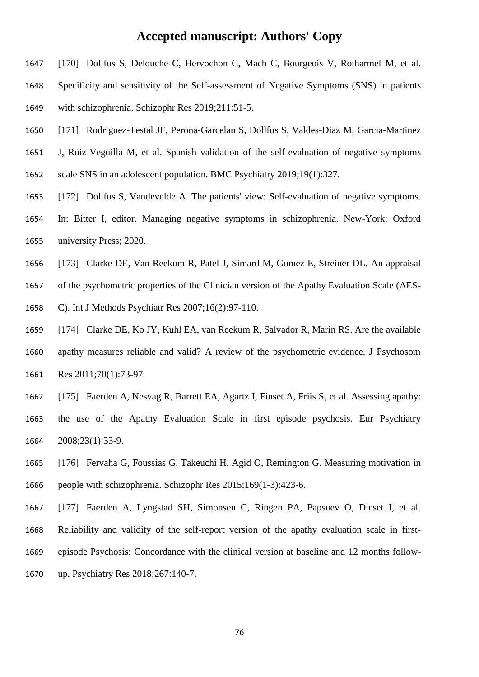- [170] Dollfus S, Delouche C, Hervochon C, Mach C, Bourgeois V, Rotharmel M, et al.
- Specificity and sensitivity of the Self-assessment of Negative Symptoms (SNS) in patients
- with schizophrenia. Schizophr Res 2019;211:51-5.
- [171] Rodriguez-Testal JF, Perona-Garcelan S, Dollfus S, Valdes-Diaz M, Garcia-Martinez
- J, Ruiz-Veguilla M, et al. Spanish validation of the self-evaluation of negative symptoms
- scale SNS in an adolescent population. BMC Psychiatry 2019;19(1):327.
- [172] Dollfus S, Vandevelde A. The patients' view: Self-evaluation of negative symptoms.
- In: Bitter I, editor. Managing negative symptoms in schizophrenia. New-York: Oxford university Press; 2020.
- [173] Clarke DE, Van Reekum R, Patel J, Simard M, Gomez E, Streiner DL. An appraisal
- of the psychometric properties of the Clinician version of the Apathy Evaluation Scale (AES-
- C). Int J Methods Psychiatr Res 2007;16(2):97-110.
- [174] Clarke DE, Ko JY, Kuhl EA, van Reekum R, Salvador R, Marin RS. Are the available apathy measures reliable and valid? A review of the psychometric evidence. J Psychosom Res 2011;70(1):73-97.
- [175] Faerden A, Nesvag R, Barrett EA, Agartz I, Finset A, Friis S, et al. Assessing apathy: the use of the Apathy Evaluation Scale in first episode psychosis. Eur Psychiatry 2008;23(1):33-9.
- [176] Fervaha G, Foussias G, Takeuchi H, Agid O, Remington G. Measuring motivation in people with schizophrenia. Schizophr Res 2015;169(1-3):423-6.
- [177] Faerden A, Lyngstad SH, Simonsen C, Ringen PA, Papsuev O, Dieset I, et al. Reliability and validity of the self-report version of the apathy evaluation scale in first- episode Psychosis: Concordance with the clinical version at baseline and 12 months follow-up. Psychiatry Res 2018;267:140-7.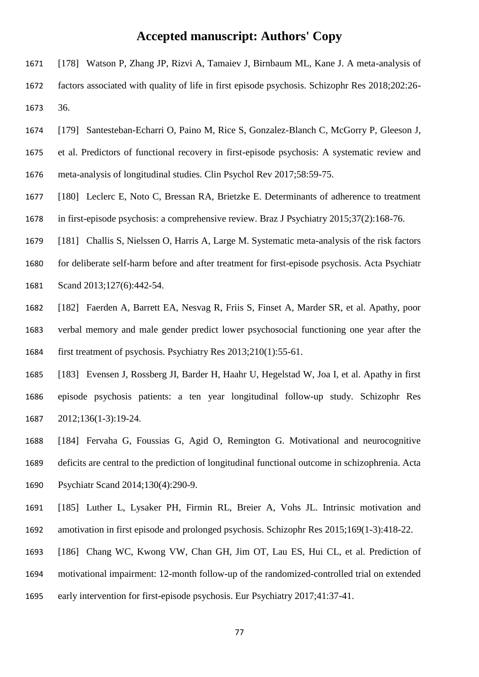- [178] Watson P, Zhang JP, Rizvi A, Tamaiev J, Birnbaum ML, Kane J. A meta-analysis of factors associated with quality of life in first episode psychosis. Schizophr Res 2018;202:26- 36.
- [179] Santesteban-Echarri O, Paino M, Rice S, Gonzalez-Blanch C, McGorry P, Gleeson J,
- et al. Predictors of functional recovery in first-episode psychosis: A systematic review and meta-analysis of longitudinal studies. Clin Psychol Rev 2017;58:59-75.
- [180] Leclerc E, Noto C, Bressan RA, Brietzke E. Determinants of adherence to treatment in first-episode psychosis: a comprehensive review. Braz J Psychiatry 2015;37(2):168-76.
- [181] Challis S, Nielssen O, Harris A, Large M. Systematic meta-analysis of the risk factors for deliberate self-harm before and after treatment for first-episode psychosis. Acta Psychiatr Scand 2013;127(6):442-54.
- [182] Faerden A, Barrett EA, Nesvag R, Friis S, Finset A, Marder SR, et al. Apathy, poor verbal memory and male gender predict lower psychosocial functioning one year after the first treatment of psychosis. Psychiatry Res 2013;210(1):55-61.
- [183] Evensen J, Rossberg JI, Barder H, Haahr U, Hegelstad W, Joa I, et al. Apathy in first episode psychosis patients: a ten year longitudinal follow-up study. Schizophr Res 2012;136(1-3):19-24.
- [184] Fervaha G, Foussias G, Agid O, Remington G. Motivational and neurocognitive deficits are central to the prediction of longitudinal functional outcome in schizophrenia. Acta Psychiatr Scand 2014;130(4):290-9.
- [185] Luther L, Lysaker PH, Firmin RL, Breier A, Vohs JL. Intrinsic motivation and amotivation in first episode and prolonged psychosis. Schizophr Res 2015;169(1-3):418-22.
- [186] Chang WC, Kwong VW, Chan GH, Jim OT, Lau ES, Hui CL, et al. Prediction of
- motivational impairment: 12-month follow-up of the randomized-controlled trial on extended
- early intervention for first-episode psychosis. Eur Psychiatry 2017;41:37-41.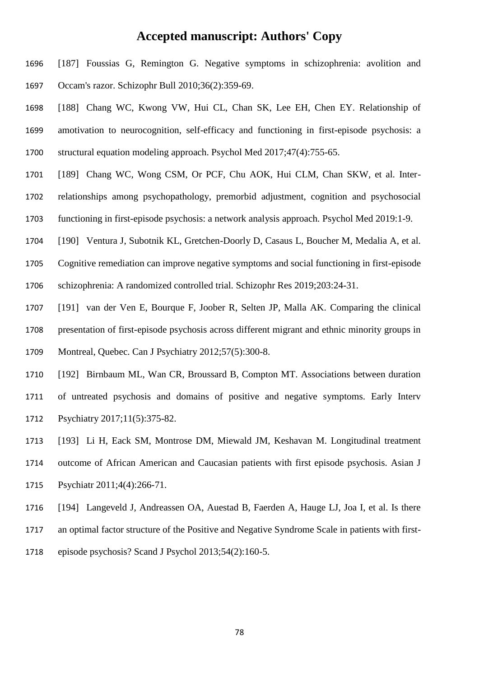- [187] Foussias G, Remington G. Negative symptoms in schizophrenia: avolition and Occam's razor. Schizophr Bull 2010;36(2):359-69.
- [188] Chang WC, Kwong VW, Hui CL, Chan SK, Lee EH, Chen EY. Relationship of amotivation to neurocognition, self-efficacy and functioning in first-episode psychosis: a structural equation modeling approach. Psychol Med 2017;47(4):755-65.
- [189] Chang WC, Wong CSM, Or PCF, Chu AOK, Hui CLM, Chan SKW, et al. Inter-relationships among psychopathology, premorbid adjustment, cognition and psychosocial
- functioning in first-episode psychosis: a network analysis approach. Psychol Med 2019:1-9.
- [190] Ventura J, Subotnik KL, Gretchen-Doorly D, Casaus L, Boucher M, Medalia A, et al.
- Cognitive remediation can improve negative symptoms and social functioning in first-episode
- schizophrenia: A randomized controlled trial. Schizophr Res 2019;203:24-31.
- [191] van der Ven E, Bourque F, Joober R, Selten JP, Malla AK. Comparing the clinical
- presentation of first-episode psychosis across different migrant and ethnic minority groups in
- Montreal, Quebec. Can J Psychiatry 2012;57(5):300-8.
- [192] Birnbaum ML, Wan CR, Broussard B, Compton MT. Associations between duration of untreated psychosis and domains of positive and negative symptoms. Early Interv Psychiatry 2017;11(5):375-82.
- [193] Li H, Eack SM, Montrose DM, Miewald JM, Keshavan M. Longitudinal treatment outcome of African American and Caucasian patients with first episode psychosis. Asian J
- Psychiatr 2011;4(4):266-71.
- [194] Langeveld J, Andreassen OA, Auestad B, Faerden A, Hauge LJ, Joa I, et al. Is there an optimal factor structure of the Positive and Negative Syndrome Scale in patients with first-episode psychosis? Scand J Psychol 2013;54(2):160-5.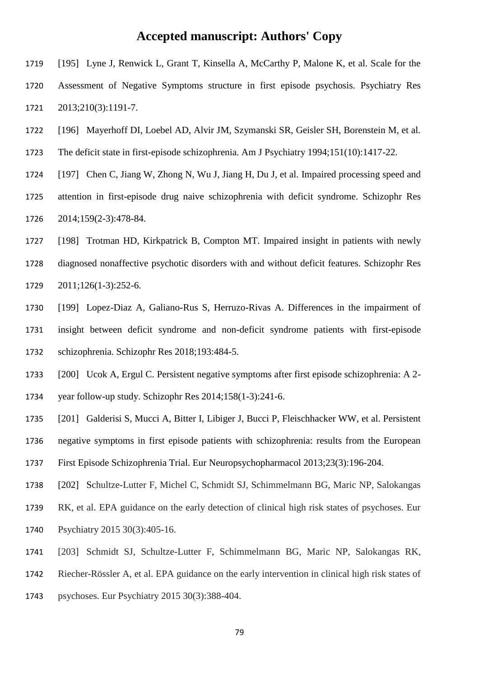- [195] Lyne J, Renwick L, Grant T, Kinsella A, McCarthy P, Malone K, et al. Scale for the Assessment of Negative Symptoms structure in first episode psychosis. Psychiatry Res 2013;210(3):1191-7.
- [196] Mayerhoff DI, Loebel AD, Alvir JM, Szymanski SR, Geisler SH, Borenstein M, et al.
- The deficit state in first-episode schizophrenia. Am J Psychiatry 1994;151(10):1417-22.
- [197] Chen C, Jiang W, Zhong N, Wu J, Jiang H, Du J, et al. Impaired processing speed and attention in first-episode drug naive schizophrenia with deficit syndrome. Schizophr Res 2014;159(2-3):478-84.
- [198] Trotman HD, Kirkpatrick B, Compton MT. Impaired insight in patients with newly diagnosed nonaffective psychotic disorders with and without deficit features. Schizophr Res 2011;126(1-3):252-6.
- [199] Lopez-Diaz A, Galiano-Rus S, Herruzo-Rivas A. Differences in the impairment of insight between deficit syndrome and non-deficit syndrome patients with first-episode schizophrenia. Schizophr Res 2018;193:484-5.
- [200] Ucok A, Ergul C. Persistent negative symptoms after first episode schizophrenia: A 2- year follow-up study. Schizophr Res 2014;158(1-3):241-6.
- [201] Galderisi S, Mucci A, Bitter I, Libiger J, Bucci P, Fleischhacker WW, et al. Persistent negative symptoms in first episode patients with schizophrenia: results from the European
- First Episode Schizophrenia Trial. Eur Neuropsychopharmacol 2013;23(3):196-204.
- [202] Schultze-Lutter F, Michel C, Schmidt SJ, Schimmelmann BG, Maric NP, Salokangas
- RK, et al. EPA guidance on the early detection of clinical high risk states of psychoses. Eur
- Psychiatry 2015 30(3):405-16.
- [203] Schmidt SJ, Schultze-Lutter F, Schimmelmann BG, Maric NP, Salokangas RK,
- Riecher-Rössler A, et al. EPA guidance on the early intervention in clinical high risk states of
- psychoses. Eur Psychiatry 2015 30(3):388-404.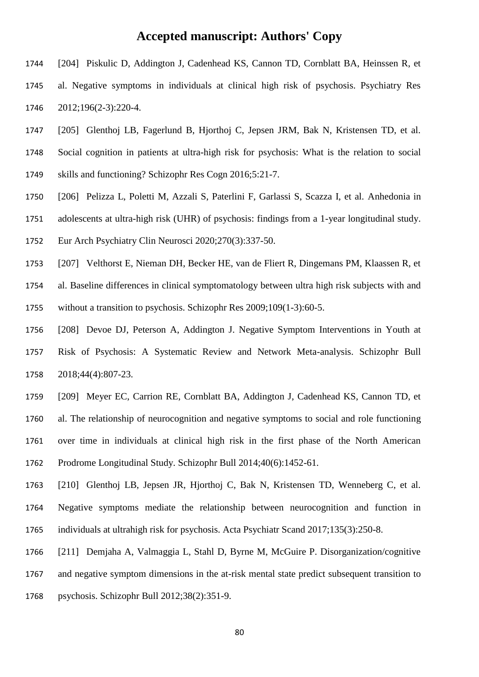- [204] Piskulic D, Addington J, Cadenhead KS, Cannon TD, Cornblatt BA, Heinssen R, et al. Negative symptoms in individuals at clinical high risk of psychosis. Psychiatry Res 2012;196(2-3):220-4.
- [205] Glenthoj LB, Fagerlund B, Hjorthoj C, Jepsen JRM, Bak N, Kristensen TD, et al.
- Social cognition in patients at ultra-high risk for psychosis: What is the relation to social skills and functioning? Schizophr Res Cogn 2016;5:21-7.
- [206] Pelizza L, Poletti M, Azzali S, Paterlini F, Garlassi S, Scazza I, et al. Anhedonia in
- adolescents at ultra-high risk (UHR) of psychosis: findings from a 1-year longitudinal study.
- Eur Arch Psychiatry Clin Neurosci 2020;270(3):337-50.
- [207] Velthorst E, Nieman DH, Becker HE, van de Fliert R, Dingemans PM, Klaassen R, et al. Baseline differences in clinical symptomatology between ultra high risk subjects with and
- without a transition to psychosis. Schizophr Res 2009;109(1-3):60-5.
- [208] Devoe DJ, Peterson A, Addington J. Negative Symptom Interventions in Youth at Risk of Psychosis: A Systematic Review and Network Meta-analysis. Schizophr Bull 2018;44(4):807-23.
- [209] Meyer EC, Carrion RE, Cornblatt BA, Addington J, Cadenhead KS, Cannon TD, et al. The relationship of neurocognition and negative symptoms to social and role functioning over time in individuals at clinical high risk in the first phase of the North American Prodrome Longitudinal Study. Schizophr Bull 2014;40(6):1452-61.
- [210] Glenthoj LB, Jepsen JR, Hjorthoj C, Bak N, Kristensen TD, Wenneberg C, et al. Negative symptoms mediate the relationship between neurocognition and function in individuals at ultrahigh risk for psychosis. Acta Psychiatr Scand 2017;135(3):250-8.
- [211] Demjaha A, Valmaggia L, Stahl D, Byrne M, McGuire P. Disorganization/cognitive
- and negative symptom dimensions in the at-risk mental state predict subsequent transition to
- psychosis. Schizophr Bull 2012;38(2):351-9.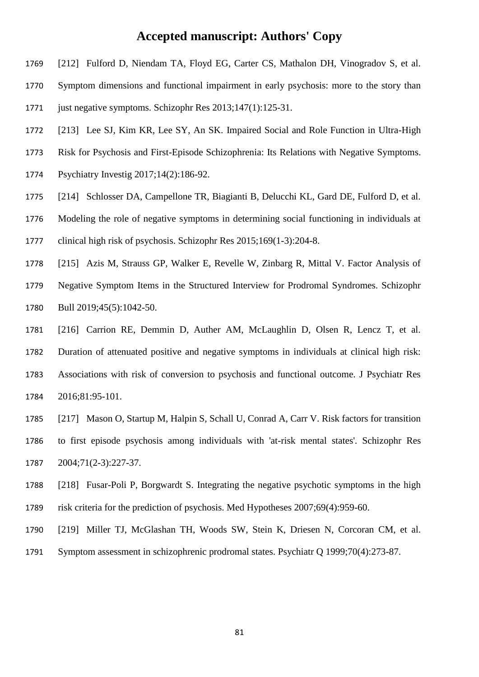- [212] Fulford D, Niendam TA, Floyd EG, Carter CS, Mathalon DH, Vinogradov S, et al.
- Symptom dimensions and functional impairment in early psychosis: more to the story than
- just negative symptoms. Schizophr Res 2013;147(1):125-31.
- [213] Lee SJ, Kim KR, Lee SY, An SK. Impaired Social and Role Function in Ultra-High
- Risk for Psychosis and First-Episode Schizophrenia: Its Relations with Negative Symptoms.
- Psychiatry Investig 2017;14(2):186-92.
- [214] Schlosser DA, Campellone TR, Biagianti B, Delucchi KL, Gard DE, Fulford D, et al.
- Modeling the role of negative symptoms in determining social functioning in individuals at clinical high risk of psychosis. Schizophr Res 2015;169(1-3):204-8.
- [215] Azis M, Strauss GP, Walker E, Revelle W, Zinbarg R, Mittal V. Factor Analysis of Negative Symptom Items in the Structured Interview for Prodromal Syndromes. Schizophr Bull 2019;45(5):1042-50.
- [216] Carrion RE, Demmin D, Auther AM, McLaughlin D, Olsen R, Lencz T, et al. Duration of attenuated positive and negative symptoms in individuals at clinical high risk: Associations with risk of conversion to psychosis and functional outcome. J Psychiatr Res 2016;81:95-101.
- [217] Mason O, Startup M, Halpin S, Schall U, Conrad A, Carr V. Risk factors for transition to first episode psychosis among individuals with 'at-risk mental states'. Schizophr Res 2004;71(2-3):227-37.
- [218] Fusar-Poli P, Borgwardt S. Integrating the negative psychotic symptoms in the high risk criteria for the prediction of psychosis. Med Hypotheses 2007;69(4):959-60.
- [219] Miller TJ, McGlashan TH, Woods SW, Stein K, Driesen N, Corcoran CM, et al.
- Symptom assessment in schizophrenic prodromal states. Psychiatr Q 1999;70(4):273-87.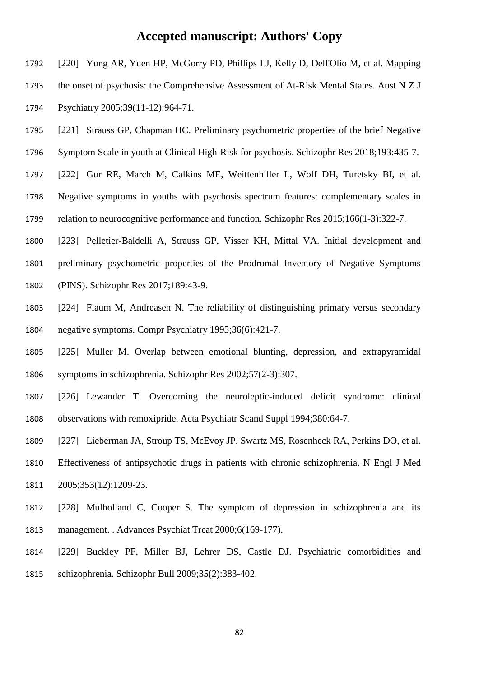- [220] Yung AR, Yuen HP, McGorry PD, Phillips LJ, Kelly D, Dell'Olio M, et al. Mapping the onset of psychosis: the Comprehensive Assessment of At-Risk Mental States. Aust N Z J Psychiatry 2005;39(11-12):964-71. [221] Strauss GP, Chapman HC. Preliminary psychometric properties of the brief Negative Symptom Scale in youth at Clinical High-Risk for psychosis. Schizophr Res 2018;193:435-7. [222] Gur RE, March M, Calkins ME, Weittenhiller L, Wolf DH, Turetsky BI, et al. Negative symptoms in youths with psychosis spectrum features: complementary scales in relation to neurocognitive performance and function. Schizophr Res 2015;166(1-3):322-7.
- [223] Pelletier-Baldelli A, Strauss GP, Visser KH, Mittal VA. Initial development and preliminary psychometric properties of the Prodromal Inventory of Negative Symptoms (PINS). Schizophr Res 2017;189:43-9.
- [224] Flaum M, Andreasen N. The reliability of distinguishing primary versus secondary negative symptoms. Compr Psychiatry 1995;36(6):421-7.
- [225] Muller M. Overlap between emotional blunting, depression, and extrapyramidal symptoms in schizophrenia. Schizophr Res 2002;57(2-3):307.
- [226] Lewander T. Overcoming the neuroleptic-induced deficit syndrome: clinical observations with remoxipride. Acta Psychiatr Scand Suppl 1994;380:64-7.
- [227] Lieberman JA, Stroup TS, McEvoy JP, Swartz MS, Rosenheck RA, Perkins DO, et al.
- Effectiveness of antipsychotic drugs in patients with chronic schizophrenia. N Engl J Med 2005;353(12):1209-23.
- [228] Mulholland C, Cooper S. The symptom of depression in schizophrenia and its management. . Advances Psychiat Treat 2000;6(169-177).
- [229] Buckley PF, Miller BJ, Lehrer DS, Castle DJ. Psychiatric comorbidities and schizophrenia. Schizophr Bull 2009;35(2):383-402.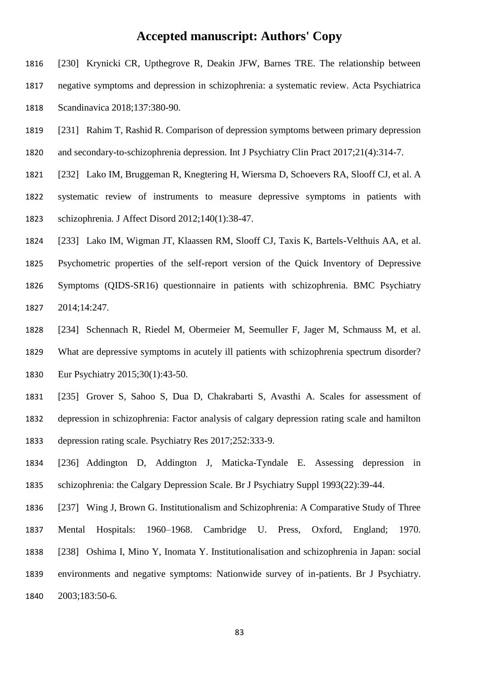- [230] Krynicki CR, Upthegrove R, Deakin JFW, Barnes TRE. The relationship between negative symptoms and depression in schizophrenia: a systematic review. Acta Psychiatrica Scandinavica 2018;137:380-90.
- [231] Rahim T, Rashid R. Comparison of depression symptoms between primary depression and secondary-to-schizophrenia depression. Int J Psychiatry Clin Pract 2017;21(4):314-7.
- [232] Lako IM, Bruggeman R, Knegtering H, Wiersma D, Schoevers RA, Slooff CJ, et al. A systematic review of instruments to measure depressive symptoms in patients with schizophrenia. J Affect Disord 2012;140(1):38-47.
- [233] Lako IM, Wigman JT, Klaassen RM, Slooff CJ, Taxis K, Bartels-Velthuis AA, et al. Psychometric properties of the self-report version of the Quick Inventory of Depressive Symptoms (QIDS-SR16) questionnaire in patients with schizophrenia. BMC Psychiatry 2014;14:247.
- [234] Schennach R, Riedel M, Obermeier M, Seemuller F, Jager M, Schmauss M, et al. What are depressive symptoms in acutely ill patients with schizophrenia spectrum disorder? Eur Psychiatry 2015;30(1):43-50.
- [235] Grover S, Sahoo S, Dua D, Chakrabarti S, Avasthi A. Scales for assessment of depression in schizophrenia: Factor analysis of calgary depression rating scale and hamilton depression rating scale. Psychiatry Res 2017;252:333-9.
- [236] Addington D, Addington J, Maticka-Tyndale E. Assessing depression in schizophrenia: the Calgary Depression Scale. Br J Psychiatry Suppl 1993(22):39-44.
- [237] Wing J, Brown G. Institutionalism and Schizophrenia: A Comparative Study of Three Mental Hospitals: 1960–1968. Cambridge U. Press, Oxford, England; 1970. [238] Oshima I, Mino Y, Inomata Y. Institutionalisation and schizophrenia in Japan: social environments and negative symptoms: Nationwide survey of in-patients. Br J Psychiatry. 2003;183:50-6.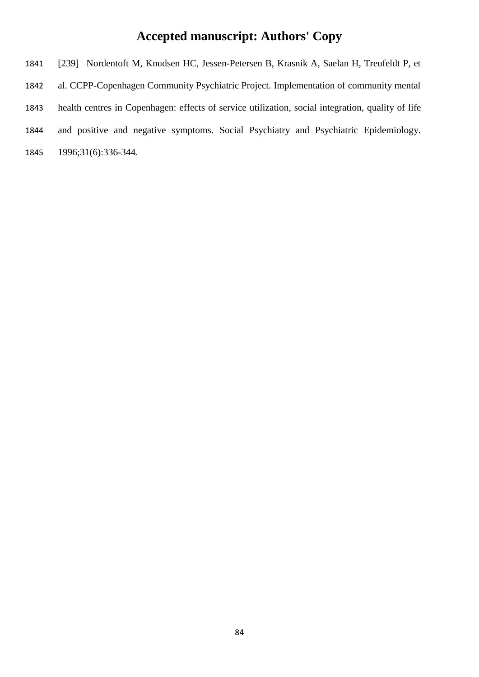[239] Nordentoft M, Knudsen HC, Jessen-Petersen B, Krasnik A, Saelan H, Treufeldt P, et al. CCPP-Copenhagen Community Psychiatric Project. Implementation of community mental health centres in Copenhagen: effects of service utilization, social integration, quality of life and positive and negative symptoms. Social Psychiatry and Psychiatric Epidemiology. 1996;31(6):336-344.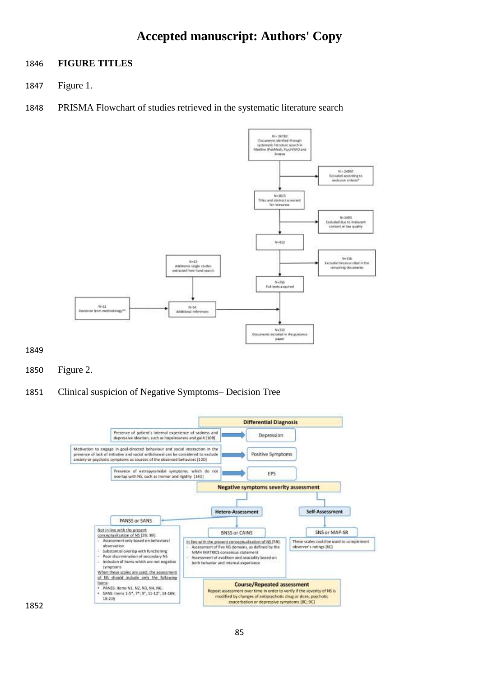#### **FIGURE TITLES**

- Figure 1.
- PRISMA Flowchart of studies retrieved in the systematic literature search



- Figure 2.
- Clinical suspicion of Negative Symptoms– Decision Tree

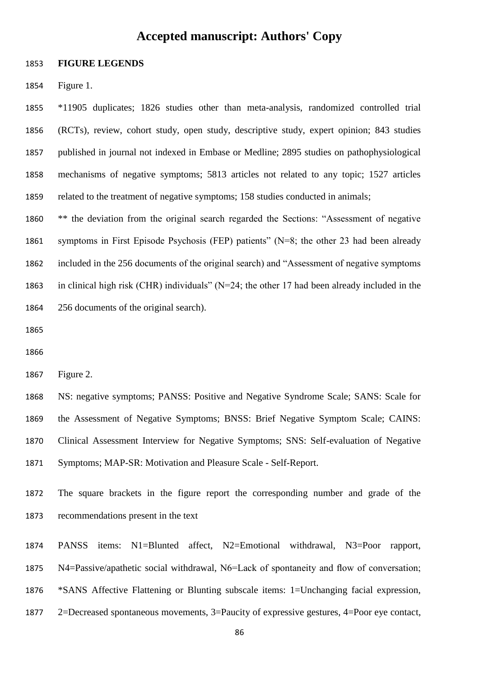#### **FIGURE LEGENDS**

Figure 1.

 \*11905 duplicates; 1826 studies other than meta-analysis, randomized controlled trial (RCTs), review, cohort study, open study, descriptive study, expert opinion; 843 studies published in journal not indexed in Embase or Medline; 2895 studies on pathophysiological mechanisms of negative symptoms; 5813 articles not related to any topic; 1527 articles related to the treatment of negative symptoms; 158 studies conducted in animals;

 \*\* the deviation from the original search regarded the Sections: "Assessment of negative symptoms in First Episode Psychosis (FEP) patients" (N=8; the other 23 had been already included in the 256 documents of the original search) and "Assessment of negative symptoms in clinical high risk (CHR) individuals" (N=24; the other 17 had been already included in the 256 documents of the original search).

Figure 2.

 NS: negative symptoms; PANSS: Positive and Negative Syndrome Scale; SANS: Scale for the Assessment of Negative Symptoms; BNSS: Brief Negative Symptom Scale; CAINS: Clinical Assessment Interview for Negative Symptoms; SNS: Self-evaluation of Negative Symptoms; MAP-SR: Motivation and Pleasure Scale - Self-Report.

 The square brackets in the figure report the corresponding number and grade of the recommendations present in the text

 PANSS items: N1=Blunted affect, N2=Emotional withdrawal, N3=Poor rapport, N4=Passive/apathetic social withdrawal, N6=Lack of spontaneity and flow of conversation; \*SANS Affective Flattening or Blunting subscale items: 1=Unchanging facial expression, 2=Decreased spontaneous movements, 3=Paucity of expressive gestures, 4=Poor eye contact,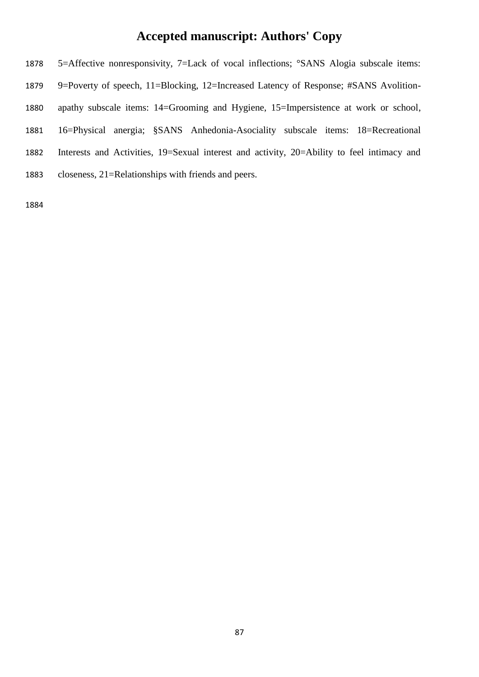5=Affective nonresponsivity, 7=Lack of vocal inflections; °SANS Alogia subscale items: 9=Poverty of speech, 11=Blocking, 12=Increased Latency of Response; #SANS Avolition- apathy subscale items: 14=Grooming and Hygiene, 15=Impersistence at work or school, 16=Physical anergia; §SANS Anhedonia-Asociality subscale items: 18=Recreational Interests and Activities, 19=Sexual interest and activity, 20=Ability to feel intimacy and closeness, 21=Relationships with friends and peers.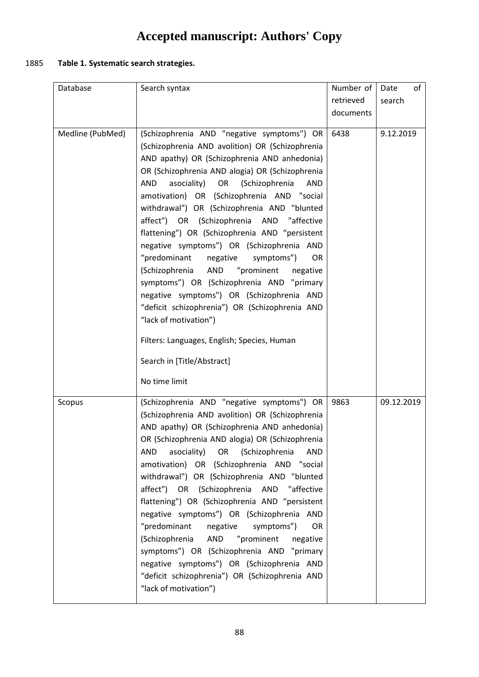### 1885 **Table 1. Systematic search strategies.**

| Database         | Search syntax                                                                               | Number of | of<br>Date |
|------------------|---------------------------------------------------------------------------------------------|-----------|------------|
|                  |                                                                                             | retrieved | search     |
|                  |                                                                                             | documents |            |
|                  |                                                                                             |           |            |
| Medline (PubMed) | (Schizophrenia AND "negative symptoms") OR                                                  | 6438      | 9.12.2019  |
|                  | (Schizophrenia AND avolition) OR (Schizophrenia                                             |           |            |
|                  | AND apathy) OR (Schizophrenia AND anhedonia)                                                |           |            |
|                  | OR (Schizophrenia AND alogia) OR (Schizophrenia                                             |           |            |
|                  | asociality) OR<br>(Schizophrenia<br><b>AND</b><br><b>AND</b>                                |           |            |
|                  | amotivation) OR (Schizophrenia AND "social                                                  |           |            |
|                  | withdrawal") OR (Schizophrenia AND "blunted                                                 |           |            |
|                  | affect") OR (Schizophrenia AND "affective<br>flattening") OR (Schizophrenia AND "persistent |           |            |
|                  | negative symptoms") OR (Schizophrenia AND                                                   |           |            |
|                  | "predominant<br>negative<br>symptoms")<br><b>OR</b>                                         |           |            |
|                  | "prominent<br>(Schizophrenia<br>AND<br>negative                                             |           |            |
|                  | symptoms") OR (Schizophrenia AND "primary                                                   |           |            |
|                  | negative symptoms") OR (Schizophrenia AND                                                   |           |            |
|                  | "deficit schizophrenia") OR (Schizophrenia AND                                              |           |            |
|                  | "lack of motivation")                                                                       |           |            |
|                  | Filters: Languages, English; Species, Human                                                 |           |            |
|                  | Search in [Title/Abstract]                                                                  |           |            |
|                  | No time limit                                                                               |           |            |
| Scopus           | (Schizophrenia AND "negative symptoms") OR                                                  | 9863      | 09.12.2019 |
|                  | (Schizophrenia AND avolition) OR (Schizophrenia                                             |           |            |
|                  | AND apathy) OR (Schizophrenia AND anhedonia)                                                |           |            |
|                  | OR (Schizophrenia AND alogia) OR (Schizophrenia                                             |           |            |
|                  | asociality)<br>OR<br>(Schizophrenia<br>AND<br>AND                                           |           |            |
|                  | amotivation) OR (Schizophrenia AND "social                                                  |           |            |
|                  | withdrawal") OR (Schizophrenia AND "blunted                                                 |           |            |
|                  | affect") OR (Schizophrenia AND<br>"affective                                                |           |            |
|                  | flattening") OR (Schizophrenia AND "persistent<br>negative symptoms") OR (Schizophrenia AND |           |            |
|                  | "predominant<br>negative<br>symptoms")<br><b>OR</b>                                         |           |            |
|                  | "prominent<br>(Schizophrenia<br>AND<br>negative                                             |           |            |
|                  | symptoms") OR (Schizophrenia AND "primary                                                   |           |            |
|                  | negative symptoms") OR (Schizophrenia AND                                                   |           |            |
|                  | "deficit schizophrenia") OR (Schizophrenia AND                                              |           |            |
|                  | "lack of motivation")                                                                       |           |            |
|                  |                                                                                             |           |            |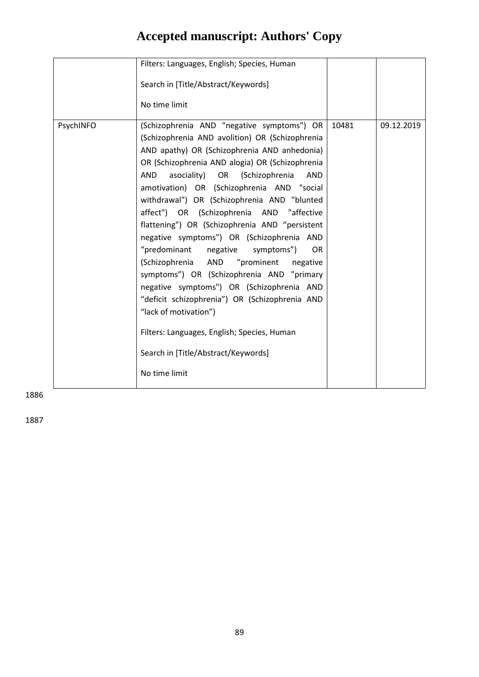|           | Filters: Languages, English; Species, Human<br>Search in [Title/Abstract/Keywords]                                                                                                                                                                                                                                                                                                                                                                                                                                                                                                                                                                                                                                                                                                                                                                                          |       |            |
|-----------|-----------------------------------------------------------------------------------------------------------------------------------------------------------------------------------------------------------------------------------------------------------------------------------------------------------------------------------------------------------------------------------------------------------------------------------------------------------------------------------------------------------------------------------------------------------------------------------------------------------------------------------------------------------------------------------------------------------------------------------------------------------------------------------------------------------------------------------------------------------------------------|-------|------------|
|           | No time limit                                                                                                                                                                                                                                                                                                                                                                                                                                                                                                                                                                                                                                                                                                                                                                                                                                                               |       |            |
| PsychINFO | (Schizophrenia AND "negative symptoms") OR<br>(Schizophrenia AND avolition) OR (Schizophrenia<br>AND apathy) OR (Schizophrenia AND anhedonia)<br>OR (Schizophrenia AND alogia) OR (Schizophrenia<br>AND<br>asociality) OR (Schizophrenia<br>AND<br>amotivation) OR (Schizophrenia AND "social<br>withdrawal") OR (Schizophrenia AND "blunted<br>affect") OR (Schizophrenia AND "affective<br>flattening") OR (Schizophrenia AND "persistent<br>negative symptoms") OR (Schizophrenia AND<br>"predominant<br>negative<br><b>OR</b><br>symptoms")<br>"prominent<br>(Schizophrenia AND<br>negative<br>symptoms") OR (Schizophrenia AND "primary<br>negative symptoms") OR (Schizophrenia AND<br>"deficit schizophrenia") OR (Schizophrenia AND<br>"lack of motivation")<br>Filters: Languages, English; Species, Human<br>Search in [Title/Abstract/Keywords]<br>No time limit | 10481 | 09.12.2019 |

1886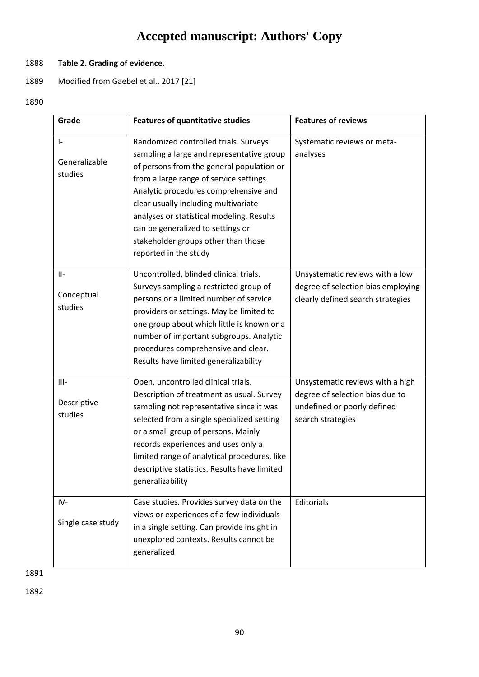### 1888 **Table 2. Grading of evidence.**

- 1889 Modified from Gaebel et al., 2017 [21]
- 1890

| Grade                                 | <b>Features of quantitative studies</b>                                                                                                                                                                                                                                                                                                                                                                       | <b>Features of reviews</b>                                                                                              |
|---------------------------------------|---------------------------------------------------------------------------------------------------------------------------------------------------------------------------------------------------------------------------------------------------------------------------------------------------------------------------------------------------------------------------------------------------------------|-------------------------------------------------------------------------------------------------------------------------|
| $\vert$ -<br>Generalizable<br>studies | Randomized controlled trials. Surveys<br>sampling a large and representative group<br>of persons from the general population or<br>from a large range of service settings.<br>Analytic procedures comprehensive and<br>clear usually including multivariate<br>analyses or statistical modeling. Results<br>can be generalized to settings or<br>stakeholder groups other than those<br>reported in the study | Systematic reviews or meta-<br>analyses                                                                                 |
| $II-$<br>Conceptual<br>studies        | Uncontrolled, blinded clinical trials.<br>Surveys sampling a restricted group of<br>persons or a limited number of service<br>providers or settings. May be limited to<br>one group about which little is known or a<br>number of important subgroups. Analytic<br>procedures comprehensive and clear.<br>Results have limited generalizability                                                               | Unsystematic reviews with a low<br>degree of selection bias employing<br>clearly defined search strategies              |
| $III -$<br>Descriptive<br>studies     | Open, uncontrolled clinical trials.<br>Description of treatment as usual. Survey<br>sampling not representative since it was<br>selected from a single specialized setting<br>or a small group of persons. Mainly<br>records experiences and uses only a<br>limited range of analytical procedures, like<br>descriptive statistics. Results have limited<br>generalizability                                  | Unsystematic reviews with a high<br>degree of selection bias due to<br>undefined or poorly defined<br>search strategies |
| IV-<br>Single case study              | Case studies. Provides survey data on the<br>views or experiences of a few individuals<br>in a single setting. Can provide insight in<br>unexplored contexts. Results cannot be<br>generalized                                                                                                                                                                                                                | Editorials                                                                                                              |

1891